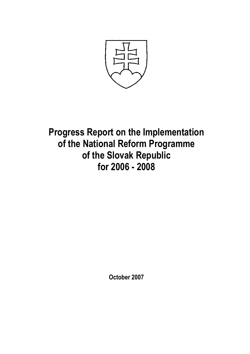

Progress Report on the Implementation of the National Reform Programme of the Slovak Republic for 2006 - 2008

October 2007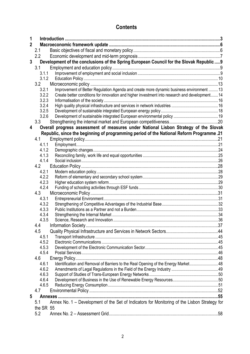# **Contents**

| 1            |                |                                                                                                |  |
|--------------|----------------|------------------------------------------------------------------------------------------------|--|
| $\mathbf{2}$ |                |                                                                                                |  |
|              | 2.1            |                                                                                                |  |
|              | 2.2            |                                                                                                |  |
| 3            |                | Development of the conclusions of the Spring European Council for the Slovak Republic  9       |  |
|              | 3.1            |                                                                                                |  |
|              | 3.1.1          |                                                                                                |  |
|              | 3.1.2          |                                                                                                |  |
|              | 3.2            |                                                                                                |  |
|              | 3.2.1          | Improvement of Better Regulation Agenda and create more dynamic business environment  13       |  |
|              | 3.2.2          | Create better conditions for innovation and higher investment into research and development 14 |  |
|              | 3.2.3          |                                                                                                |  |
|              | 3.2.4          |                                                                                                |  |
|              | 3.2.5          |                                                                                                |  |
|              | 3.2.6          |                                                                                                |  |
|              | 3.3            |                                                                                                |  |
| 4            |                | Overall progress assessment of measures under National Lisbon Strategy of the Slovak           |  |
|              |                | Republic, since the beginning of programming period of the National Reform Programme.21        |  |
|              | 4.1            |                                                                                                |  |
|              | 4.1.1          |                                                                                                |  |
|              | 4.1.2          |                                                                                                |  |
|              | 4.1.3          |                                                                                                |  |
|              | 4.1.4          |                                                                                                |  |
|              | 4.2            |                                                                                                |  |
|              | 4.2.1          |                                                                                                |  |
|              | 4.2.2          |                                                                                                |  |
|              | 4.2.3<br>4.2.4 |                                                                                                |  |
|              | 4.3            |                                                                                                |  |
|              | 4.3.1          |                                                                                                |  |
|              | 4.3.2          |                                                                                                |  |
|              | 4.3.3          |                                                                                                |  |
|              | 4.3.4          |                                                                                                |  |
|              | 4.3.5          |                                                                                                |  |
|              | 4.4            |                                                                                                |  |
|              | 4.5            |                                                                                                |  |
|              | 4.5.1          |                                                                                                |  |
|              | 4.5.2          |                                                                                                |  |
|              | 4.5.3          |                                                                                                |  |
|              | 4.5.4          |                                                                                                |  |
|              | 4.6            |                                                                                                |  |
|              | 4.6.1          | Identification and Removal of Barriers to the Real Opening of the Energy Market48              |  |
|              | 4.6.2          |                                                                                                |  |
|              | 4.6.3          |                                                                                                |  |
|              | 4.6.4          |                                                                                                |  |
|              | 4.6.5          |                                                                                                |  |
|              | 4.7            |                                                                                                |  |
| 5            |                |                                                                                                |  |
|              | 5.1            | Annex No. 1 - Development of the Set of Indicators for Monitoring of the Lisbon Strategy for   |  |
|              | the SR 55      |                                                                                                |  |
|              | 5.2            |                                                                                                |  |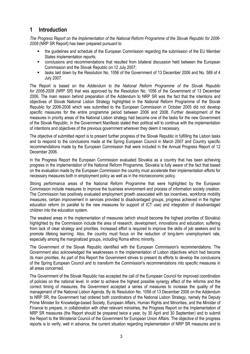# 1 Introduction

The Progress Report on the Implementation of the National Reform Programme of the Slovak Republic for 2006- 2008 (NRP SR Report) has been prepared pursuant to

- the guidelines and schedule of the European Commission regarding the submission of the EU Member States implementation reports;
- conclusions and recommendations that resulted from bilateral discussion held between the European Commission and the Slovak Republic on 12 July 2007;
- tasks laid down by the Resolution No. 1056 of the Government of 13 December 2006 and No. 589 of 4 July 2007.

The Report is based on the Addendum to the National Reform Programme of the Slovak Republic for 2006-2008 (NRP SR) that was approved by the Resolution No. 1056 of the Government of 13 December 2006. The main reason behind preparation of the Addendum to NRP SR was the fact that the intentions and objectives of Slovak National Lisbon Strategy highlighted in the National Reform Programme of the Slovak Republic for 2006-2008 which was submitted to the European Commission in October 2005 did not develop specific measures for the entire programme period between 2006 and 2008. Further development of the measures in priority areas of the National Lisbon strategy had become one of the tasks for the new Government of the Slovak Republic. In the Government Manifesto stated their political will to continue with the implementation of intentions and objectives of the previous government wherever they deem it necessary.

The objective of submitted report is to present further progress of the Slovak Republic in fulfilling the Lisbon tasks and to respond to the conclusions made at the Spring European Council in March 2007 and Country specific recommendations made by the European Commission that were included in the Annual Progress Report of 12 December 2006.

In the Progress Report the European Commission evaluated Slovakia as a country that has been achieving progress in the implementation of the National Reform Programme. Slovakia is fully aware of the fact that based on the evaluation made by the European Commission the country must accelerate their implementation efforts for necessary measures both in employment policy as well as in the microeconomic policy.

Strong performance areas of the National Reform Programme that were highlighted by the European Commission include measures to improve the business environment and process of information society creation. The Commission has positively evaluated employment growth associated with tax incentives, workforce mobility measures, certain improvement in services provided to disadvantaged groups, progress achieved in the higher education reform (in parallel to the new measures for support of ICT use) and integration of disadvantaged children into the education system.

The weakest areas in the implementation of measures (which should become the highest priorities of Slovakia) highlighted by the Commission include the area of research, development, innovations and education; suffering from lack of clear strategy and priorities. Increased effort is required to improve the skills of job seekers and to promote lifelong learning. Also, the country must focus on the reduction of long-term unemployment rate, especially among the marginalized groups, including Roma ethnic minority.

The Government of the Slovak Republic identified with the European Commission's recommendations. The Government also acknowledged the weaknesses in the implementation of Lisbon objectives which had become its main priorities. As part of this Report the Government strives to present its efforts to develop the conclusions of the Spring European Council and to transform the Commission's recommendations into specific measures in all areas concerned.

The Government of the Slovak Republic has accepted the call of the European Council for improved coordination of policies on the national level. In order to achieve the highest possible synergy effect of the reforms and the correct timing of measures, the Government accepted a series of measures to increase the quality of the management of the National Lisbon Agenda. By its Resolution No. 1056 of 13 December 2006 on the Addendum to NRP SR, the Government had ordered both coordinators of the National Lisbon Strategy, namely the Deputy Prime Minister for Knowledge-based Society, European Affairs, Human Rights and Minorities; and the Minister of Finance to prepare, in collaboration with other relevant ministries, the Progress Report on the Implementation of NRP SR measures (the Report should be prepared twice a year, by 30 April and 30 September) and to submit the Report to the Ministerial Council of the Government for European Union Affairs. The objective of the progress reports is to verify, well in advance, the current situation regarding implementation of NRP SR measures and to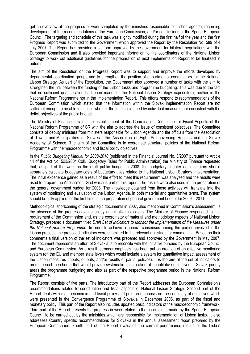get an overview of the progress of work completed by the ministries responsible for Lisbon agenda, regarding development of the recommendations of the European Commission, and/or conclusions of the Spring European Council. The targeting and schedule of this task was slightly modified during the first half of the year and the first Progress Report was submitted to the Government which approved the Report by the Resolution No. 589 of 4 July 2007. The Report has provided a platform approved by the government for bilateral negotiations with the European Commission and it also provided important information to the coordinators of the National Lisbon Strategy to work out additional guidelines for the preparation of next Implementation Report to be finalised in autumn.

The aim of the Resolution on the Progress Report was to support and improve the efforts developed by departmental coordination groups and to strengthen the position of departmental coordinators for the National Lisbon Strategy. As part of the Resolution, the Government also approved a number of tasks with the aim to strengthen the link between the funding of the Lisbon tasks and programme budgeting. This was due to the fact that no sufficient quantification had been made for the National Lisbon Strategy expenditure, neither in the National Reform Programme nor in the Implementation Report. This efforts respond to recommendations of the European Commission which stated that the information within the Slovak Implementation Report are not sufficient enough to be able to assess whether the funding claimed by individual measures are consistent with the deficit objectives of the public budget.

The Ministry of Finance initiated the establishment of the Coordination Committee for Fiscal Aspects of the National Reform Programme of SR with the aim to address the issue of consistent objectives. The Committee consists of deputy ministers from ministers responsible for Lisbon Agenda and the officials from the Association of Towns and Municipalities of Slovakia, the Association of Eight Self-governing Regions and the Slovak Academy of Science. The aim of the Committee is to coordinate structural policies of the National Reform Programme with the macroeconomic and fiscal policy objectives.

In the Public Budgeting Manual for 2008-2010 (published in the Financial Journal No. 3/2007 pursuant to Article 14 of the Act No. 523/2004 Coll. Budgetary Rules for Public Administration) the Ministry of Finance requested that, as part of the work on the draft public budget in 2008, the budgetary chapter administrators should separately calculate budgetary costs of budgetary titles related to the National Lisbon Strategy implementation. The initial experience gained as a result of the effort to meet this requirement was analysed and the results were used to prepare the Assessment Grid which is part of this report. The results were also used in the preparation of the general government budget for 2008. The knowledge obtained from these activities will translate into the system of monitoring and evaluation of the Lisbon Agenda, in both material and quantitative terms. The system should be fully applied for the first time in the preparation of general government budget for 2009 – 2011.

Methodological shortcoming of the strategic documents in 2007, also mentioned in Commission's assessment, is the absence of the progress evaluation by quantitative indicators. The Ministry of Finance responded to this requirement of the Commission and, as the coordinator of material and methodology aspects of National Lisbon Strategy, prepared a document titled Draft Set of Indicators to Monitor the Implementation of the Measures under the National Reform Programme. In order to achieve a general consensus among the parties involved in the Lisbon process, the proposed indicators were submitted to the relevant ministries for commenting. Based on their comments a final version of the set of indicators was prepared and approved by the Government in May 2007. The document represents an effort of Slovakia is to reconcile with the initiative pursued by the European Council and European Commission. As a result, stronger emphasis has been put on creation of an effective monitoring system (on the EU and member state level) which would include a system for quantitative impact assessment of the Lisbon measures (inputs, outputs, and/or results of partial policies). It is the aim of the set of indicators to promote such a scheme that would provide systematic specification of quantitative objectives in Slovak priority areas the programme budgeting and also as part of the respective programme period in the National Reform Programme.

The Report consists of five parts. The introductory part of the Report addresses the European Commission's recommendations related to coordination and fiscal aspects of National Lisbon Strategy. Second part of the Report deals with macroeconomic and fiscal policy and puts an emphasis on the continuity of objectives which were presented in the Convergence Programme of Slovakia in December 2006, as part of the fiscal and monetary policy. This part of the Report also includes updated basic indicators of the macroeconomic framework. Third part of the Report presents the progress in work related to the conclusions made by the Spring European Council, to be carried out by the ministries which are responsible for implementation of Lisbon tasks. It also addresses Country specific recommendations for Slovakia in the annual assessment report prepared by the European Commission. Fourth part of the Report evaluates the current performance results of the Lisbon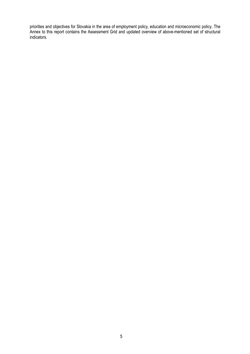priorities and objectives for Slovakia in the area of employment policy, education and microeconomic policy. The Annex to this report contains the Assessment Grid and updated overview of above-mentioned set of structural indicators.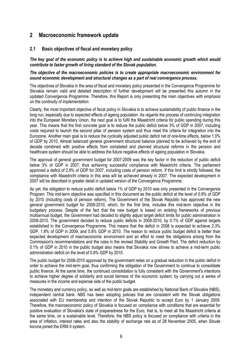# 2 Macroeconomic framework update

## 2.1 Basic objectives of fiscal and monetary policy

The key goal of the economic policy is to achieve high and sustainable economic growth which would contribute to faster growth of living standard of the Slovak population.

#### The objective of the macroeconomic policies is to create appropriate macroeconomic environment for sound economic development and structural changes as a part of real convergence process.

The objectives of Slovakia in the area of fiscal and monetary policy presented in the Convergence Programme for Slovakia remain valid and detailed description of further development will be presented this autumn in the updated Convergence Programme. Therefore, this Report is only presenting the main objectives with emphasis on the continuity of implementation.

Clearly, the most important objective of fiscal policy in Slovakia is to achieve sustainability of public finance in the long run, especially due to expected effects of ageing population. As regards the process of continuing integration into the European Monetary Union, the next goal is to fulfil the Maastricht criteria for public spending during this year. This means that the first concrete goal is to reduce the public deficit below 3% of GDP in 2007, including costs required to launch the second pillar of pension system and thus meet the criteria for integration into the Eurozone. Another main goal is to reduce the cyclically adjusted public deficit net of one-time effects, below 1.0% of GDP by 2010. Almost balanced general government structural balance planned to be achieved by the end of decade combined with positive effects from completed and planned structural reforms in the pension and healthcare system should be able to address the future negative effects of ageing population in Slovakia.

The approval of general government budget for 2007-2009 was the key factor in the reduction of public deficit below 3% of GDP in 2007, thus achieving successful compliance with Maastricht criteria. The parliament approved a deficit of 2.9% of GDP for 2007, including costs of pension reform. If this limit is strictly followed, the compliance with Maastricht criteria in this area will be achieved already in 2007. The expected development in 2007 will be described in greater detail in updated version of the Convergence Programme.

As yet, the obligation to reduce public deficit below 1% of GDP by 2010 was only presented in the Convergence Program. This mid-term objective was specified in this document as the public deficit at the level of 0.9% of GDP by 2010 (including costs of pension reform). The Government of the Slovak Republic has approved the new general government budget for 2008-2010, which, for the first time, includes this mid-term objective in the budgetary process. Despite of the fact that the new budget is based on existing frameworks of previous multiannual budget, the Government had decided to slightly adjust target deficit limits for public administration in 2008-2010. The government decided to reduce public deficits in 2008-2010, by 0.1% of GDP against targets established in the Convergence Programme. This means that the deficit in 2008 is expected to achieve 2.3% GDP, 1.8% of GDP in 2009, and 0.8% GDP in 2010. The reason to reduce public budget deficit is better than expected development of macroeconomic environment and an effort to meet the obligations arising from the Commission's recommendations and the rules in the revised Stability and Growth Pact. The deficit reduction by 0.1% of GDP in 2010 in the public budget also means that Slovakia now strives to achieve a mid-term public administration deficit on the level of 0.8% GDP by 2010.

The public budget for 2008-2010 approved by the government relies on a gradual reduction in the public deficit in order to achieve the mid-term goal, thus confirming the obligation of the Government to continue to consolidate public finance. At the same time, the continued consolidation is fully consistent with the Government's intentions to achieve higher degree of solidarity and social fairness of the economic system; by carrying out a series of measures in the income and expense side of the public budget.

The monetary and currency policy, as well as mid-term goals are established by National Bank of Slovakia (NBS), independent central bank. NBS has been adopting policies that are consistent with the Slovak obligations associated with EU membership and intention of the Slovak Republic to accept Euro by 1 January 2009. Therefore, the macroeconomic policy of Slovakia is focused on compliance with conditions that are essential for positive evaluation of Slovakia's state of preparedness for the Euro, that is, to meet all the Maastricht criteria at the same time, on a sustainable level. Therefore, the NBS policy is focused on compliance with criteria in the area of inflation, interest rates and also the stability of exchange rate as of 28 November 2005, when Slovak koruna joined the ERM II system.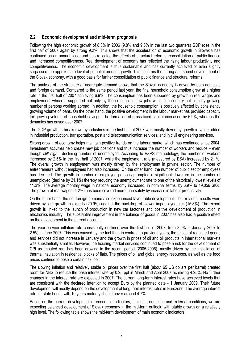#### 2.2 Economic development and mid-term prognosis

Following the high economic growth of 8.3% in 2006 (9.8% and 9.6% in the last two quarters) GDP rose in the first half of 2007 again by strong 9.2%. This shows that the acceleration of economic growth in Slovakia has continued on an annual basis and has reflected the effects of structural reforms, consolidation of public finance and increased competitiveness. Real development of economy has reflected the rising labour productivity and competitiveness. The economic development is thus sustainable and has currently achieved or even slightly surpassed the approximate level of potential product growth. This confirms the strong and sound development of the Slovak economy, with a good basis for further consolidation of public finance and structural reforms.

The analysis of the structure of aggregate demand shows that the Slovak economy is driven by both domestic and foreign demand. Compared to the same period last year, the final household consumption grew at a higher rate in the first half of 2007 achieving 6.9%. The consumption has been supported by growth in real wages and employment which is supported not only by the creation of new jobs within the country but also by growing number of persons working abroad. In addition, the household consumption is positively affected by consistently growing volume of loans. On the other hand, the positive development in the labour market has provided capacity for growing volume of household savings. The formation of gross fixed capital increased by 6.9%, whereas the dynamics has eased over 2007.

The GDP growth in breakdown by industries in the first half of 2007 was mostly driven by growth in value added in industrial production, transportation, post and telecommunication services, and in civil engineering services.

Strong growth of economy helps maintain positive trends on the labour market which has continued since 2004. Investment activities help create new job positions and thus increase the number of workers and reduce – even though still high - declining number of unemployed. According to VZPS methodology, the number of workers increased by 2.5% in the first half of 2007, while the employment rate (measured by ESA) increased by 2.1%. The overall growth in employment was mostly driven by the employment in private sector. The number of entrepreneurs without employees had also increased. On the other hand, the number of public sector employees has declined. The growth in number of employed persons prompted a significant downturn in the number of unemployed (decline by 21.1%) thereby reducing the unemployment rate to one of the historically lowest levels of 11.3%. The average monthly wage in national economy increased, in nominal terms, by 6.9% to 19,056 SKK. The growth of real wages (4.2%) has been covered more than safely by increase in labour productivity.

On the other hand, the net foreign demand also experienced favourable development. The excellent results were driven by fast growth in exports (20.9%) against the backdrop of slower import dynamics (15.8%). The export growth is linked to the launch of production in new car factories and positive development of production in electronics industry. The substantial improvement in the balance of goods in 2007 has also had a positive effect on the development in the current account.

The year-on-year inflation rate consistently declined over the first half of 2007, from 3.0% in January 2007 to 2.5% in June 2007. This was caused by the fact that, in contrast to previous years, the prices of regulated goods and services did not increase in January and the growth in prices of oil and oil products in international markets was substantially smaller. However, the housing market services continued to pose a risk for the development of CPI as imputed rent has been growing in the recent period (2005-2006), mostly driven by the installation of thermal insulation in residential blocks of flats. The prices of oil and global energy resources, as well as the food prices continue to pose a certain risk too.

The slowing inflation and relatively stable oil prices over the first half (about 65 US dollars per barrel) created room for NBS to reduce the base interest rate by 0.25 ppt in March and April 2007 achieving 4.25%. No further changes in the interest rate are expected in 2007. The current long-term interest rates have achieved levels that are consistent with the declared intention to accept Euro by the planned date - 1 January 2009. Their future development will mostly depend on the development of long-term interest rates in Eurozone. The average interest rate for state bonds with 10 years maturity should hover around 4.7%.

Based on the current development of economic indicators, including domestic and external conditions, we are expecting balanced development of Slovak economy in the mid-term outlook, with stable growth on a relatively high level. The following table shows the mid-term development of main economic indicators.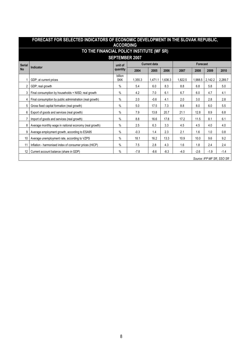|               | <b>ACCORDING</b>                                         |                       |                     |         |         |         |          |         |                           |  |  |
|---------------|----------------------------------------------------------|-----------------------|---------------------|---------|---------|---------|----------|---------|---------------------------|--|--|
|               | TO THE FINANCIAL POLICY INSTITUTE (MF SR)                |                       |                     |         |         |         |          |         |                           |  |  |
|               | <b>SEPTEMBER 2007</b>                                    |                       |                     |         |         |         |          |         |                           |  |  |
| <b>Serial</b> |                                                          | unit of               | <b>Current data</b> |         |         |         | Forecast |         |                           |  |  |
| <b>No</b>     | Indicator                                                | quantity              | 2004                | 2005    | 2006    | 2007    | 2008     | 2009    | 2010                      |  |  |
|               | GDP; at current prices                                   | billion<br><b>SKK</b> | 1,355.3             | 1,471.1 | 1,636.3 | 1,822.5 | 1,988.5  | 2,142.2 | 2,289.7                   |  |  |
|               | GDP; real growth                                         | $\%$                  | 5.4                 | 6.0     | 8.3     | 8.8     | 6.8      | 5.8     | 5.0                       |  |  |
|               | Final consumption by households + NISD; real growth      | $\%$                  | 4.2                 | 7.0     | 6.1     | 6.7     | 6.0      | 4.7     | 4.1                       |  |  |
| 4             | Final consumption by public administration (real growth) | $\%$                  | 2.0                 | $-0.6$  | 4.1     | 2.0     | 3.0      | 2.8     | 2.8                       |  |  |
| 5             | Gross fixed capital formation (real growth)              | %                     | 5.0                 | 17.5    | 7.3     | 8.8     | 8.0      | 6.0     | 5.5                       |  |  |
| 6             | Export of goods and services (real growth)               | $\%$                  | 7.9                 | 13.8    | 20.7    | 21.1    | 12.8     | 8.9     | 6.8                       |  |  |
|               | Import of goods and services (real growth)               | $\%$                  | 8.8                 | 16.6    | 17.8    | 17.2    | 11.5     | 8.1     | 6.1                       |  |  |
| 8             | Average monthly wage in national economy (real growth)   | $\%$                  | 2.5                 | 6.3     | 3.3     | 4.5     | 4.5      | 4.0     | 4.0                       |  |  |
| 9             | Average employment growth, according to ESA95            | $\%$                  | $-0.3$              | 1.4     | 2.3     | 2.1     | 1.6      | 1.0     | 0.8                       |  |  |
| 10            | Average unemployment rate, according to VZPS             | $\%$                  | 18.1                | 16.2    | 13.3    | 10.9    | 10.0     | 9.6     | 9.2                       |  |  |
| 11            | Inflation - harmonised index of consumer prices (HICP)   | $\%$                  | 7.5                 | 2.8     | 4.3     | 1.6     | 1.8      | 2.4     | 2.4                       |  |  |
| 12            | Current account balance (share in GDP)                   | $\%$                  | $-7.8$              | $-8.6$  | $-8.3$  | $-4.0$  | $-2.6$   | $-1.9$  | $-1.4$                    |  |  |
|               |                                                          |                       |                     |         |         |         |          |         | Source: IFP MF SR, SSO SR |  |  |

# FORECAST FOR SELECTED INDICATORS OF ECONOMIC DEVELOPMENT IN THE SLOVAK REPUBLIC,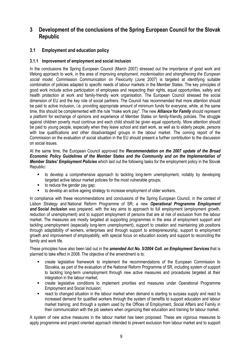# 3 Development of the conclusions of the Spring European Council for the Slovak Republic

# 3.1 Employment and education policy

## 3.1.1 Improvement of employment and social inclusion

In the conclusions the Spring European Council (March 2007) stressed out the importance of good work and lifelong approach to work, in the area of improving employment, modernisation and strengthening the European social model. Commission Communication on Flexicurity (June 2007) is targeted at identifying suitable combination of policies adapted to specific needs of labour markets in the Member States. The key principles of good work include active participation of employees and respecting their rights, equal opportunities, safety and health protection at work and family-friendly work organisation. The European Council stressed the social dimension of EU and the key role of social partners. The Council has recommended that more attention should be paid to active inclusion, i.e. providing appropriate amount of minimum funds for everyone, while, at the same time, this should be complemented with the rule "make work pay". The new **Alliance for Family** should represent a platform for exchange of opinions and experience of Member States on family-friendly policies. The struggle against children poverty must continue and each child should be given equal opportunity. More attention should be paid to young people, especially when they leave school and start work, as well as to elderly people, persons with low qualifications and other disadvantaged groups in the labour market. The coming report of the Commission on the evaluation of social situation in the EU should present a further contribution to the discussion on social issues.

At the same time, the European Council approved the Recommendation on the 2007 update of the Broad Economic Policy Guidelines of the Member States and the Community and on the Implementation of Member States' Employment Policies which laid out the following tasks for the employment policy in the Slovak Republic:

- to develop a comprehensive approach to tackling long-term unemployment, notably by developing targeted active labour market policies for the most vulnerable groups;
- to reduce the gender pay gap;
- to develop an active ageing strategy to increase employment of older workers.

In compliance with these recommendations and conclusions of the Spring European Council, in the context of Lisbon Strategy and National Reform Programme of SR; a new Operational Programme Employment and Social Inclusion was prepared, with the key aims to approach to full employment (employment growth, reduction of unemployment) and to support employment of persons that are at risk of exclusion from the labour market. The measures are mostly targeted at supporting programmes in the area of employment support and tackling unemployment (especially long-term unemployment), support to creation and maintaining job positions through adaptability of workers, enterprises and through support to entrepreneurship, support to employment growth and improvement of employability, with special focus on education society and support to reconciling the family and work life.

These principles have also been laid out in the *amended Act No. 5/2004 Coll. on Employment Services* that is planned to take effect in 2008. The objective of the amendment is to:

- create legislative framework to implement the recommendations of the European Commission to Slovakia, as part of the evaluation of the National Reform Programme of SR, including system of support to tackling long-term unemployment through new active measures and procedures targeted at their integration in the labour market;
- **EXECTE 2** create legislative conditions to implement priorities and measures under Operational Programme Employment and Social Inclusion;
- react to changed situation in the labour market when demand is starting to surpass supply and react to increased demand for qualified workers through the system of benefits to support education and labour market training; and through a system used by the Offices of Employment, Social Affairs and Family in their communication with the job seekers when organizing their education and training for labour market.

A system of new active measures in the labour market has been proposed. These are vigorous measures to apply programme and project oriented approach intended to prevent exclusion from labour market and to support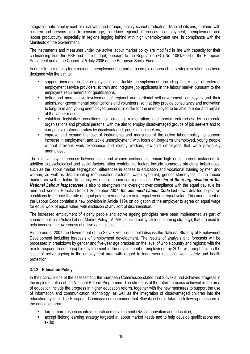integration into employment of disadvantaged groups, mainly school graduates, disabled citizens, mothers with children and persons close to pension age, to reduce regional differences in employment, unemployment and labour productivity, especially in regions lagging behind with high unemployment rate; in compliance with the Manifesto of the Government.

The instruments and measures under the active labour market policy are modified in line with capacity for their co-financing from the ESF and state budget, pursuant to the Regulation (EC) No. 1081/2006 of the European Parliament and of the Council of 5 July 2006 on the European Social Fund.

In order to tackle long-term regional unemployment as part of a complex approach; a strategic solution has been designed with the aim to:

- support increase in the employment and tackle unemployment, including better use of external employment service providers, to train and integrate job applicants in the labour market pursuant to the employers' requirements for qualifications;
- better and more active involvement of regional and territorial self-government, employers and their unions, non-governmental organizations and volunteers, so that they provide consultancy and motivation to long-term and young unemployed persons; in order for the unemployed to be able to enter and remain at the labour market;
- establish legislative conditions for creating reintegration and social enterprises by corporate organisations and physical persons, with the aim to employ disadvantaged groups of job seekers and to carry out volunteer activities by disadvantaged groups of job seekers;
- improve and expand the use of instruments and measures of the active labour policy, to support increase in employment and tackle unemployment, with focus on long-term unemployed, young people without previous work experience and elderly workers, low-paid employees that were previously unemployed.

The relative pay differences between men and women continue to remain high on numerous instances. In addition to psychological and social factors, other contributing factors include numerous structural imbalances, such as the labour market segregation, differences in access to education and vocational training by men and women, as well as discriminating remuneration systems (wage systems), gender stereotypes in the labour market, as well as failure to comply with the remuneration regulations. The aim of the reorganisation of the **National Labour Inspectorate** is also to strengthen the oversight over compliance with the equal pay rule for men and women. Effective from 1 September 2007, the amended Labour Code laid down detailed legislative conditions to enforce the rule of equal pay to men and women for equal work of equal value. This amendment of the Labour Code contains a new provision in Article 119a on obligation of the employer to agree on equal wage for equal work of equal value, with exclusion of any sort of discrimination.

The increased employment of elderly people and active ageing principles have been implemented as part of separate policies (Active Labour Market Policy - ALMP, pension policy, lifelong learning strategy), that are used to help increase the awareness of active ageing issue.

By the end of 2007 the Government of the Slovak Republic should discuss the National Strategy of Employment Development including forecasts of employment development. The results of analysis and forecasts will be processed in breakdown by gender and five-year age brackets on the level of whole country and regions; with the aim to respond to demographic development in the development of employment by 2015, with emphasis on the issue of active ageing in the employment area with regard to legal work relations, work safety and health protection.

# 3.1.2 Education Policy

In their conclusions of the assessment, the European Commission stated that Slovakia had achieved progress in the implementation of the National Reform Programme. The strengths of the reform process achieved in the area of education include the progress in higher education reform, together with the new measures to support the use of information and communication technology, as well as the integration of disadvantaged children into the education system. The European Commission recommend that Slovakia should take the following measures in the education area:

- target more resources into research and development (R&D), innovation and education;
- accept lifelong learning strategy targeted at labour market needs and to help develop qualifications and skills;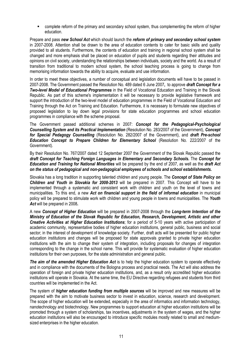complete reform of the primary and secondary school system, thus complementing the reform of higher education.

Prepare and pass new School Act which should launch the reform of primary and secondary school system in 2007-2008. Attention shall be drawn to the area of education contents to cater for basic skills and quality provided to all students. Furthermore, the contents of education and training in regional school system shall be changed and more emphasis shall be placed on education of pupils and students regarding their attitudes and opinions on civil society, understanding the relationships between individuals, society and the world. As a result of transition from traditional to modern school system, the school teaching process is going to change from memorising information towards the ability to acquire, evaluate and use information.

In order to meet these objectives, a number of conceptual and legislation documents will have to be passed in 2007-2008. The Government passed the Resolution No. 489 dated 6 June 2007, to approve draft Concept for a **Two-level Model of Educational Programmes** in the Field of Vocational Education and Training in the Slovak Republic. As part of this scheme's implementation it will be necessary to provide legislative framework and support the introduction of the two-level model of education programmes in the Field of Vocational Education and Training through the Act on Training and Education. Furthermore, it is necessary to formulate new objectives of proposed legislation to lay down legal provisions for state education programmes and school education programmes in compliance with the scheme proposal.

The Government passed additional schemes in 2007: Concept for the Pedagogical-Psychological Counselling System and its Practical Implementation (Resolution No. 283/2007 of the Government), Concept for Special Pedagogy Counselling (Resolution No. 282/2007 of the Government), and draft Pre-school Education Concept to Prepare Children for Elementary School (Resolution No. 222/2007 of the Government).

By their Resolution No. 767/2007 dated 12 September 2007 the Government of the Slovak Republic passed the draft Concept for Teaching Foreign Languages in Elementary and Secondary Schools. The Concept for Education and Training for National Minorities will be prepared by the end of 2007, as well as the draft Act on the status of pedagogical and non-pedagogical employees of schools and school establishments.

Slovakia has a long tradition in supporting talented children and young people. The Concept of State Policy on Children and Youth in Slovakia for 2008-2013 will be prepared in 2007. This Concept will have to be implemented through a systematic and consistent work with children and youth on the level of towns and municipalities. To this end, a new Act on financial support in the field of informal education in municipal policy will be prepared to stimulate work with children and young people in towns and municipalities. The Youth Act will be prepared in 2008.

A new Concept of Higher Education will be prepared in 2007-2008 through the Long-term Intention of the Ministry of Education of the Slovak Republic for Education, Research, Development, Artistic and other Creative Activities at Higher Education Institutions; for a period of 5-10 years with active participation of academic community, representative bodies of higher education institutions, general public, business and social sector; in the interest of development of knowledge society. Further, draft acts will be presented for public higher education institutions and changes will be proposed for state approvals granted to private higher education institutions with the aim to change their system of integration, including proposals for changes of integration corresponding to the change in the school name. This will provide for systematic evaluation of higher education institutions for their own purposes, for the state administration and general public.

The aim of the amended Higher Education Act is to help the higher education system to operate effectively and in compliance with the documents of the Bologna process and practical needs. The Act will also address the operation of foreign and private higher education institutions, and, as a result only accredited higher education institutions will operate in Slovakia. At the same time, the EU Directive regarding refugees and students from third countries will be implemented in the Act.

The system of higher education funding from multiple sources will be improved and new measures will be prepared with the aim to motivate business sector to invest in education, science, research and development. The scope of higher education will be extended, especially in the area of informatics and information technology, nanotechnology and biotechnology. New programmes to support education at higher education institutions will be promoted through a system of scholarships, tax incentives, adjustments in the system of wages, and the higher education institutions will also be encouraged to introduce specific modules mostly related to small and mediumsized enterprises in the higher education.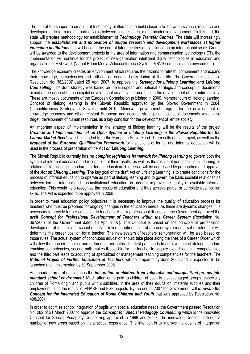The aim of the support to creation of technology platforms is to build closer links between science, research and development, to form mutual partnerships between business sector and academic environment. To this end, the state will prepare methodology for establishment of Technology Transfer Centres. The state will increasingly support the establishment and innovation of unique research and development workplaces at higher education institutions that will become the core of future centres of excellence on an international scale. Grants will be awarded to the development projects in the area of information and communication technology (ICT), the implementation will continue for the project of new-generation intelligent digital technologies in education and organisation of R&D work (Virtual Room Media Videoconference System -VRVS communication environment).

The knowledge economy creates an environment which requires the citizens to refresh, complement and expand their knowledge, competencies and skills on an ongoing basis during all their life. The Government passed a Resolution No. 382/2007 dated 25 April 2007, to approve the Strategy for Lifelong Learning and Lifelong **Counselling.** The draft strategy was based on the European and national strategic and conceptual documents aimed at the issue of human capital development as a driving force behind the development of the entire society. These are mostly documents of the European Commission published in 2000, Memorandum of lifelong learning, Concept of lifelong learning in the Slovak Republic approved by the Slovak Government in 2004, Competitiveness Strategy for Slovakia until 2010, Minerva - government program for the development of knowledge economy and other relevant European and national strategic and concept documents which also target development of human resources as a key condition for the development of entire society.

An important aspect of implementation in the strategy of lifelong learning will be the results of the project Creation and Implementation of an Open System of Lifelong Learning in the Slovak Republic for the Labour Market Needs which is funded from the European Social Fund. The results of this project, as well as the proposal of the European Qualification Framework for institutions of formal and informal education will be used in the process of preparation of the Act on Lifelong Learning.

The Slovak Republic currently has no complex legislative framework for lifelong learning to govern both the system of informal education and recognition of their results, as well as the results of non-institutional learning, in relation to existing legal standards for formal education. This issue will be addressed by preparation and approval of the Act on Lifelong Learning. The key goal of the draft Act on Lifelong Learning is to create conditions for the process of informal education to operate as part of lifelong learning and to govern the basic societal relationships between formal, informal and non-institutional education, in order to improve the quality of available informal education. This would help recognize the results of education and thus achieve partial or complete qualification skills. The Act is expected to be approved in 2008.

In order to meet education policy objectives it is necessary to improve the quality of education process for teachers who must be prepared for ongoing changes in the education needs. As these are dynamic changes, it is necessary to provide further education to teachers. After a professional discussion the Government approved the draft Concept for Professional Development of Teachers within the Career System (Resolution No. 367/2007 of the Government dated 18 April 2007). The Concept is based on the principle of professional development of teacher and school quality. It relies on introduction of a career system as a set of rules that will determine the career position for a teacher. The new system of teachers' remuneration will be also based on those rules. The actual system of continuous education should take place along the lines of a Career Order which will allow the teacher to select one of three career paths. The first path leads to achievement of lifelong standard teaching competencies, second path makes it possible for the teacher to acquire expert teaching competencies and the third part leads to acquiring of specialized or management teaching competencies for the teachers. The National Project of Further Education of Teachers will be prepared by June 2008 and is expected to be launched and implemented by 30 September 2008.

An important area of education is the integration of children from vulnerable and marginalized groups into standard school environment. Much attention is paid to children of socially disadvantaged groups, especially children of Roma origin and pupils with disabilities, in the area of their education, material supplies and their employment using the results of PHARE and ESF projects. By the end of 2007 the Government will *innovate the* Concept for the Integrated Education of Roma Children and Youth that was approved by Resolution No. 498/2004.

In order to optimise school integration of pupils with special education needs, the Government passed Resolution No. 282 of 21 March 2007 to approve the **Concept for Special Pedagogy Counselling** which is the innovated Concept for Special Pedagogy Counselling approved in 1998 and 2000. The innovated Concept includes a number of new areas based on the practical experience. The intention is to improve the quality of integration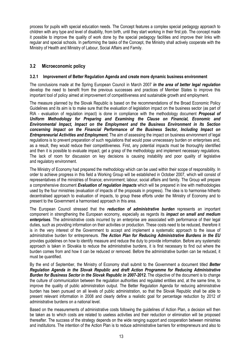process for pupils with special education needs. The Concept features a complex special pedagogy approach to children with any type and level of disability, from birth, until they start working in their first job. The concept made it possible to improve the quality of work done by the special pedagogy facilities and improve their links with regular and special schools. In performing the tasks of the Concept, the Ministry shall actively cooperate with the Ministry of Health and Ministry of Labour, Social Affairs and Family.

# 3.2 Microeconomic policy

#### 3.2.1 Improvement of Better Regulation Agenda and create more dynamic business environment

The conclusions made at the Spring European Council in March 2007 in the area of better legal regulation develop the need to benefit from the previous successes and practices of Member States to improve this important tool of policy aimed at improvement of competitiveness and sustainable growth and employment.

The measure planned by the Slovak Republic is based on the recommendations of the Broad Economic Policy Guidelines and its aim is to make sure that the evaluation of legislation impact on the business sector (as part of RIA - evaluation of regulation impact) is done in compliance with the methodology document *Proposal of* Uniform Methodology for Preparing and Examining the Clause on Financial, Economic and Environmental Impact, Impact on the Employment and the Business Environment in Its Section concerning Impact on the Financial Performance of the Business Sector, Including Impact on **Entrepreneurial Activities and Employment.** The aim of assessing the impact on business environment of legal regulations is to prevent preparation of such regulations that would pose unnecessary burden on enterprises and, as a result, they would reduce their competitiveness. First, any potential impacts must be thoroughly identified and then it is possible to evaluate impact, get a grasp of the methodology and implement necessary regulations. The lack of room for discussion on key decisions is causing instability and poor quality of legislative and regulatory environment.

The Ministry of Economy had prepared the methodology which can be used within their scope of responsibility. In order to achieve progress in this field a Working Group will be established in October 2007, which will consist of representatives of the ministries of finance; environment; labour, social affairs and family. The Group will prepare a comprehensive document Evaluation of requlation impacts which will be prepared in line with methodologies used by the four ministries (evaluation of impacts of the proposals in progress). The idea is to harmonise hitherto decentralised approach to evaluation of impacts, to group these efforts under the Ministry of Economy and to present to the Government a harmonised approach in this area.

The European Council stressed that the reduction of administrative burden represents an important component in strengthening the European economy, especially as regards its *impact on small and medium* enterprises. The administrative costs incurred by an enterprise are associated with performance of their legal duties, such as providing information on their activities or production. These costs need to be reduced, therefore it is in the very interest of the Government to accept and implement a systematic approach to the issue of administrative burden for entrepreneurs. The Action Plan for Reducing Administrative Burdens in the EU provides guidelines on how to identify measure and reduce the duty to provide information. Before any systematic approach is taken in Slovakia to reduce the administrative burdens, it is first necessary to find out where the burden comes from and how it can be reduced or removed. Before the administrative burden can be reduced, it must be quantified.

By the end of September, the Ministry of Economy shall submit to the Government a document titled Better Regulation Agenda in the Slovak Republic and draft Action Programme for Reducing Administrative Burden for Business Sector in the Slovak Republic in 2007-2012. The objective of the document is to change the culture of communication between the regulation authorities and regulated entities and, at the same time, to improve the quality of public administration output. The Better Regulation Agenda for reducing administrative burden has been pursued on all levels of public administration, so that the Slovak Republic shall be able to present relevant information in 2008 and clearly define a realistic goal for percentage reduction by 2012 of administrative burdens on a national level.

Based on the measurements of administrative costs following the guidelines of Action Plan, a decision will then be taken as to which costs are related to useless activities and their reduction or elimination will be proposed thereafter. The success of the strategy depends on the wide ranging support and cooperation between ministries and institutions. The intention of the Action Plan is to reduce administrative barriers for entrepreneurs and also to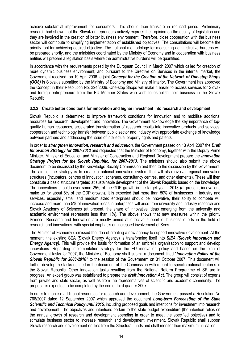achieve substantial improvement for consumers. This should then translate in reduced prices. Preliminary research had shown that the Slovak entrepreneurs actively express their opinion on the quality of legislation and they are involved in the creation of better business environment. Therefore, close cooperation with the business sector will contribute to simplifying implementation of established objectives. The consultations will become the priority tool for achieving desired objective. The national methodology for measuring administrative burdens will be prepared shortly, and the ministries coordinated by the Ministry of Economy and in cooperation with business entities will prepare a legislation basis where the administrative burdens will be quantified.

In accordance with the requirements posed by the European Council in March 2007 which called for creation of more dynamic business environment; and pursuant to the Directive on Services in the internal market, the Government received, on 19 April 2006, a joint Concept for the Creation of the Network of One-stop Shops (OOS) in Slovakia submitted by the Ministry of Economy and Ministry of Interior. The Government has approved the Concept in their Resolution No. 324/2006. One-stop Shops will make it easier to access services for Slovak and foreign entrepreneurs from the EU Member States who wish to establish their business in the Slovak Republic.

#### 3.2.2 Create better conditions for innovation and higher investment into research and development

Slovak Republic is determined to improve framework conditions for innovation and to mobilise additional resources for research, development and innovation. The Government acknowledge the key importance of topquality human resources, accelerated transformation of research results into innovative products and services, cooperation and technology transfer between public sector and industry with appropriate exchange of knowledge between partners and addressing the issue of intellectual property rights and patents.

In order to **strengthen innovation, research and education**, the Government passed on 13 April 2007 the **Draft** Innovation Strategy for 2007-2013 and requested that the Minister of Economy, together with the Deputy Prime Minister, Minister of Education and Minister of Construction and Regional Development prepare the *Innovation* Strategy Project for the Slovak Republic, for 2007-2013. The ministers should also submit the above document to be discussed by the Knowledge Society Commission and then to the discussion by the Government. The aim of the strategy is to create a national innovation system that will also involve regional innovation structures (incubators, centres of innovation, schemes, consultancy centres, and other elements). These will then constitute a basic structure targeted at sustainable development of the Slovak Republic based on the knowledge. The innovations should cover some 25% of the GDP growth in the target year - 2013 (at present, innovations make up for about 8% of the GDP growth). It is expected that more than 50% of businesses in industry and services, especially small and medium sized enterprises should be innovative, their ability to compete will increase and more than 5% of innovation ideas in enterprises will arise from university and industry research and Slovak Academy of Sciences (at present, the share of innovative ideas emerging from the university and academic environment represents less than 1%). The above shows that new measures within the priority Science, Research and Innovation are mostly aimed at effective support of business efforts in the field of research and innovations, with special emphasis on increased involvement of Sees.

The Minister of Economy dismissed the idea of creating a new agency to support innovative development. At the moment, the existing SEA (Slovak Energy Agency) is transforming itself into **SIEA (Slovak Innovation and Energy Agency**). This will provide the basis for formation of an umbrella organisation to support and develop innovations. Regarding implementation strategy for the EU innovation policy and based on the plan of Government tasks for 2007, the Ministry of Economy shall submit a document titled "Innovation Policy of the Slovak Republic for 2008-2010" to the session of the Government on 31 October 2007. This document will further develop the tasks defined in the document of the Commission with regard to specific national features in the Slovak Republic. Other innovation tasks resulting from the National Reform Programme of SR are in progress. An expert group was established to prepare the **draft Innovation Act**. The group will consist of experts from private and state sector, as well as from the representatives of scientific and academic community. The proposal is expected to be completed by the end of third quarter 2007.

In order to mobilise additional resources for research and development, the Government passed a Resolution No 766/2007 dated 12 September 2007 which approved the document Long-term Forecasting of the State Scientific and Technical Policy until 2015, including proposed goals and intentions for investment into research and development. The objectives and intentions pertain to the state budget expenditure (the intention relies on the annual growth of research and development spending in order to meet the specified objective) and to stimulate business sector to increase research and development investment. Slovak Republic shall support Slovak research and development entities from the Structural funds and shall monitor their maximum utilisation.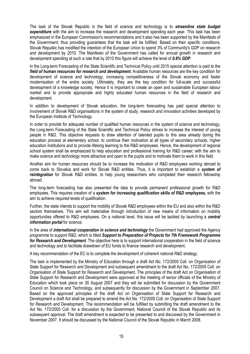The task of the Slovak Republic in the field of science and technology is to **streamline state budget expenditure** with the aim to increase the research and development spending each year. This task has been emphasized in the European Commission's recommendations and it also has been supported by the Manifesto of the Government; thus providing guarantees that the task will be fulfilled. Based on their specific conditions, Slovak Republic has modified the intention of the European Union to spend 3% of Community's GDP on research and development by 2010. The Manifesto of the Government has called for annual growth in research and development spending at such a rate that by 2010 this figure will achieve the level of 0.8% GDP.

In the Long-term Forecasting of the State Scientific and Technical Policy until 2015 special attention is paid to the field of human resources for research and development. Available human resources are the key condition for development of science and technology, increasing competitiveness of the Slovak economy and faster modernisation of the entire society. Ultimately, they are the key condition for full-scale and successful development of a knowledge society. Hence it is important to create an open and sustainable European labour market and to provide appropriate and highly educated human resources in the field of research and development.

In addition to development of Slovak education, the long-term forecasting has paid special attention to involvement of Slovak R&D organisations in the system of study, research and innovation activities developed by the European Institute of Technology.

In order to provide for adequate number of qualified human resources in the system of science and technology, the Long-term Forecasting of the State Scientific and Technical Policy strives to increase the interest of young people in R&D. This objective requests to draw attention of talented pupils to this area already during the education process at elementary school, to continue their motivation at all types of secondary schools, higher education institutions and to provide lifelong learning to the R&D employees. Hence, the development of regional school system shall be emphasized to help education and professional training for R&D career; with the aim to make science and technology more attractive and open to the pupils and to motivate them to work in this field.

Another aim for human resources should be to increase the motivation of R&D employees working abroad to come back to Slovakia and work for Slovak R&D entities. Thus, it is important to establish a system of reintegration for Slovak R&D entities, to help young researchers who completed their research fellowship abroad.

The long-term forecasting has also presented the idea to provide permanent professional growth for R&D employees. This requires creation of a system for increasing qualification skills of R&D employees, with the aim to achieve required levels of qualification.

Further, the state intends to support the mobility of Slovak R&D employees within the EU and also within the R&D sectors themselves. This aim will materialise through introduction of new means of information on mobility opportunities offered to R&D employees. On a national level, this issue will be tackled by launching a central information portal for science.

In the area of *international cooperation in science and technology* the Government had approved the Agency programme to support R&D, which is titled Support to Preparation of Projects for 7th Framework Programme for Research and Development. The objective here is to support international cooperation in the field of science and technology and to facilitate drawdown of EU funds to finance research and development.

A key recommendation of the EC is to complete the development of coherent national R&D strategy.

The task is implemented by the Ministry of Education through a draft Act No. 172/2005 Coll. on Organisation of State Support for Research and Development and subsequent amendment to the draft Act No. 172/2005 Coll. on Organisation of State Support for Research and Development. The principles of the draft Act on Organisation of State Support for Research and Development were approved at the meeting of senior officials of the Ministry of Education which took place on 30 August 2007 and they will be submitted for discussion by the Government Council on Science and Technology, and subsequently for discussion by the Government in September 2007. Based on the approved principles of the draft Act on Organisation of State Support for Research and Development a draft Act shall be prepared to amend the Act No. 172/2005 Coll. on Organisation of State Support for Research and Development. The recommendation will be fulfilled by submitting the draft amendment to the Act No. 172/2005 Coll. for a discussion by the Government, National Council of the Slovak Republic and its subsequent approval. The draft amendment is expected to be presented to and discussed by the Government in November 2007. It should be discussed by the National Council of the Slovak Republic in March 2008.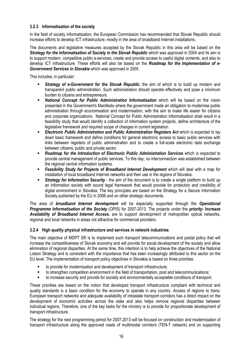#### 3.2.3 Informatisation of the society

In the field of society informatisation, the European Commission has recommended that Slovak Republic should increase efforts to develop ICT infrastructure, mostly in the area of broadband Internet installations.

The documents and legislative measures accepted by the Slovak Republic in this area will be based on the Strategy for the Informatisation of Society in the Slovak Republic which was approved in 2004 and its aim is to support modern, competitive public e-services, create and provide access to useful digital contents; and also to develop ICT infrastructure. These efforts will also be based on the **Roadmap for the Implementation of e-**Government Services in Slovakia which was approved in 2005.

This includes, in particular:

- **Strategy of e-Government for the Slovak Republic**; the aim of which is to build up modern and transparent public administration. Such administration should operate effectively and pose a minimum burden to citizens and entrepreneurs.
- **National Concept for Public Administration Informatisation** which will be based on the vision presented in the Government's Manifesto where the government made an obligation to modernise public administration through economisation and modernisation, with the aim to make life easier for citizens and corporate organizations. National Concept for Public Administration Informatisation shall result in a feasibility study that would identify a collection of information system projects, define architecture of the legislative framework and required scope of changes in current legislation.
- **Electronic Public Administration and Public Administration Registers Act which is expected to lay** down basic framework and define conditions for general electronic access to basic public services with links between registers of public administration and to create a full-scale electronic data exchange between citizens, public and private sector.
- **Roadmap for the Introduction of Electronic Public Administration Services which is expected to** provide central management of public services. To this day, no interconnection was established between the regional central information systems.
- **Feasibility Study for Projects of Broadband Internet Development** which will deal with a map for installation of local broadband Internet networks and their use in the regions of Slovakia.
- **Strategy for Information Security** the aim of the document is to create a single platform to build up an information society with sound legal framework that would provide for protection and credibility of digital environment in Slovakia. The key principles are based on the Strategy for a Secure Information Society published by the EU in 2006 and on other strategic documents.

The area of **broadband Internet development** will be especially supported through the **Operational Programme Informatisation of the Society (OPIS) for 2007-2013. The projects under the priority- Increase** Availability of Broadband Internet Access, are to support development of metropolitan optical networks, regional and local networks in areas not attractive for commercial providers.

# 3.2.4 High quality physical infrastructure and services in network industries

The main objective of MDPT SR is to implement such transport telecommunications and postal policy that will increase the competitiveness of Slovak economy and will provide for social development of the society and allow elimination of regional disparities. At the same time, this intention is to help achieve the objectives of the National Lisbon Strategy and is consistent with the importance that has been increasingly attributed to this sector on the EU level. The implementation of transport policy objectives in Slovakia is based on three priorities:

- to provide for modernisation and development of transport infrastructure;
- to strengthen competition environment in the field of transportation, post and telecommunications;
- to increase security and provide for socially and environmentally acceptable conditions of transport.

These priorities are based on the notion that developed transport infrastructure compliant with technical and quality standards is a basic condition for the economy to operate in any country. Access of regions to trans-European transport networks and adequate availability of intrastate transport corridors has a direct impact on the development of economic activities across the state and also helps remove regional disparities between individual regions. Therefore, one of the key tasks for the ministry is to provide for proportionate development of transport infrastructure.

The strategy for the next programming period for 2007-2013 will be focused on construction and modernisation of transport infrastructure along the approved roads of multimodal corridors (TEN-T network) and on supporting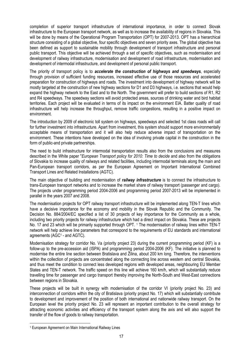completion of superior transport infrastructure of international importance, in order to connect Slovak infrastructure to the European transport network, as well as to increase the availability of regions in Slovakia. This will be done by means of the Operational Program Transportation (OPT) for 2007-2013. OPT has a hierarchical structure consisting of a global objective, four specific objectives and seven priority axes. The global objective has been defined as support to sustainable mobility through development of transport infrastructure and personal public transport. This objective will be achieved through a set of specific objectives, such as modernisation and development of railway infrastructure, modernisation and development of road infrastructure, modernisation and development of intermodal infrastructure, and development of personal public transport.

The priority of transport policy is to accelerate the construction of highways and speedways, especially through provision of sufficient funding resources, increased effective use of those resources and accelerated preparation for construction of highways and roads. The investment into development of highway network will be mostly targeted at the construction of new highway sections for D1 and D3 highways, i.e. sections that would help expand the highway network to the East and to the North. The government will prefer to build sections of R1, R2 and R4 speedways. The speedway sections will avoid protected areas, sources of drinking water and bird habitat territories. Each project will be evaluated in terms of its impact on the environment EIA. Batter quality of road infrastructure will help increase the throughput, remove traffic congestions, resulting in a positive impact on environment.

The introduction by 2009 of electronic toll system on highways, speedways and selected 1st class roads will call for further investment into infrastructure. Apart from investment, this system should support more environmentally acceptable means of transportation and it will also help reduce adverse impact of transportation on the environment. These intentions have developed on the idea of involving private capital in the construction in the form of public-and private partnerships.

The need to build infrastructure for intermodal transportation results also from the conclusions and measures described in the White paper "European Transport policy for 2010: Time to decide and also from the obligations of Slovakia to increase quality of railways and related facilities, including intermodal terminals along the main and Pan-European transport corridors, as per the European Agreement on Important International Combined Transport Lines and Related Installations (AGTC).

The main objective of building and modernisation of *railway infrastructure* is to connect the infrastructure to trans-European transport networks and to increase the market share of railway transport (passenger and cargo). The projects under programming period 2004-2006 and programming period 2007-2013 will be implemented in parallel in the years 2007 and 2008.

The modernisation projects for OPT railway transport infrastructure will be implemented along TEN-T lines which have a decisive importance for the economy and mobility in the Slovak Republic and the Community. The Decision No. 884/2004/EC specified a list of 30 projects of key importance for the Community as a whole, including two priority projects for railway infrastructure which had a direct impact on Slovakia. These are projects No. 17 and 23 which will be primarily supported through OPT. 1 The modernisation of railway lines within TEN-T network will help achieve line parameters that correspond to the requirements of EU standards and international agreements (AGC<sup>1</sup> - and AGTC).

Modernisation strategy for corridor No. Va (priority project 23) during the current programming period (KF) is a follow-up to the pre-accession aid (ISPA) and programming period 2004-2006 (KF). The initiative is planned to modernise the entire line section between Bratislava and Žilina, about 200 km long. Therefore, the interventions within the collection of projects are concentrated along the connecting line across western and central Slovakia, and thus meet the condition to connect less developed regions with developed areas, neighbouring EU Member States and TEN-T network. The traffic speed on this line will achieve 160 km/h, which will substantially reduce travelling time for passenger and cargo transport thereby improving the North-South and West-East connections between regions in Slovakia.

These projects will be built in synergy with modernisation of the corridor VI (priority project No. 23) and interconnection of corridors within the city of Bratislava (priority project No. 17) which will substantially contribute to development and improvement of the position of both international and nationwide railway transport. On the European level the priority project No. 23 will represent an important contribution to the overall strategy for attracting economic activities and efficiency of the transport system along the axis and will also support the transfer of the flow of goods to railway transportation.

l 1 European Agreement on Main International Railway Lines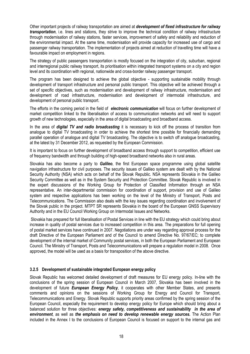Other important projects of railway transportation are aimed at development of fixed infrastructure for railway transportation, i.e. lines and stations, they strive to improve the technical condition of railway infrastructure through modernisation of railway stations, faster services, improvement of safety and reliability and reduction of the environmental impact. At the same time, modernisation will provide capacity for increased use of cargo and passenger railway transportation. The implementation of projects aimed at reduction of travelling time will have a favourable impact on employment in regions.

The strategy of public passengers transportation is mostly focused on the integration of city, suburban, regional and interregional public railway transport, its prioritisation within integrated transport systems on a city and region level and its coordination with regional, nationwide and cross-border railway passenger transport.

The program has been designed to achieve the global objective - supporting sustainable mobility through development of transport infrastructure and personal public transport. This objective will be achieved through a set of specific objectives, such as modernisation and development of railway infrastructure, modernisation and development of road infrastructure, modernisation and development of intermodal infrastructure, and development of personal public transport.

The efforts in the coming period in the field of electronic communication will focus on further development of market competition linked to the liberalisation of access to communication networks and will need to support growth of new technologies, especially in the area of digital broadcasting and broadband access.

In the area of **digital TV and radio broadcasting** it is necessary to kick off the process of transition from analogue to digital TV broadcasting in order to achieve the shortest time possible for financially demanding parallel operation of analogue and digital TV broadcasting. The objective is to switch off analogue broadcasting, at the latest by 31 December 2012, as requested by the European Commission.

It is important to focus on further development of broadband access through support to competition, efficient use of frequency bandwidth and through building of high-speed broadband networks also in rural areas.

Slovakia has also become a party to **Galileo**, the first European space programme using global satellite navigation infrastructure for civil purposes. The security issues of Galileo system are dealt with by the National Security Authority (NSA) which acts on behalf of the Slovak Republic. NSA represents Slovakia in the Galileo Security Committee as well as in the System Security and Protection Committee. Slovak Republic is involved in the expert discussions of the Working Group for Protection of Classified Information through an NSA representative. An inter-departmental commission for coordination of support, provision and use of Galileo system and respective applications has been working on the level of the Ministry of Transport, Posts and Telecommunications. The Commission also deals with the key issues regarding coordination and involvement of the Slovak public in the project. MTPT SR represents Slovakia in the board of the European GNSS Supervisory Authority and in the EU Council Working Group on Intermodal Issues and Networks.

 Slovakia has prepared for full liberalisation of Postal Services in line with the EU strategy which could bring about increase in quality of postal services due to increased competition in this area. The preparations for full opening of postal market services have continued in 2007. Negotiations are under way regarding approval process for the draft Directive of the European Parliament and of the Council to amend Directive No. 97/67/EC; to complete development of the internal market of Community postal services, in both the European Parliament and European Council. The Ministry of Transport, Posts and Telecommunications will prepare a regulation model in 2008. Once approved, the model will be used as a basis for transposition of the above directive.

#### 3.2.5 Development of sustainable integrated European energy policy

Slovak Republic has welcomed detailed development of draft measures for EU energy policy. In-line with the conclusions of the spring session of European Council in March 2007, Slovakia has been involved in the development of future **European Energy Policy**, it cooperates with other Member States, and presents comments and opinions on the sessions of Working Group for Energy and Council for Transport, Telecommunications and Energy. Slovak Republic supports priority areas confirmed by the spring session of the European Council, especially the requirement to develop energy policy for Europe which should bring about a balanced solution for three objectives: energy safety, competitiveness and sustainability in the area of environment, as well as the emphasis on need to develop renewable energy sources. The Action Plan included in the Annex I to the conclusions of European Council is focused on support to the internal gas and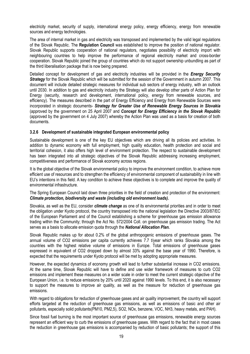electricity market, security of supply, international energy policy, energy efficiency, energy from renewable sources and energy technologies.

The area of internal market in gas and electricity was transposed and implemented by the valid legal regulations of the Slovak Republic. The Regulation Council was established to improve the position of national regulator. Slovak Republic supports cooperation of national regulators, negotiates possibility of electricity import with neighbouring countries to help improve the performance of regional electricity market and cross-border cooperation. Slovak Republic joined the group of countries which do not support ownership unbundling as part of the third liberalisation package that is now being prepared.

Detailed concept for development of gas and electricity industries will be provided in the *Energy Security* Strategy for the Slovak Republic which will be submitted for the session of the Government in autumn 2007. This document will include detailed strategic measures for individual sub sectors of energy industry, with an outlook until 2030. In addition to gas and electricity industry the Strategy will also develop other parts of Action Plan for Energy (security, research and development, international policy, energy from renewable sources, and efficiency). The measures described in the part of Energy Efficiency and Energy from Renewable Sources were incorporated in strategic documents- Strategy for Greater Use of Renewable Energy Sources in Slovakia (approved by the government on 25 April 2007 and Concept for Energy Efficiency in the Slovak Republic (approved by the government on 4 July 2007) whereby the Action Plan was used as a basis for creation of both documents.

#### 3.2.6 Development of sustainable integrated European environmental policy

Sustainable development is one of the key EU objectives which are driving all its policies and activities. In addition to dynamic economy with full employment, high quality education, health protection and social and territorial cohesion, it also offers high level of environment protection. The respect to sustainable development has been integrated into all strategic objectives of the Slovak Republic addressing increasing employment, competitiveness and performance of Slovak economy across regions.

It is the global objective of the Slovak environmental policy to improve the environment condition, to achieve more efficient use of resources and to strengthen the efficiency of environmental component of sustainability in line with EU's intentions in this field. A key condition to achieve these objectives is to complete and improve the quality of environmental infrastructure.

The Spring European Council laid down three priorities in the field of creation and protection of the environment: Climate protection, biodiversity and waste (including old environment loads).

Slovakia, as well as the EU, consider *climate change* as one of its environmental priorities and in order to meet the obligation under Kyoto protocol, the country transposed into the national legislation the Directive 2003/87/EC of the European Parliament and of the Council establishing a scheme for greenhouse gas emission allowance trading within the Community; through the Act No. 572/2004 Coll. on greenhouse gas emission trading. The Act serves as a basis to allocate emission quota through the **National Allocation Plan.** 

Slovak Republic makes up for about 0.2% of the global anthropogenic emissions of greenhouse gases. The annual volume of CO2 emissions per capita currently achieves 7.7 t/year which ranks Slovakia among the countries with the highest relative volume of emissions in Europe. Total emissions of greenhouse gases expressed in equivalent of CO2 dropped down by almost 33% against the base year of 1990. Therefore, is expected that the requirements under Kyoto protocol will be met by adopting appropriate measures.

However, the expected dynamics of economy growth will lead to further substantial increase in CO2 emissions. At the same time, Slovak Republic will have to define and use wider framework of measures to curb CO2 emissions and implement these measures on a wider scale in order to meet the current strategic objective of the European Union, i.e. to reduce emissions by 20% until 2020 against 1990 levels. To this end, it is also necessary to support the measures to improve air quality, as well as the measure for reduction of greenhouse gas emissions.

With regard to obligations for reduction of greenhouse gases and air quality improvement, the country will support efforts targeted at the reduction of greenhouse gas emissions, as well as emissions of basic and other air pollutants, especially solid pollutants(PM10, PM2,5), SO2, NOx, benzene, VOC, NH3, heavy metals, and PAH).

Since fossil fuel burning is the most important source of greenhouse gas emissions, renewable energy sources represent an efficient way to curb the emissions of greenhouse gases. With regard to the fact that in most cases the reduction in greenhouse gas emissions is accompanied by reduction of basic pollutants; the support of this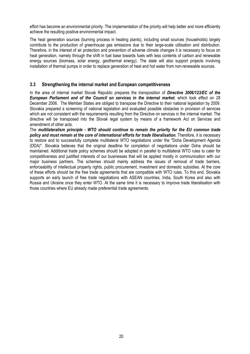effort has become an environmental priority. The implementation of the priority will help better and more efficiently achieve the resulting positive environmental impact.

The heat generation sources (burning process in heating plants), including small sources (households) largely contribute to the production of greenhouse gas emissions due to their large-scale utilisation and distribution. Therefore, in the interest of air protection and prevention of adverse climate changes it is necessary to focus on heat generation, namely through the shift in fuel base towards fuels with less contents of carbon and renewable energy sources (biomass, solar energy, geothermal energy). The state will also support projects involving installation of thermal pumps in order to replace generation of heat and hot water from non-renewable sources.

## 3.3 Strengthening the internal market and European competitiveness

In the area of internal market Slovak Republic prepares the transposition of Directive 2006/123/EC of the European Parliament and of the Council on services in the internal market, which took effect on 28 December 2006. The Member States are obliged to transpose the Directive to their national legislation by 2009. Slovakia prepared a screening of national legislation and evaluated possible obstacles in provision of services which are not consistent with the requirements resulting from the Directive on services in the internal market. The directive will be transposed into the Slovak legal system by means of a framework Act on Services and amendment of other acts.

The multilateralism principle - WTO should continue to remain the priority for the EU common trade policy and must remain at the core of international efforts for trade liberalisation. Therefore, it is necessary to restore and to successfully complete multilateral WTO negotiations under the "Doha Development Agenda (DDA)". Slovakia believes that the original deadline for completion of negotiations under Doha should be maintained. Additional trade policy schemes should be adopted in parallel to multilateral WTO rules to cater for competitiveness and justified interests of our businesses that will be applied mostly in communication with our major business partners. The schemes should mainly address the issues of removal of trade barriers, enforceability of intellectual property rights, public procurement, investment and domestic subsidies. At the core of these efforts should be the free trade agreements that are compatible with WTO rules. To this end, Slovakia supports an early launch of free trade negotiations with ASEAN countries, India, South Korea and also with Russia and Ukraine once they enter WTO. At the same time it is necessary to improve trade liberalisation with those countries where EU already made preferential trade agreements.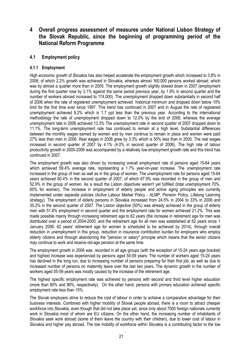# 4 Overall progress assessment of measures under National Lisbon Strategy of the Slovak Republic, since the beginning of programming period of the National Reform Programme

# 4.1 Employment policy

#### 4.1.1 Employment

High economic growth of Slovakia has also helped accelerate the employment growth which increased to 3.8% in 2006; of which 2.2% growth was achieved in Slovakia, whereas almost 160,000 persons worked abroad, which was by almost a quarter more than in 2005. The employment growth slightly slowed down in 2007 (employment during the first quarter rose by 3.1% against the same period previous year, by 1.9% in second quarter and the number of workers abroad increased to 174,000). The unemployment dropped down substantially in second half of 2006 when the rate of registered unemployment achieved historical minimum and dropped down below 10% limit for the first time ever since 1997. This trend has continued in 2007 and in August the rate of registered unemployment achieved 8.2% which is 1.7 ppt less than the previous year. According to the international methodology the rate of unemployment dropped down to 12.0% by the end of 2006, whereas the average unemployment rate in 2006 achieved 13.3% The unemployment rate in second quarter of 2007 dropped down to 11.1%. The long-term unemployment rate has continued to remain at a high level. Substantial differences between the monthly wages earned by women and by men continue to remain in place and women were paid 27% less than men in 2006. Real wages in 2006 grew by 3.3% which is 50% less than in 2005. The real wages increased in second quarter of 2007 by 4.1% (4.0% in second quarter of 2006). The high rate of labour productivity growth in 2000-2006 was accompanied by a relatively low employment growth rate and this trend has continued in 2007.

The employment growth was also driven by increasing overall employment rate of persons aged 15-64 years which achieved 59.4% average rate, representing a 1.7% year-on-year increase. The unemployment rate increased in the group of men as well as in the group of women. The unemployment rate for persons aged 15-64 years achieved 60.4% in the second quarter of 2007, of which 67.9% was recorded in the group of men and 52.9% in the group of women. As a result the Lisbon objectives weren't yet fulfilled (total unemployment 70%, 60% for women). The increase in employment of elderly people and active aging principles are currently implemented under separate policies (Active Labour Market Policy - ALMP, Pension Policy, Lifelong Learning strategy). The employment of elderly persons in Slovakia increased from 24.5% in 2004 to 33% in 2006 and 35.2% in the second quarter of 2007. The Lisbon objective (50%) was already achieved in the group of elderly men with 51.6% employment in second quarter and the employment rate for women achieved 21.2%. This was made possible mainly through increasing retirement age to 62 years (the increase in retirement age for men was distributed over a period of 2004-2005, and the retirement age for all men was established at 62 years since 1 January 2006; 62 years' retirement age for women is scheduled to be achieved by 2014), through overall reduction in unemployment in this group, reduction in insurance contribution burden for employers who employ elderly citizens and through abandoning the "pension or salary" principle which means that the senior citizens may continue to work and receive old-age pension at the same time.

The employment growth in 2006 was recorded in all age groups (with the exception of 15-24 years age bracket) and highest increase was experienced by persons aged 55-59 years. The number of workers aged 15-24 years has declined in the long run, due to increasing number of persons preparing for their first job, as well as due to increased number of persons on maternity leave over the last two years. The dynamic growth in the number of workers aged 55-59 years was mostly caused by the increase of the retirement age.

The highest specific employment rate was achieved by persons with second and third level higher education (more than 80% and 90%, respectively). On the other hand, persons with primary education achieved specific employment rate less than 15%.

The Slovak employers strive to reduce the cost of labour in order to achieve a comparative advantage for their business interests. Combined with higher mobility of Slovak people abroad, there is a room to attract cheaper workforce into Slovakia, even though that did not take place yet, since only about 7000 foreign nationals currently work in Slovakia most of whom are EU citizens. On the other hand, the increasing number of inhabitants of Slovakia seek work abroad (some of them leave the country with their children), due to lower cost of labour in Slovakia and higher pay abroad. The low mobility of workforce within Slovakia is a contributing factor to the low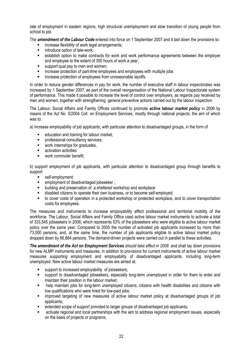rate of employment in eastern regions, high structural unemployment and slow transition of young people from school to job.

The **amendment of the Labour Code** entered into force on 1 September 2007 and it laid down the provisions to:

- increase flexibility of work legal arrangements;
- introduce option of tele-work;
- establish option to make contracts for work and work performance agreements between the employer and employee to the extent of 350 hours of work a year;
- support qual pay to men and women;
- increase protection of part-time employees and employees with multiple jobs
- **EXECT** increase protection of employees from unreasonable layoffs.

In order to reduce gender differences in pay for work, the number of executive staff in labour inspectorates was increased by 1 September 2007, as part of the overall reorganisation of the National Labour Inspectorate system of performance. This made it possible to increase the level of control over employers, as regards pay received by men and women; together with strengthening general preventive actions carried out by the labour inspection.

The Labour, Social Affairs and Family Offices continued to promote **active labour market policy** in 2006 by means of the Act No. 5/2004 Coll. on Employment Services, mostly through national projects; the aim of which was to:

a) increase employability of job applicants, with particular attention to disadvantaged groups, in the form of

- education and training for labour market,
- **Professional consultancy services;**
- work internships for graduates.
- **EXECUTE:** activation activities
- work commuter benefit:

b) support employment of job applicants, with particular attention to disadvantaged group through benefits to support

- self-employment;
- **EXECUTE:** employment of disadvantaged jobseeker ;
- **EXECT** building and preservation of a sheltered workshop and workplace
- disabled citizens to operate their own business, or to become self-employed;
- to cover costs of operation in a protected workshop or protected workplace, and to cover transportation costs for employees.

The measures and instruments to increase employability affect professional and territorial mobility of the workforce. The Labour, Social Affairs and Family Office used active labour market instruments to activate a total of 333,545 jobseekers in 2006; which represents 53% of the jobseekers who were eligible to active labour market policy over the same year. Compared to 2005 the number of activated job applicants increased by more than 73,000 persons, and, at the same time, the number of job applicants eligible to active labour market policy dropped down by 66,864 persons. The demand-driven projects were carried out in parallel to these activities.

The amendment of the Act on Employment Services should take effect in 2008 and shall lay down provisions for new ALMP instruments and measures, in addition to provisions for current instruments of active labour market measures supporting employment and employability of disadvantaged applicants, including long-term unemployed. New active labour market measures are aimed at:

- support to increased employability of iobseekers:
- support to disadvantaged jobseekers, especially long-term unemployed in order for them to enter and maintain their position in the labour market;
- help maintain jobs for long-term unemployed citizens, citizens with health disabilities and citizens with low qualifications who were hired for low-paid jobs;
- improved targeting of new measures of active labour market policy at disadvantaged groups of job applicants;
- extended scope of support provided to larger groups of disadvantaged job applicants;
- activate regional and local partnerships with the aim to address regional employment issues, especially on the basis of projects or programs;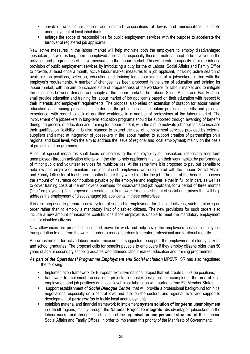- involve towns, municipalities and establish associations of towns and municipalities to tackle unemployment of local inhabitants;
- enlarge the scope of responsibilities for public employment services with the purpose to accelerate the turnover of registered job applicants.

New active measures in the labour market will help motivate both the employers to employ disadvantaged jobseekers, as well as long-term unemployed applicants, especially those in material need to be involved in the activities and programmes of active measures in the labour market. This will create a capacity for more intense provision of public employment services by introducing a duty for the of Labour, Social Affairs and Family Office to provide, at least once a month, active labour market measures to a job applicant, including active search of available job positions, selection, education and training for labour market of a jobseekers in line with the employer's requirements. A number of changes has been proposed in the area of education and training for labour market, with the aim to increase state of preparedness of the workforce for labour market and to mitigate the disparities between demand and supply at the labour market. The Labour, Social Affairs and Family Office shall provide education and training for labour market of job applicants based on their education with respect to their interests and employers' requirements. The proposal also relies on extension of duration for labour market education and training processes, in order for the job applicants to obtain professional skills and practical experience, with regard to lack of qualified workforce in a number of professions at the labour market. The involvement of a jobseekers in long-term education programs should be supported through awarding of benefits during the process of education and training for labour market, with the aim to motivate job applicants to increase their qualification flexibility. It is also planned to extend the use of employment services provided by external suppliers and aimed at integration of jobseekers in the labour market; to support creation of partnerships on a regional and local level, with the aim to address the issue of regional and local employment; mainly on the basis of projects and programmes.

A set of special measures shall focus on increasing the employability of jobseekers (especially long-term unemployed) through activation efforts with the aim to help applicants maintain their work habits; by performance of minor public and volunteer services for municipalities. At the same time it is proposed to pay out benefits to help low-paid employees maintain their jobs, if such employees were registered with the Labour, Social Affairs and Family Office for at least three months before they were hired for the job. The aim of the benefit is to cover the amount of insurance contributions payable by the employee and employer, either in full or in part, as well as to cover training costs at the employer's premises for disadvantaged job applicant, for a period of three months ("trial" employment). It is proposed to create legal framework for establishment of social enterprises that will help address the employment of disadvantaged job applicants in these enterprises.

It is also proposed to prepare a new system of support to employment for disabled citizens, such as placing an order rather than to employ a mandatory limit of disabled citizens. The new provisions for such orders also include a new amount of insurance contributions if the employer is unable to meet the mandatory employment limit for disabled citizens.

New allowances are proposed to support move for work and help cover the employer's costs of employees' transportation to and from the work; in order to reduce burdens to greater professional and territorial mobility.

A new instrument for active labour market measures is suggested to support the employment of elderly citizens and school graduates. The proposal calls for benefits payable to employers if they employ citizens older than 50 years of age or secondary school graduates who attended labour market education and training programmes.

#### As part of the Operational Programme Employment and Social Inclusion MPSVR SR has also negotiated the following:

- **IMPLEMENTATION FRAMEWORK FOR EUROPEAN EXCLUSIVE NATIONAL PROPERTION FOR A LIM** Create 5,000 job positions;
- framework to implement transnational projects to transfer best practices examples in the area of local employment and job positions on a local level, in collaboration with partners from EU Member States;
- support establishment of Social Dialogue Centre that will provide a professional background for initial negotiations, especially on a central level and later on the sectoral and regional level; and support to development of **partnerships** to tackle local unemployment;
- establish material and financial framework to implement system solution of long-term unemployment in difficult regions, mainly through the National Project to integrate disadvantaged jobseekers in the labour market and through modification of the **organisation and personal structure of the** Labour, Social Affairs and Family Offices; in order to implement this priority of the Manifesto of Government;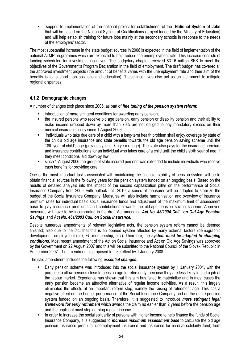**EXECT** support to implementation of the national project for establishment of the **National System of Jobs** that will be based on the National System of Qualifications (project funded by the Ministry of Education) and will help establish training for future jobs mainly at the secondary schools in response to the needs of the employers' sector.

The most substantial increase in the state budget sources in 2008 is expected in the field of implementation of the national ALMP programmes which are expected to help reduce the unemployment rate. This increase consists of funding scheduled for investment incentives. The budgetary chapter received 831.6 million SKK to meet the objectives of the Government's Program Declaration in the field of employment. The draft budget has covered all the approved investment projects (the amount of benefits varies with the unemployment rate and thee aim of the benefits is to: support job positions and education). These incentives also act as an instrument to mitigate regional disparities.

# 4.1.2 Demographic changes

A number of changes took place since 2006, as part of fine tuning of the pension system reform:

- introduction of more stringent conditions for awarding early pension;
- the insured persons who receive old age pension, early pension or disability pension and their ability to make income dropped down by more than 70% are not obliged to pay mandatory excess on their medical insurance policy since 1 August 2006;
- individuals who take due care of a child with a long-term health problem shall enjoy coverage by state of the child's old age insurance and state benefits towards the old age pension saving scheme until the 18th year of child's age (previously, until 7th year of age). The state also pays for the insurance premium and insurance contributions for an individual who takes care of a child until the child's sixth year of age; if they meet conditions laid down by law.
- since 1 August 2006 the group of state-insured persons was extended to include individuals who receive cash benefits for providing care;

One of the most important tasks associated with maintaining the financial stability of pension system will be to obtain financial sources in the following years for the pension system funded on an ongoing basis. Based on the results of detailed analysis into the impact of the second capitalization pillar on the performance of Social Insurance Company from 2005, with outlook until 2010, a series of measures will be adopted to stabilize the budget of the Social Insurance Company. Measures will also include harmonisation and overview of insurance premium rates for individual basic social insurance funds and adjustment of the maximum limit of assessment base to pay insurance premiums and contributions towards the old-age pension saving scheme. Approved measures will have to be incorporated in the draft Act amending Act No. 43/2004 Coll. on Old Age Pension Savings and Act No. 461/2003 Coll. on Social Insurance.

Despite numerous amendments of relevant legislative acts, the pension system reform cannot be deemed finished; also due to the fact that this is an opened system affected by many external factors (demographic development, employment rate, EU membership, etc.). Therefore, the system must be adapted to changing conditions. Most recent amendment of the Act on Social Insurance and Act on Old Age Savings was approved by the Government on 22 August 2007 and this will be submitted to the National Council of the Slovak Republic in September 2007. The amendment is proposed to take effect by 1 January 2008.

The said amendment includes the following essential changes:

- Early pension scheme was introduced into the social insurance system by 1 January 2004, with the purpose to allow persons close to pension age to retire early, because they are less likely to find a job at the labour market. Experience has shown that this aim has failed to materialise and in most cases the early pension became an attractive alternative of regular income activities. As a result, this largely eliminated the effects of an important reform step, namely the raising of retirement age. This has a negative effect on the budget performance of the Social Insurance Company and on the entire pension system funded on an ongoing basis. Therefore, it is suggested to introduce more stringent legal framework for early retirement which awards the claim no earlier than 2 years before the pension age and the applicant must stop earning regular income.
- In order to increase the social solidarity of persons with higher income to help finance the funds of Social Insurance Company, it is suggested to *increase maximum assessment base* to calculate the old age pension insurance premium, unemployment insurance and insurance for reserve solidarity fund; from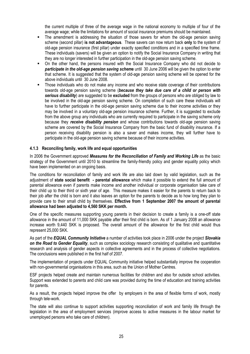the current multiple of three of the average wage in the national economy to multiple of four of the average wage; while the limitations for amount of social insurance premiums should be maintained.

- The amendment is addressing the situation of those savers for whom the old-age pension saving scheme (second pillar) is not advantageous. These savers can now return back only to the system of old-age pension insurance (first pillar) under exactly specified conditions and in a specified time frame. These individuals (savers) will be given an option to notify the Social Insurance Company in writing that they are no longer interested in further participation in the old-age pension saving scheme.
- On the other hand, the persons insured with the Social Insurance Company who did not decide to participate in the old-age pension saving scheme until 30 June 2006 will be given the option to enter that scheme. It is suggested that the system of old-age pension saving scheme will be opened for the above individuals until 30 June 2008.
- Those individuals who do not make any income and who receive state coverage of their contributions towards old-age pension saving scheme (because they take due care of a child or person with serious disability) are suggested to be excluded from the groups of persons who are obliged by law to be involved in the old-age pension saving scheme. On completion of such care these individuals will have to further participate in the old-age pension saving scheme due to their income activities or they may be involved in a voluntary old-age pension insurance scheme. Further, it is suggested to exclude from the above group any individuals who are currently required to participate in the saving scheme only because they receive disability pension and whose contributions towards old-age pension saving scheme are covered by the Social Insurance Company from the basic fund of disability insurance. If a person receiving disability pension is also a saver and makes income, they will further have to participate in the old-age pension saving scheme because of their income activities.

#### 4.1.3 Reconciling family, work life and equal opportunities

In 2006 the Government approved Measures for the Reconciliation of Family and Working Life as the basic strategy of the Government until 2010 to streamline the family-friendly policy and gender equality policy which have been implemented on an ongoing basis.

The conditions for reconciliation of family and work life are also laid down by valid legislation, such as the adjustment of state social benefit - parental allowance which make it possible to extend the full amount of parental allowance even if parents make income and another individual or corporate organisation take care of their child up to their third or sixth year of age. This measure makes it easier for the parents to return back to their job after the child is born and it also leaves an option for the parents to decide as to how long they plan to provide care to their small child by themselves. Effective from 1 September 2007 the amount of parental allowance had been adjusted to 4,560 SKK per month.

One of the specific measures supporting young parents in their decision to create a family is a one-off state allowance in the amount of 11,000 SKK payable after their first child is born. As of 1 January 2008 an allowance increase worth 9,440 SKK is proposed. The overall amount of the allowance for the first child would thus represent 25,000 SKK.

As part of the EQUAL Community Initiative a number of activities took place in 2006 under the project Slovakia on the Road to Gender Equality, such as complex sociology research consisting of qualitative and quantitative research and analysis of gender aspects in collective agreements and in the process of collective negotiations. The conclusions were published in the first half of 2007.

The implementation of projects under EQUAL Community initiative helped substantially improve the cooperation with non-governmental organisations in this area, such as the Union of Mother Centres.

ESF projects helped create and maintain numerous facilities for children and also for outside school activities. Support was extended to parents and child care was provided during the time of education and training activities for parents.

As a result, the projects helped improve the offer by employers in the area of flexible forms of work, mostly through tele-work.

The state will also continue to support activities supporting reconciliation of work and family life through the legislation in the area of employment services (improve access to active measures in the labour market for unemployed persons who take care of children).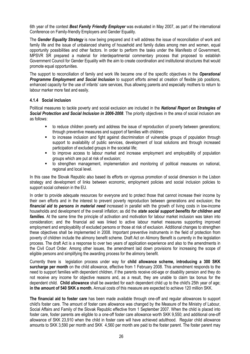6th year of the contest Best Family Friendly Employer was evaluated in May 2007, as part of the international Conference on Family-friendly Employers and Gender Equality.

The Gender Equality Strategy is now being prepared and it will address the issue of reconciliation of work and family life and the issue of unbalanced sharing of household and family duties among men and women, equal opportunity possibilities and other factors. In order to perform the tasks under the Manifesto of Government, MPSVR SR prepared a material for interdepartmental commentary process that proposed to establish Government Council for Gender Equality with the aim to create coordination and institutional structures that would promote equal opportunities.

The support to reconciliation of family and work life became one of the specific objectives in the **Operational Programme Employment and Social Inclusion** to support efforts aimed at creation of flexible job positions, enhanced capacity for the use of infants' care services, thus allowing parents and especially mothers to return to labour marker more fast and easily.

#### 4.1.4 Social inclusion

Political measures to tackle poverty and social exclusion are included in the National Report on Strategies of Social Protection and Social Inclusion in 2006-2008. The priority objectives in the area of social inclusion are as follows:

- to reduce children poverty and address the issue of reproduction of poverty between generations; through preventive measures and support of families with children;
- to increase inclusion and fight against discrimination of vulnerable groups of population through support to availability of public services, development of local solutions and through increased participation of excluded groups in the societal life;
- to improve access to labour market and increase employment and employability of population groups which are put at risk of exclusion;
- to strengthen management, implementation and monitoring of political measures on national, regional and local level.

In this case the Slovak Republic also based its efforts on vigorous promotion of social dimension in the Lisbon strategy and development of links between economic, employment policies and social inclusion policies to support social cohesion in the EU.

In order to provide adequate resources for everyone and to protect those that cannot increase their income by their own efforts and in the interest to prevent poverty reproduction between generations and exclusion; the financial aid to persons in material need increased in parallel with the growth of living costs in low-income households and development of the overall inflation; as did the *state social support benefits for children and* families. At the same time the principle of activation and motivation for labour market inclusion was taken into consideration; and the financial aid was linked to active labour market measures supporting improved employment and employability of excluded persons or those at risk of exclusion. Additional changes to strengthen these objectives shall be implemented in 2008. Important preventive instruments in the field of protection from poverty of children include the alimony benefit scheme. Draft Act on Alimony Benefit is currently in the legislation process. The draft Act is a response to over two years of application experience and also to the amendments in the Civil Court Order. Among other issues, the amendment laid down provisions for increasing the scope of eligible persons and simplifying the awarding process for the alimony benefit.

Currently there is legislation process under way for child allowance scheme, introducing a 300 SKK surcharge per month on the child allowance, effective from 1 February 2008. This amendment responds to the need to support families with dependent children, if the parents receive old-age or disability pension and they do not receive any income for objective reasons and, as a result, they are unable to claim tax bonus for the dependent child. Child allowance shall be awarded for each dependent child up to the child's 25th year of age; in the amount of 540 SKK a month. Annual costs of this measure are expected to achieve 120 million SKK.

The financial aid to foster care has been made available through one-off and regular allowances to support child's foster care. The amount of foster care allowance was changed by the Measure of the Ministry of Labour, Social Affairs and Family of the Slovak Republic effective from 1 September 2007. When the child is placed into foster care, foster parents are eligible to a one-off foster care allowance worth SKK 9,550; and additional one-off allowance of SKK 23,910 when the child in foster care will have achieved adulthood. Regular child allowance amounts to SKK 3,590 per month and SKK 4,560 per month are paid to the foster parent. The foster parent may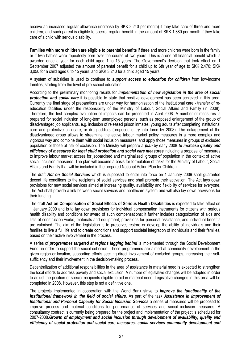receive an increased regular allowance (increase by SKK 3,240 per month) if they take care of three and more children; and such parent is eligible to special regular benefit in the amount of SKK 1,880 per month if they take care of a child with serious disability.

Families with more children are eligible to parental benefits if three and more children were born in the family or if twin babies were repeatedly born over the course of two years. This is a one-off financial benefit which is awarded once a year for each child aged 1 to 15 years. The Government's decision that took effect on 1 September 2007 adjusted the amount of parental benefit for a child up to 6th year of age to SKK 2,470; SKK 3,050 for a child aged 6 to 15 years; and SKK 3,240 for a child aged 15 years.

A system of subsidies is used to continue to support access to education for children from low-income families; starting from the level of pre-school education.

According to the preliminary monitoring results for *implementation of new legislation in the area of social* **protection and social care** it is possible to state that positive development has been achieved in this area. Currently the final stage of preparations are under way for harmonisation of the institutional care - transfer of reeducation facilities under the responsibility of the Ministry of Labour, Social Affairs and Family (in 2008). Therefore, the first complex evaluation of impacts can be presented in April 2008. A number of measures is prepared for social inclusion of long-term unemployed persons, such as proposed enlargement of the group of disadvantaged job applicants, e.g. inclusion of released prison inmates, young adults after completing institutional care and protective childcare, or drug addicts (proposed entry into force by 2008). The enlargement of the disadvantaged group allows to streamline the active labour market policy measures in a more complex and vigorous way and combine them with social inclusion measures; and apply those measures in groups of excluded population or those at risk of exclusion. The Ministry will prepare a plan by early 2008 to increase quality and efficiency of measures for legal child protection and social care measures including a proposal of measures to improve labour market access for jeopardised and marginalized groups of population in the context of active social inclusion measures. The plan will become a basis for formulation of tasks for the Ministry of Labour, Social Affairs and Family that will be included in the prepared National Action Plan for Children.

The draft Act on Social Services which is supposed to enter into force on 1 January 2009 shall quarantee decent life conditions to the recipients of social services and shall promote their activation. The Act lays down provisions for new social services aimed at increasing quality, availability and flexibility of services for everyone. The Act shall provide a link between social services and healthcare system and will also lay down provisions for their funding.

The draft Act on Compensation of Social Effects of Serious Health Disabilities is expected to take effect on 1 January 2009 and is to lay down provisions for individual compensation instruments for citizens with serious health disability and conditions for award of such compensations; it further includes categorization of aids and lists of construction works, materials and equipment, provisions for personal assistance, and individual benefits are valorised. The aim of the legislation is to preserve, restore or develop the ability of individuals and their families to live a full life and to create conditions and support societal integration of individuals and their families, based on their active involvement in the process.

A series of *programmes targeted at regions lagging behind* is implemented through the Social Development Fund, in order to support the social cohesion. These programmes are aimed at community development in the given region or location, supporting efforts seeking direct involvement of excluded groups, increasing their selfsufficiency and their involvement in the decision-making process.

Decentralization of additional responsibilities in the area of assistance in material need is expected to strengthen the local efforts to address poverty and social exclusion. A number of legislative changes will be adopted in order to adjust the position of special recipients eligible to aid in material need. Legislative changes in this area will be completed in 2008. However, this step is not a definitive one.

The projects implemented in cooperation with the World Bank strive to *improve the functionality of the* institutional framework in the field of social affairs. As part of the task Assistance in Improvement of Institutional and Personal Capacity for Social Inclusion Services a series of measures will be proposed to improve process and material conditions for performance of services and social inclusion measures. A consultancy contract is currently being prepared for the project and implementation of the project is scheduled for 2007-2008.Growth of employment and social inclusion through development of availability, quality and efficiency of social protection and social care measures, social services community development and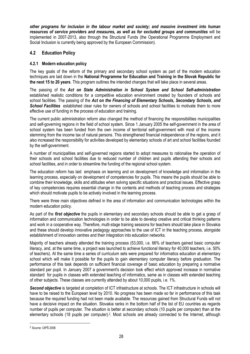other programs for inclusion in the labour market and society; and massive investment into human resources of service providers and measures, as well as for excluded groups and communities will be implemented in 2007-2013, also through the Structural Funds (the Operational Programme Employment and Social Inclusion is currently being approved by the European Commission).

# 4.2 Education Policy

## 4.2.1 Modern education policy

The key goals of the reform of the primary and secondary school system as part of the modern education techniques are laid down in the National Programme for Education and Training in the Slovak Republic for the next 15 to 20 years. This program outlines the intended changes that will take place in several areas.

The passing of the Act on State Administration in School System and School Self-administration established realistic conditions for a competitive education environment created by founders of schools and school facilities. The passing of the Act on the Financing of Elementary Schools, Secondary Schools, and School Facilities established clear rules for owners of schools and school facilities to motivate them to more effective use of funding in the process of education and training.

The current public administration reform also changed the method of financing the responsibilities municipalities and self-governing regions in the field of school system. Since 1 January 2005 the self-government in the area of school system has been funded from the own income of territorial self-government with most of the income stemming from the income tax of natural persons. This strengthened financial independence of the regions, and it also increased the responsibility for activities developed by elementary schools of art and school facilities founded by the self-government.

A number of municipalities and self-governed regions started to adopt measures to rationalise the operation of their schools and school facilities due to reduced number of children and pupils attending their schools and school facilities, and in order to streamline the funding of the regional school system.

The education reform has laid emphasis on learning and on development of knowledge and information in the learning process, especially on development of competencies for pupils. This means the pupils should be able to combine their knowledge, skills and attitudes when solving specific situations and practical issues. Effective grasp of key competencies requires essential change in the contents and methods of teaching process and strategies which should motivate pupils to be actively involved in the learning process.

There were three main objectives defined in the area of information and communication technologies within the modern education policy.

As part of the *first objective* the pupils in elementary and secondary schools should be able to get a grasp of information and communication technologies in order to be able to develop creative and critical thinking patterns and work in a cooperative way. Therefore, multi-stage training sessions for teachers should take place in Slovakia and these should develop innovative pedagogy approaches to the use of ICT in the teaching process, alongside establishment of innovation centres and their integration into education networks.

Majority of teachers already attended the training process (53,000, i.e. 66% of teachers gained basic computer literacy, and, at the same time, a project was launched to achieve functional literacy for 40,000 teachers, i.e. 50% of teachers). At the same time a series of curriculum sets were prepared for informatics education at elementary school which will make it possible for the pupils to gain elementary computer literacy before graduation. The performance of this task depends on sufficient financial coverage of basic education by preparing a normative standard per pupil. In January 2007 a government's decision took effect which approved increase in normative standard for pupils in classes with extended teaching of informatics, same as in classes with extended teaching of other subjects. These classes are currently attended by about 10,000 pupils, i.e. 1%.

Second objective is targeted at completion of ICT infrastructure at schools. The ICT infrastructure in schools will have to be raised to the European level by 2010. No progress has been made so far in performance of this task because the required funding had not been made available. The resources gained from Structural Funds will not have a decisive impact on the situation. Slovakia ranks in the bottom half of the list of EU countries as regards number of pupils per computer. The situation is better at secondary schools (10 pupils per computer) than at the elementary schools (18 pupils per computer).<sup>2</sup>. Most schools are already connected to the Internet, although

l

<sup>2</sup> Source: ÚIPŠ 2006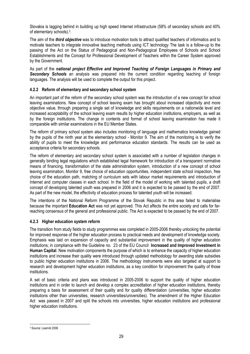Slovakia is lagging behind in building up high speed Internet infrastructure (58% of secondary schools and 40% of elementary schools).<sup>3</sup> .

The aim of the *third objective* was to introduce motivation tools to attract qualified teachers of informatics and to motivate teachers to integrate innovative teaching methods using ICT technology The task is a follow-up to the passing of the Act on the Status of Pedagogical and Non-Pedagogical Employees of Schools and School Establishments and the Concept for Professional Development of Teachers within the Career System approved by the Government.

As part of the national project Effective and Improved Teaching of Foreign Languages in Primary and Secondary Schools an analysis was prepared into the current condition regarding teaching of foreign languages. The analysis will be used to complete the output for this project.

## 4.2.2 Reform of elementary and secondary school system

An important part of the reform of the secondary school system was the introduction of a new concept for school leaving examinations. New concept of school leaving exam has brought about increased objectivity and more objective value, through preparing a single set of knowledge and skills requirements on a nationwide level and increased acceptability of the school leaving exam results by higher education institutions, employers, as well as by the foreign institutions. The change in contents and format of school leaving examination has made it comparable with similar examinations in the EU Member States.

The reform of primary school system also includes monitoring of language and mathematics knowledge gained by the pupils of the ninth year at the elementary school - Monitor 9. The aim of the monitoring is to verify the ability of pupils to meet the knowledge and performance education standards. The results can be used as acceptance criteria for secondary schools.

The reform of elementary and secondary school system is associated with a number of legislation changes in generally binding legal regulations which established legal framework for introduction of a transparent normative means of financing, transformation of the state administration system, introduction of a new concept of school leaving examination, Monitor 9, free choice of education opportunities, independent state school inspection, free choice of the education path, matching of curriculum sets with labour market requirements and introduction of Internet and computer classes in each school. In the field of the model of working with talented pupils, a draft concept of developing talented youth was prepared in 2006 and it is expected to be passed by the end of 2007. As part of the new model, the effectivity of education process for talented youth will be increased.

The intentions of the National Reform Programme of the Slovak Republic in this area failed to materialise because the important **Education Act** was not yet approved. This Act affects the entire society and calls for farreaching consensus of the general and professional public. The Act is expected to be passed by the end of 2007.

#### 4.2.3 Higher education system reform

The transition from study fields to study programmes was completed in 2005-2006 thereby unlocking the potential for improved response of the higher education process to practical needs and development of knowledge society. Emphasis was laid on expansion of capacity and substantial improvement in the quality of higher education institutions; in compliance with the Guideline no. 23 of the EU Council Increased and Improved Investment in Human Capital. New motivation components the purpose of which is to enhance the capacity of higher education institutions and increase their quality were introduced through updated methodology for awarding state subsidies to public higher education institutions in 2006. The methodology instruments were also targeted at support to research and development higher education institutions, as a key condition for improvement the quality of those institutions.

A set of basic criteria and plans was introduced in 2005-2006 to support the quality of higher education institutions and in order to launch and develop a complex accreditation of higher education institutions, thereby preparing a basis for assessment of their quality and for quality differentiation (universities, higher education institutions other than universities, research universities/universities). The amendment of the Higher Education Act was passed in 2007 and split the schools into universities, higher education institutions and professional higher education institutions.

l 3 Source: LearnId 2006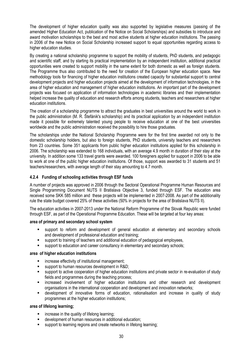The development of higher education quality was also supported by legislative measures (passing of the amended Higher Education Act, publication of the Notice on Social Scholarships) and subsidies to introduce and award motivation scholarships to the best and most active students at higher education institutions. The passing in 2006 of the new Notice on Social Scholarship increased support to equal opportunities regarding access to higher education studies.

By creating a national scholarship programme to support the mobility of students, PhD students, and pedagogic and scientific staff, and by starting its practical implementation by an independent institution, additional practical opportunities were created to support mobility in the same extent for both domestic as well as foreign students. The Programme thus also contributed to the need for creation of the European higher education space. New methodology tools for financing of higher education institutions created capacity for substantial support to central development projects and higher education projects aimed at the development of information technologies, in the area of higher education and management of higher education institutions. An important part of the development projects was focused on application of information technologies in academic libraries and their implementation helped increase the quality of education and research efforts among students, teachers and researchers at higher education institutions.

The creation of a scholarship programme to attract the graduates in best universities around the world to work in the public administration (M. R. Štefánik's scholarship) and its practical application by an independent institution made it possible for extremely talented young people to receive education at one of the best universities worldwide and the public administration received the possibility to hire those graduates.

The scholarships under the National Scholarship Programme were for the first time awarded not only to the domestic scholarship holders, but also to foreign students, PhD students, university teachers and researchers from 23 countries. Some 351 applicants from public higher education institutions applied for this scholarship in 2006. The scholarship was extended to 168 individuals, with an average 4.9 month in duration of their stay at the university. In addition some 133 travel grants were awarded. 100 foreigners applied for support in 2006 to be able to work at one of the public higher education institutions. Of those, support was awarded to 31 students and 51 teachers/researchers, with average length of their stay amounting to 4.7 month.

#### 4.2.4 Funding of schooling activities through ESF funds

A number of projects was approved in 2006 through the Sectoral Operational Programme Human Resources and Single Programming Document NUTS II Bratislava Objective 3, funded through ESF. The education area received some SKK 585 million and these projects will be implemented in 2007-2008. As part of the additionality rule the state budget covered 25% of these activities (50% in projects for the area of Bratislava NUTS II).

The education activities in 2007-2013 under the National Reform Programme of the Slovak Republic were funded through ESF, as part of the Operational Programme Education. These will be targeted at four key areas:

#### area of primary and secondary school system

- support to reform and development of general education at elementary and secondary schools and development of professional education and training;
- support to training of teachers and additional education of pedagogical employees,
- support to education and career consultancy in elementary and secondary schools;

#### area of higher education institutions

- increase effectivity of institutional management;
- support to human resources development in R&D;
- support to active cooperation of higher education institutions and private sector in re-evaluation of study fields and programmes during the teaching process;
- **EXECT:** increased involvement of higher education institutions and other research and development organisations in the international cooperation and development and innovation networks;
- development of innovative forms of education, rationalisation and increase in quality of study programmes at the higher education institutions;

#### area of lifelong learning;

- increase in the quality of lifelong learning;
- development of human resources in additional education;
- support to learning regions and create networks in lifelong learning;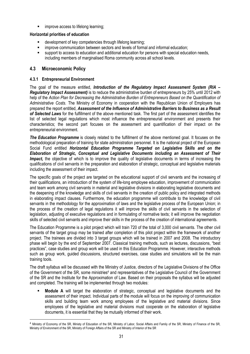**EXECO improve access to lifelong learning;** 

#### Horizontal priorities of education

- development of key competencies through lifelong learning;
- improve communication between sectors and levels of formal and informal education;
- support to access to education and additional education for persons with special education needs, including members of marginalised Roma community across all school levels.

# 4.3 Microeconomic Policy

 $\overline{\phantom{a}}$ 

#### 4.3.1 Entrepreneurial Environment

The goal of the measure entitled, *Introduction of the Regulatory Impact Assessment System (RIA –* Regulatory Impact Assessment) is to reduce the administrative burden of entrepreneurs by 25% until 2012 with help of the Action Plan for Decreasing the Administrative Burden of Entrepreneurs Based on the Quantification of Administrative Costs. The Ministry of Economy in cooperation with the Republican Union of Employers has prepared the report entitled, Assessment of the Influence of Administrative Barriers to Business as a Result of Selected Laws for the fulfillment of the above mentioned task. The first part of the assessment identifies the list of selected legal regulations which most influence the entrepreneurial environment and presents their characteristics; the second part focuses on the assessment and quantification of their impact on the entrepreneurial environment.

The Education Programme is closely related to the fulfillment of the above mentioned goal. It focuses on the methodological preparation of training for state administration personnel. It is the national project of the European Social Fund entitled Horizontal Education Programme Targeted on Legislative Skills and on the Elaboration of Strategic, Conceptual and Legislative Documents including an Assessment of Their Impact, the objective of which is to improve the quality of legislative documents in terms of increasing the qualifications of civil servants in the preparation and elaboration of strategic, conceptual and legislative materials including the assessment of their impact.

The specific goals of the project are targeted on the educational support of civil servants and the increasing of their qualifications, an introduction of the system of life-long employee education, improvement of communication and team work among civil servants in material and legislative divisions in elaborating legislative documents and the deepening of the knowledge and skills of civil servants in the creation of public policy and integrated methods in elaborating impact clauses. Furthermore, the education programme will contribute to the knowledge of civil servants in the methodology for the approximation of laws and the legislative process of the European Union; in the process of the creation of legal regulations it will improve the skills of civil servants in the selection of legislation, adjusting of executive regulations and in formulating of normative texts; it will improve the negotiation skills of selected civil servants and improve their skills in the process of the creation of international agreements.

The Education Programme is a pilot project which will train 720 of the total of 3,000 civil servants. The other civil servants of the target group may be trained after completion of this pilot project within the framework of another project. The trainees are divided into 3 target groups which will be trained in 2007 and 2008. The introductory phase will begin by the end of September 2007. Classical training methods, such as lectures, discussions, "best practices", case studies and group work will be used in this Education Programme. However, interactive methods such as group work, guided discussions, structured exercises, case studies and simulations will be the main training tools.

The draft syllabus will be discussed with the Ministry of Justice, directors of the Legislative Divisions of the Office of the Government of the SR, some ministries<sup>4</sup> and representatives of the Legislative Council of the Government of the SR and the Institute for the Approximation of Law. Based on their proposals the syllabus will be adjusted and completed. The training will be implemented through two modules:

 Module A will target the elaboration of strategic, conceptual and legislative documents and the assessment of their impact. Individual parts of the module will focus on the improving of communication skills and building team work among employees of the legislative and material divisions. Since employees of the legislative and material divisions must cooperate on the elaboration of legislative documents, it is essential that they be mutually informed of their work.

<sup>4</sup> Ministry of Economy of the SR, Ministy of Education of the SR, Ministry of Labor, Social Affairs and Family of the SR, Ministry of Finance of the SR, Ministry of Environment of the SR, Ministry of Foreign Affairs of the SR and Ministry of Interior of the SR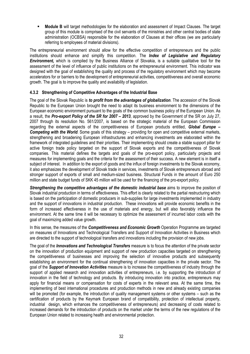Module B will target methodologies for the elaboration and assessment of Impact Clauses. The target group of this module is comprised of the civil servants of the ministries and other central bodies of state administration (OCBSA) responsible for the elaboration of Clauses at their offices (we are particularly referring to employees of material divisions).

The entrepreneurial environment should allow for the effective competition of entrepreneurs and the public institutions should enhance and simplify this competition. The *Index of Legislative and Regulatory* **Environment,** which is compiled by the Business Alliance of Slovakia, is a suitable qualitative tool for the assessment of the level of influence of public institutions on the entrepreneurial environment. This indicator was designed with the goal of establishing the quality and process of the regulatory environment which may become accelerators for or barriers to the development of entrepreneurial activities, competitiveness and overall economic growth. The goal is to improve the quality and availability of legislation.

## 4.3.2 Strengthening of Competitive Advantages of the Industrial Base

The goal of the Slovak Republic is **to profit from the advantages of globalization**. The accession of the Slovak Republic to the European Union brought the need to adapt its business environment to the dimensions of the European economic environment pursuant to the goals of the common business policy of the European Union. As a result, the Pro-export Policy of the SR for 2007 – 2013, approved by the Government of the SR on July 27, 2007 through its resolution No. 561/2007, is based on the strategic material of the European Commission regarding the external aspects of the competitiveness of European products entitled. Global Europe – Competing with the World. Some goals of this strategy – providing for open and competitive external markets, strengthening and broadening European infrastructures and enhancing investments are elaborated within the framework of integrated guidelines and their priorities. Their implementing should create a stable support pillar for active foreign trade policy targeted on the support of Slovak exports and the competitiveness of Slovak companies. This material defines the targets and goals of the pro-export policy, particularly projects and measures for implementing goals and the criteria for the assessment of their success. A new element is in itself a subject of interest. In addition to the export of goods and the influx of foreign investments to the Slovak economy, it also emphasizes the development of Slovak trade in services, investments of Slovak entrepreneurs abroad and stronger support of exports of small and medium-sized business. Structural Funds in the amount of Euro 250 million and state budget funds of SKK 45 million will be used for the financing of the pro-export policy.

Strengthening the competitive advantages of the domestic industrial base aims to improve the position of Slovak industrial production in terms of effectiveness. This effort is clearly related to the partial restructuring which is based on the participation of domestic producers in sub-supplies for large investments implemented in industry and the support of innovations in industrial production. These innovations will provide economic benefits in the form of increased effectiveness in the use of materials and energy, but will also favorably influence the environment. At the same time it will be necessary to optimize the assessment of incurred labor costs with the goal of maximizing added value growth.

In this sense, the measures of the **Competitiveness and Economic Growth** Operation Programme are targeted on measures of Innovations and Technological Transfers and Support of Innovation Activities in Business which are directed to the support of technological transfers and innovations including the provision of new jobs.

The goal of the *Innovations and Technological Transfers* measure is to focus the attention of the private sector on the innovation of production equipment and support of new production capacities targeted on strengthening the competitiveness of businesses and improving the selection of innovative products and subsequently establishing an environment for the continual strengthening of innovation capacities in the private sector. The goal of the Support of Innovation Activities measure is to increase the competitiveness of industry through the support of applied research and innovation activities of entrepreneurs, i.e. by supporting the introduction of innovation in the field of technology and products. By introducing innovation into practice, entrepreneurs may apply for financial means or compensation for costs of experts in the relevant area. At the same time, the implementing of best international procedures and production methods in new and already existing companies will be promoted (for example, the introduction of quality management systems or other systems – such as the certification of products by the Keymark European brand of compatibility, protection of intellectual property, industrial design, which enhances the competitiveness of entrepreneurs) and decreasing of costs related to increased demands for the introduction of products on the market under the terms of the new regulations of the European Union related to increasing health and environmental protection.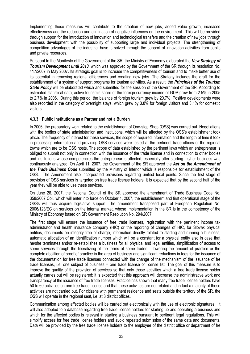Implementing these measures will contribute to the creation of new jobs, added value growth, increased effectiveness and the reduction and elimination of negative influences on the environment. This will be provided through support for the introduction of innovation and technological transfers and the creation of new jobs through business development with the possibility of supporting large and individual projects. The strengthening of competition advantages of the industrial base is solved through the support of innovation activities from public and private resources.

Pursuant to the Manifesto of the Government of the SR, the Ministry of Economy elaborated the New Strategy of **Tourism Development until 2013**, which was approved by the Government of the SR through its resolution No. 417/2007 in May 2007. Its strategic goal is to increase the competitiveness of tourism and to make better use of its potential in removing regional differences and creating new jobs. The Strategy includes the draft for the establishment of a system of support programs for tourism activities. As a result, the **Principles of the Tourism State Policy** will be elaborated which and submitted for the session of the Government of the SR. According to estimated statistical data, active tourism's share of the foreign currency income of GDP grew from 2.5% in 2005 to 2.7% in 2006. During this period, the balance of foreign tourism grew by 20.7%. Positive developments were also recorded in the category of overnight stays, which grew by 3.8% for foreign visitors and 3.1% for domestic visitors.

#### 4.3.3 Public Institutions as a Partner and not a Burden

In 2006, the preparatory work related to the establishment of One-stop Shop (OSS) was carried out. Negotiations with the bodies of state administration and institutions, which will be affected by the OSS's establishment took place. The frequency of interest for these services, the scope of required information and the length of time it took in processing information and providing OSS services were tested at the pertinent trade offices of the regional towns which are to be OSS hosts. The scope of data established by the pertinent laws which an entrepreneur is obliged to submit not only in connection with the issuance of the trade license and in connection to other bodies and institutions whose competencies the entrepreneur is affected, especially after starting his/her business was continuously analyzed. On April 11, 2007, the Government of the SR approved the Act on the Amendment of the Trade Business Code submitted by the Ministry of Interior which is responsible for establishment of the OSS. The Amendment also incorporated provisions regarding unified focal points. Since the first stage of provision of OSS services is targeted on free trade license holders, it is expected that by the second half of the year they will be able to use these services.

On June 26, 2007, the National Council of the SR approved the amendment of Trade Business Code No. 358/2007 Coll. which will enter into force on October 1, 2007, the establishment and first operational stage of the OSSs will thus acquire legislative support. The amendment transposed part of European Regulation No. 2006/123/EC on services on the internal market, whose implementation in the SR is in the competency of the Ministry of Economy based on SR Government Resolution No. 294/2007.

The first stage will ensure the issuance of free trade licenses, registration with the pertinent income tax administrator and health insurance company (HIC) or the reporting of changes of HIC, for Slovak physical entities, documents on integrity free of charge, information directly related to starting and running a business, automatic allocation of an identification number which will be a constant for a physical entity also in case that he/she terminates and/or re-establishes a business for all physical and legal entities, simplification of access to some services through the liberalizing of the terms of some trades – lowering the amount of practice or the complete abolition of proof of practice in the area of business and significant reductions in fees for the issuance of the documentation for free trade licenses connected with the change of the mechanism of the issuance of fre trade licenses, i.e. one subject of business = one trade license or license list. The goal of this measure is to improve the quality of the provision of services so that only those activities which a free trade license holder actually carries out will be registered; it is expected that this approach will decrease the administrative work and transparency of the issuance of free trade licenses. Practice has shown that many free trade license holders have 50 to 60 activities on one free trade license and that these activities are not related and in fact a majority of these activities are not carried out. For citizens with permanent residence and seats outside the territory of the SR, the OSS will operate in the regional seat, i.e. at 8 district offices.

Communication among affected bodies will be carried out electronically with the use of electronic signatures. It will also adopted to a database regarding free trade license holders for starting up and operating a business and which for the affected bodies is relevant in starting a business pursuant to pertinent legal regulations. This will simplify access for free trade license holders and avoid repeated submission of the same data and documents. Data will be provided by the free trade license holders to the employee of the district office or department of fre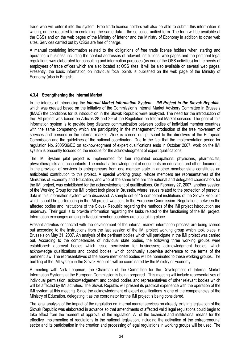trade who will enter it into the system. Free trade license holders will also be able to submit this information in writing, on the required form containing the same data – the so-called unified form. The form will be available at the OSSs and on the web pages of the Ministry of Interior and the Ministry of Economy in addition to other web sites. Services carried out by OSSs are free of charge.

A manual containing information related to the obligations of free trade license holders when starting and operating a business including the contact addresses of relevant institutions, web pages and the pertinent legal regulations was elaborated for consulting and information purposes (as one of the OSS activities) for the needs of employees of trade offices which are also located at OSS sites. It will be also available on several web pages. Presently, the basic information on individual focal points is published on the web page of the Ministry of Economy (also in English).

#### 4.3.4 Strengthening the Internal Market

In the interest of introducing the *Internal Market Information System – IMI Project in the Slovak Republic*, which was created based on the initiative of the Commission's Internal Market Advisory Committee in Brussels (IMAC) the conditions for its introduction in the Slovak Republic were analyzed. The need for the introduction of the IMI project was based on Articles 28 and 29 of the Regulation on Internal Market services. The goal of this information system is to provide long distance communication between bodies of individual member countries with the same competency which are participating in the management/introduction of the free movement of services and persons in the internal market. Work is carried out pursuant to the directives of the European Commission and the guidelines of the national coordinator. Due to the fact that the implementation period for regulation No. 2005/36/EC on acknowledgment of expert qualifications ends in October 2007, work on the IMI system is presently focused on the module for the acknowledgment of expert qualifications.

The IMI System pilot project is implemented for four regulated occupations: physicians, pharmacists, physiotherapists and accountants. The mutual acknowledgment of documents on education and other documents in the provision of services to entrepreneurs from one member state in another member state constitutes an anticipated contribution to this project. A special working group, whose members are representatives of the Ministries of Economy and Education, and who at the same time are the national and delegated coordinators for the IMI project, was established for the acknowledgment of qualifications. On February 27, 2007, another session of the Working Group for the IMI project took place in Brussels, where issues related to the protection of personal data in this information system were discussed. A sample set of 15 competent institutions of the Slovak Republic which should be participating in the IMI project was sent to the European Commission. Negotiations between the affected bodies and institutions of the Slovak Republic regarding the methods of the IMI project introduction are underway. Their goal is to provide information regarding the tasks related to the functioning of the IMI project. Information exchanges among individual member countries are also taking place.

Present activities connected with the development of the internal market information process are being carried out according to the instructions from the last session of the IMI project working group which took place in Brussels on May 31, 2007. An analysis of the pertinent bodies which will participate in the IMI project was carried out. According to the competencies of individual state bodies, the following three working groups were established: approval bodies which issue permission for businesses; acknowledgment bodies, which acknowledge qualifications and control bodies, which continually supervise adherence to the terms of the pertinent law. The representatives of the above mentioned bodies will be nominated to these working groups. The building of the IMI system in the Slovak Republic will be coordinated by the Ministry of Economy.

A meeting with Nick Leapman, the Chairman of the Committee for the Development of Internal Market Information Systems at the European Commission is being prepared. This meeting will include representatives of individual permission, acknowledgement and control bodies and representatives of other relevant bodies which will be affected by IMI activities. The Slovak Republic will present its practical experience with the operation of the IMI system at this meeting. Since the acknowledgment of expert qualifications is one of the competencies of the Ministry of Education, delegating it as the coordinator for the IMI project is being considered.

The legal analysis of the impact of the regulation on internal market services on already existing legislation of the Slovak Republic was elaborated in advance so that amendments of affected valid legal regulations could begin to take effect from the moment of approval of the regulation. All of the technical and institutional means for the effective implementing of regulations in the national legislation, including the activation of the entrepreneurial sector and its participation in the creation and processing of legal regulations in working groups will be used. The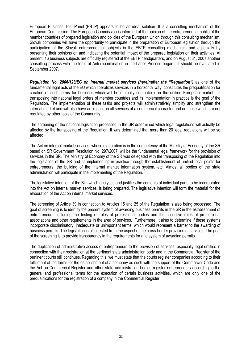European Business Test Panel (EBTP) appears to be an ideal solution. It is a consulting mechanism of the European Commission. The European Commission is informed of the opinion of the entrepreneurial public of the member countries of prepared legislation and policies of the European Union through this consulting mechanism. Slovak companies will have the opportunity to participate in the preparation of European legislation through the participation of the Slovak entrepreneurial subjects in the EBTP consulting mechanism and especially by presenting their opinions on and indicating the potential impact of the prepared legislation on their activities. At present, 16 business subjects are officially registered at the EBTP headquarters, and on August 31, 2007 another consulting process with the topic of Anti-discrimination in the Labor Process began. It should be evaluated in September 2007.

Regulation No. 2006/123/EC on internal market services (hereinafter the "Regulation") as one of the fundamental legal acts of the EU which liberalizes services in a horizontal way, constitutes the prequalification for creation of such terms for business which will be mutually compatible on the unified European market. Its transposing into national legal orders of member countries and its implementation in practice is the goal of the Regulation. The implementation of these tasks and projects will administratively simplify and strengthen the internal market and will also have an impact on all services of a commercial character and on those which are not regulated by other tools of the Community.

The screening of the national legislation processed in the SR determined which legal regulations will actually be affected by the transposing of the Regulation. It was determined that more than 20 legal regulations will be so affected.

The Act on internal market services, whose elaboration is in the competency of the Ministry of Economy of the SR based on SR Government Resolution No. 297/2007, will be the fundamental legal framework for the provision of services in the SR. The Ministry of Economy of the SR was delegated with the transposing of the Regulation into the legislation of the SR and its implementing in practice through the establishment of unified focal points for entrepreneurs, the building of the internal market information system, etc. Almost all bodies of the state administration will participate in the implementing of the Regulation.

The legislative intention of the Bill, which analyses and justifies the contents of individual parts to be incorporated into the Act on internal market services, is being prepared. The legislative intention will form the material for the elaboration of the Act on internal market services.

The screening of Article 39 in connection to Articles 15 and 25 of the Regulation is also being processed. The goal of screening is to identify the present system of awarding business permits in the SR in the establishment of entrepreneurs, including the testing of rules of professional bodies and the collective rules of professional associations and other requirements in the area of services. Furthermore, it aims to determine if these systems incorporate discriminatory, inadequate or unimportant terms, which would represent a barrier to the awarding of business permits. The legislation is also tested from the aspect of the cross-border provision of services. The goal of the screening is to provide transparency in the requirements for and system of awarding permits.

The duplication of administrative access of entrepreneurs to the provision of services, especially legal entities in connection with their registration at the pertinent state administration body and in the Commercial Register of the pertinent courts still continues. Regarding this, we must state that the courts register companies according to their fulfillment of the terms for the establishment of a company as such with the support of the Commercial Code and the Act on Commercial Register and other state administration bodies register entrepreneurs according to the general and professional terms for the execution of certain business activities, which are only one of the prequalifications for the registration of a company in the Commercial Register.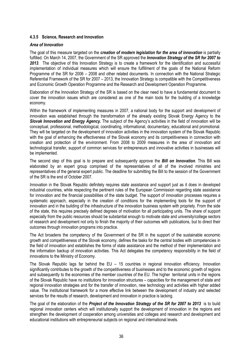#### 4.3.5 Science, Research and Innovation

#### Area of Innovation

The goal of this measure targeted on the creation of modern legislation for the area of innovation is partially fulfilled. On March 14, 2007, the Government of the SR approved the *Innovation Strategy of the SR for 2007 to* 2013. The objective of this Innovation Strategy is to create a framework for the identification and successful implementation of individual measures which will ensure the fulfillment of the goals of the National Reform Programme of the SR for 2006 – 2008 and other related documents. In connection with the National Strategic Referential Framework of the SR for 2007 – 2013, the Innovation Strategy is compatible with the Competitiveness and Economic Growth Operation Programme and the Research and Development Operation Programme.

Elaboration of the Innovation Strategy of the SR is based on the clear need to have a fundamental document to cover the innovation issues which are considered as one of the main tools for the building of a knowledge economy.

Within the framework of implementing measures in 2007, a national body for the support and development of innovation was established through the transformation of the already existing Slovak Energy Agency to the Slovak Innovation and Energy Agency. The subject of the Agency's activities in the field of innovation will be conceptual, professional, methodological, coordinating, informational, documentary, educational and promotional. They will be targeted on the development of innovation activities in the innovation system of the Slovak Republic with the goal of enhancing the effectiveness of the Slovak economy and its competitiveness in connection with creation and protection of the environment. From 2008 to 2009 measures in the area of innovation and technological transfer, support of common services for entrepreneurs and innovative activities in businesses will be implemented.

The second step of this goal is to prepare and subsequently approve the **Bill on Innovation**. This Bill was elaborated by an expert group comprised of the representatives of all of the involved ministries and representatives of the general expert public. The deadline for submitting the Bill to the session of the Government of the SR is the end of October 2007.

Innovation in the Slovak Republic definitely requires state assistance and support just as it does in developed industrial countries, while respecting the pertinent rules of the European Commission regarding state assistance for innovation and the financial possibilities of the state budget. The support of innovation processes requires a systematic approach, especially in the creation of conditions for the implementing tools for the support of innovation and in the building of the infrastructure of the innovation business system with propriety. From the side of the state, this requires precisely defined degrees of motivation for all participating units. The share of support especially from the public resources should be substantial enough to motivate state and university/college sectors of research and development not only to finish the majority of their outcomes with publications, but to direct their outcomes through innovation programs into practice.

The Act broadens the competency of the Government of the SR in the support of the sustainable economic growth and competitiveness of the Slovak economy, defines the tasks for the central bodies with competencies in the field of innovation and establishes the forms of state assistance and the method of their implementation and the information backup of innovation activities. This Act delegates the competency responsibility in the field of innovations to the Ministry of Economy.

The Slovak Republic lags far behind the EU – 15 countries in regional innovation efficiency. Innovation significantly contributes to the growth of the competitiveness of businesses and to the economic growth of regions and subsequently to the economies of the member countries of the EU. The higher territorial units in the regions of the Slovak Republic have no institutions for innovation structures – capacities for the management of state and regional innovation strategies and for the transfer of innovation, new technology and activities with higher added value. The institutional framework for a more effective link between the development of industry and selected services for the results of research, development and innovation in practice is lacking.

The goal of the elaboration of the Project of the Innovation Strategy of the SR for 2007 to 2013 is to build regional innovation centers which will institutionally support the development of innovation in the regions and strengthen the development of cooperation among universities and colleges and research and development and educational institutions with entrepreneurial subjects on regional and international levels.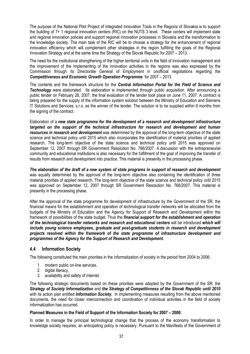The purpose of the National Pilot Project of Integrated Innovation Tools in the Regions of Slovakia is to support the building of 7+ 1 regional innovation centers (RIC) on the NUTS 3 level. These centers will implement state and regional innovation policies and support regional innovation processes in Slovakia and the transformation to the knowledge society. The main task of the RIC will be to choose a strategy for the enhancement of regional innovation efficiency which will complement other strategies in the region fulfilling the goals of the Regional Innovation Strategy and at the same time the Strategy of the Slovak Republic for 2007 – 2013.

The need for the institutional strengthening of the higher territorial units in the field of innovation management and the improvement of the implementing of the innovation activities in the regions was also expressed by the Commission through its Directorate General of Employment in unofficial negotiations regarding the Competitiveness and Economic Growth Operation Programme for 2007 – 2013.

The contents and the framework structure for the **Central Information Portal for the Field of Science and Technology** were elaborated. Its elaboration is implemented through public acquisition. After announcing a public tender on February 28, 2007, the final evaluation of the tender took place on June 11, 2007. A contract is being prepared for the supply of the information system solution between the Ministry of Education and Siemens IT Solutions and Services, s.r.o. as the winner of the tender. The solution is to be supplied within 6 months from the signing of the contract.

Elaboration of a new state programme for the development of a research and development infrastructure targeted on the support of the technical infrastructure for research and development and human resources in research and development was determined by the approval of the long-term objective of the state science and technical policy until 2015 which also incorporates the identification of material priorities of applied research. The long-term objective of the state science and technical policy until 2015 was approved on September 12, 2007 through SR Government Resolution No. 766/2007. A discussion with the entrepreneurial community and educational institutions is also necessary for the fulfillment of the goal of improving the transfer of results from research and development into practice. This material is presently in the processing phase.

The elaboration of the draft of a new system of state programs in support of research and development was equally determined by the approval of the long-term objective also containing the identification of three material priorities of applied research. The long-term objective of the state science and technical policy until 2015 was approved on September 12, 2007 through SR Government Resolution No. 766/2007. This material is presently in the processing phase.

After the approval of the state programme for development of infrastructure by the Government of the SR, the financial means for the establishment and operation of technological transfer networks will be allocated from the budgets of the Ministry of Education and the Agency for Support of Research and Development within the framework of possibilities of the state budget. Thus the financial support for the establishment and operation of the technological transfer networks and research and educational centers will be introduced which will include young science employees, graduate and post-graduate students in research and development projects resolved within the framework of the state programme of infrastructure development and programmes of the Agency for the Support of Research and Development.

# 4.4 Information Society

The following constituted the main priorities in the informatization of society in the period from 2004 to 2006:

- 1. modern public on-line services,
- 2. digital literacy,
- 3. availability and safety of internet.

The following strategic documents based on these priorities were adopted by the Government of the SR: the Strategy of Society Informatization and the Strategy of Competitivness of the Slovak Republic until 2010 with its action plan entitled *Information Society*. In implementing measures resulting from the above mentioned documents, the need for closer interconnection and coordination of individual activities in the field of society informatization has occurred.

#### Planned Measures in the Field of Support of the Information Society for 2007 – 2008:

In order to manage the principal technological change that the process of the economy transformation to knowledge society requires, an anticipating policy is necessary. Pursuant to the Manifesto of the Government of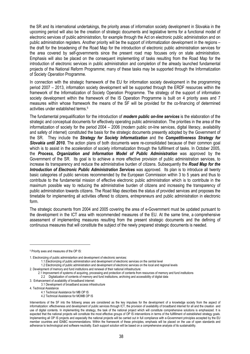the SR and its international undertakings, the priority areas of information society development in Slovakia in the upcoming period will also be the creation of strategic documents and legislative terms for a functional model of electronic services of public administration, for example through the Act on electronic public administration and on public administration registers. Another priority will be the support of informatization development in the regions – the draft for the broadening of the Road Map for the introduction of electronic public administration services for the area covered by self-governments since the present road map focuses only on state administration. Emphasis will also be placed on the consequent implementing of tasks resulting from the Road Map for the introduction of electronic services in public administration and completion of the already launched fundamental projects of the National Reform Programme; many of these tasks may be supported through the Informatization of Society Operation Programme.

In connection with the strategic framework of the EU for information society development in the programming period 2007 – 2013, information society development will be supported through the ERDF resources within the framework of the Informatization of Society Operation Programme. The strategy of the support of information society development within the framework of the IS Operation Programme is built on 4 priority axes and 7 measures within whose framework the means of the SF will be provided for the co-financing of determined activities under established terms.<sup>5</sup>

The fundamental prequalification for the introduction of **modern public on-line services** is the elaboration of the strategic and conceptual documents for effectively operating public administration. The priorities in the area of the informatization of society for the period 2004 – 2006 (modern public on-line services, digital literacy, availability and safety of internet) constituted the basis for the strategic documents presently adopted by the Government of the SR. They include the Strategy for Society Informatization and the Competitiveness Strategy for Slovakia until 2010. The action plans of both documents were re-consolidated because of their common goal which is to assist in the acceleration of society informatization through the fulfillment of tasks. In October 2005, the Process, Organization and Information Model of Public Administration was approved by the Government of the SR. Its goal is to achieve a more effective provision of public administration services, to increase its transparency and reduce the administrative burden of citizens. Subsequently the Road Map for the Introduction of Electronic Public Administration Services was approved. Its plan is to introduce all twenty basic categories of public services recommended by the European Commission within 3 to 5 years and thus to contribute to the fundamental mission of effective electronic public administration which is to contribute in the maximum possible way to reducing the administrative burden of citizens and increasing the transparency of public administration towards citizens. The Road Map describes the status of provided services and proposes the timetable for implementing all activities offered to citizens, entrepreneurs and public administration in electronic form.

The strategic documents from 2004 and 2005 covering the area of e-Government must be updated pursuant to the development in the ICT area with recommended measures of the EU. At the same time, a comprehensive assessment of implementing measures resulting from the present strategic documents and the defining of continuous measures that will constitute the subject of the newly prepared strategic documents is needed.

3. Enhancement of availability of broadband internet:

 $\overline{\phantom{a}}$ 

<sup>5</sup> Priority axes and measures of the OP IS:

<sup>1.</sup> Electronizing of public administartion and development of electronic services:

<sup>1.1.</sup>Electronizing of public administration and development of electronic services on the central level

<sup>1.2</sup> Electronizing of public administration and development of electronic services on the local and regional levels

<sup>2.</sup> Development of memory and fund institutions and renewal of their national infrastructure:

 <sup>2.1</sup> Improvement of systems of acquiring, processing and protection of contents from resources of memory and fund institutions

<sup>2.2</sup> Digitalization of contents of memory and fund institutions, archiving and accessibility of digital data

<sup>3.1</sup> Development of broadband access infrastructure

<sup>4.</sup> Technical Assistance

<sup>4.1</sup> Technical Assistance for MB OP IS

<sup>4.2</sup> Technical Assistance for MOMB OP IS

Interventions of the SF into the followng areas are considered as the key impulses for the development of a knowledge society from the aspect of informatization: effectiveness and development of public services through ICT, the provision of availability of broadband internet for all and the creation and use of digital contents. In implementing the strategy, the task of the national project which will constitute comprehensive solutions is emphasized. It is expected that the national projects will constitute the most effective groups of OP IS interventions in terms of the fullfillment of estrablished strategy goals. Implementing all OP IS projects and especially the national projects will be carried out in full compliance with e-Government principles accepted by the EU member countries and IDABC recommendations. Within the framework of these principles, emphasis will be placed on the use of open standards and adherance to technological and software neutrality. Each support solution will be based on a comprehensive analysis of its sustainability.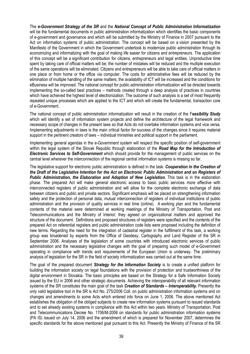The e-Government Strategy of the SR and the National Concept of Public Administration Informatization will be the fundamental documents in public administration informatization which identifies the basic components of e-government and governance and which will be submitted by the Ministry of Finance in 2007 pursuant to the Act on information systems of public administration. The concept will be based on a vision presented by the Manifesto of the Government in which the Government undertook to modernize public administration through its economizing and informatizing with the goal of making life easier for citizens and entrepreneurs. The application of this concept will be a significant contribution for citizens, entrepreneurs and legal entities. Unproductive time spent by taking care of official matters will be; the number of mistakes will be reduced and the multiple execution of the same operations will be eliminated. Citizens and entrepreneurs will be able to take care of official matters in one place or from home or the office via computer. The costs for administrative fees will be reduced by the elimination of multiple handling of the same matters; the availability of ICT will be increased and the conditions for eBusiness will be improved. The national concept for public administration informatization will be directed towards implementing the so-called best practices – methods created through a deep analysis of practices in countries which have achieved the highest level of electronization. The outcome of such analysis is a set of most frequently repeated unique processes which are applied to the ICT and which will create the fundamental, transaction core of e-Government.

The national concept of public administration informatization will result in the creation of the Feasibility Study which will identify a set of information system projects and define the architecture of the legal framework and necessary scope of changes in the present laws so that Acts do not overtake information systems and vice versa. Implementing adjustments in laws is the main critical factor for success of the changes since it requires material support in the pertinent creators of laws – individual ministries and political support in the parliament.

Implementing general agendas in the e-Government system will respect the specific position of self-government within the legal system of the Slovak Republic through elaboration of the Road Map for the Introduction of **Electronic Services to Self-Government** which should provide for the management of public services on the central level wherever the interconnection of the regional central information systems is missing so far.

The legislative support for electronic public administration is defined in the task: Cooperation in the Creation of the Draft of the Legislative Intention for the Act on Electronic Public Administration and on Registers of Public Administration, the Elaboration and Adoption of New Legislation. This task is in the elaboration phase. The prepared Act will make general electronic access to basic public services more effective with interconnected registers of public administration and will allow for the complete electronic exchange of data between citizens and public and private sectors. Significant emphasis will be placed on strengthening information safety and the protection of personal data, mutual interconnection of registers of individual institutions of public administration and the provision of quality services in real time (online). A working plan and the fundamental contents of the material were determined at working meetings of the Ministry of Transportation, Post and Telecommunications and the Ministry of Interior; they agreed on organizational matters and approved the structure of the document. Definitions and proposed structures of registers were specified and the contents of the prepared Act on referential registers and public administration code lists were proposed including the definition of new terms. Regarding the need for the integration of cadastral register in the fulfillment of this task, a working group was broadened by experts from the Office of Geodesy, Cartography and Land Register of the SR in September 2006. Analyses of the legislation of some countries with introduced electronic services of public administration and the necessary legislative changes with the goal of preparing such model of e-Government operating in compliance with trends and requirements of the European Union is underway. The preliminary analysis of legislation for the SR in the field of society informatization was carried out at the same time.

The goal of the prepared document **Strategy for the Information Society** is to create a unified platform for building the information society on legal foundations with the provision of protection and trustworthiness of the digital environment in Slovakia. The basic principles are based on the Strategy for a Safe Information Society issued by the EU in 2006 and other strategic documents. Achieving the interoperability of all relevant information systems of the SR constitutes the main goal of the task *Creation of Standards – Interoperability*. Presently the only valid legislative tool in the SR is Act No. 275/2006 Coll. on public administration information systems and on changes and amendments to some Acts which entered into force on June 1, 2006. The above mentioned Act establishes the obligation of the obliged subjects to create new information systems pursuant to issued standards and to set already existing systems in compliance with this Act within two years. Ministry of Transportation, Post and Telecommunications Decree No. 1706/M-2006 on standards for public administration information systems (PA IS) issued on July 14, 2006 and the amendment of which is prepared for November 2007, determines the specific standards for the above mentioned goal pursuant to this Act. Presently the Ministry of Finance of the SR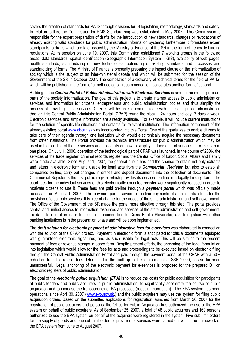covers the creation of standards for PA IS through divisions for IS legislation, methodology, standards and safety. In relation to this, the Commission for PAIS Standardizing was established in May 2007. This Commission is responsible for the expert preparation of drafts for the introduction of new standards, changes or revocations of already existing valid standards for public administration information systems; furthermore it formulates expert standpoints to drafts which are later issued by the Ministry of Finance of the SR in the form of generally binding regulations. At its session on June 19, 2007, this Commission established 7 working groups in the following areas: data standards, spatial identification (Geographic Information System – GIS), availability of web pages, health standards, standardizing of new technologies, optimizing of existing standards and processes and standardizing of forms. The Ministry of Finance is presently preparing the impact clause on the informatization of society which is the subject of an inter-ministerial debate and which will be submitted for the session of the Government of the SR in October 2007. The compilation of a dictionary of technical terms for the field of PA IS, which will be published in the form of a methodological recommendation, constitutes another form of support.

Building of the Central Portal of Public Administration with Electronic Services is among the most significant parts of the society informatization. The goal of this project is to create internet access to public administration services and information for citizens, entrepreneurs and public administration bodies and thus simplify the process of providing these services. Citizens will be able to communicate with state and public administration through this Central Public Administration Portal (CPAP) round the clock – 24 hours and day, 7 days a week. Electronic services and simple information are already available. For example, it will include current instructions for the solution of specific life situations and contacts for relevant institutions. The information component of the already existing portal www.obcan.sk was incorporated into this Portal. One of the goals was to enable citizens to take care of their agenda through one institution which would electronically acquire the necessary documents from other institutions. The Portal provides the technical infrastructure for public administration which may be used in the building of their e-services and possibility on how to simplifying their offer of services for citizens from one place. On July 1, 2006, operation of the technological part of CPAP was launched. In the course of 2006, the services of the trade register, criminal records register and the Central Office of Labor, Social Affairs and Family were made available. Since August 1, 2007, the general public has had the chance to obtain not only extracts and letters in electronic form and usable for legal acts from the **Commercial Register**, but also to establish companies on-line, carry out changes in entries and deposit documents into the collection of documents. The Commercial Register is the first public register which provides its services on-line in a legally binding form. The court fees for the individual services of this electronically executed register were significantly reduced in order to motivate citizens to use it. These fees are paid on-line through a **payment portal** which was officially made accessible on August 1, 2007. The payment portal serves for on-line payments of administrative fees for the provision of electronic services. It is free of charge for the needs of the state administration and self-government. The Office of the Government of the SR made the portal more effective through this step. The portal provides central and unified access to information resources and services of the state administration and self-government. To date its operation is limited to an interconnection to Dexia Banka Slovensko, a.s. Integration with other banking institutions is in the preparation phase and will be soon implemented.

The draft solution for electronic payment of administrative fees for e-services was elaborated in connection with the solution of the CPAP project. Payment in electronic form is anticipated for official documents equipped with guaranteed electronic signatures, and as such usable for legal acts. This will be similar to the present payment of fees or revenue stamps in paper form. Despite present efforts, the anchoring of the legal formulation into legislation which would allow for the fees for acts and proceedings to be executed based on electronic filing through the Central Public Administration Portal and paid through the payment portal of the CPAP with a 50% reduction from the rate of fees determined in the tariff up to the total amount of SKK 2,000, has so far been unsuccessful. Legal anchoring of the electronic payment for e-services is proposed for the prepared Bill on electronic registers of public administration.

The goal of the *electronic public acquisition (EPA)* is to reduce the costs for public acquisition for participants of public tenders and public acquirers in public administration, to significantly accelerate the course of public acquisition and to increase the transparency of PA processes (reducing corruption). The EPA system has been operational since April 30, 2007 (www.evo.gov.sk.) and the public acquirers may use the system for filing public acquisition orders. Based on the submitted applications for registration launched from March 26, 2007 for the registration of public acquirers and persons, the Office for Public Acquisition has authorized the use of the EPA system on behalf of public acquirers. As of September 25, 2007, a total of 48 public acquirers and 169 persons authorized to use the EPA system on behalf of the acquirers were registered in the system. Five sub-limit orders for the supply of goods and one sub-limit order for provision of services were carried out within the framework of the EPA system from June to August 2007.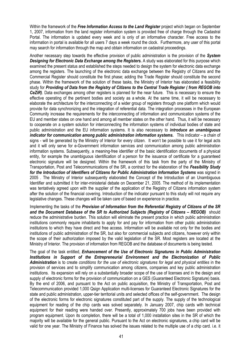Within the framework of the Free Information Access to the Land Register project which began on September 1, 2007, information from the land register information system is provided free of charge through the Cadastral Portal. The information is updated every week and is only of an informative character. Free access to the information in portal is available for all users 7 days a week round the clock. Furthermore, any user of this portal may search for information through the map and obtain information on cadastral proceedings.

Another necessary step towards the effective provision of public administration is the provision of the System Designing for Electronic Data Exchange among the Registers. A study was elaborated for this purpose which examined the present status and established the steps needed to design the system for electronic data exchange among the registers. The launching of the electronic data exchange between the Registry of Citizens and the Commercial Register should constitute the first phase; adding the Trade Register should constitute the second phase. Within the framework of the solution of these tasks, the Ministry of Interior has elaborated a feasibility study for Providing of Data from the Registry of Citizens to the Central Trade Register ( from REGOB into CeZIR). Data exchanges among other registers is planned for the near future. This is necessary to ensure the effective operating of the pertinent bodies and society as a whole. At the same time, it will be necessary to elaborate the architecture for the interconnecting of a wider group of registers through one platform which would provide for data synchronizing and the integration of referential data. The integration processes in the European Community increase the requirements for the interconnecting of information and communication systems of the EU and member states on one hand and among all member states on the other hand. Thus, it will be necessary to cooperate on a system solution for interconnecting the information systems of individual bodies of state and public administration and the EU information systems. It is also necessary to *introduce an unambiquous* indicator for communication among public administration information systems. This indicator – a chain of signs - will be generated by the Ministry of Interior for every citizen. It won't be possible to use it for legal acts and it will only serve for e-Government information services and communication among public administration information systems. Subsequently, a meaning-free identifier of the basic identification documents of a physical entity, for example the unambiguous identification of a person for the issuance of certificate for a guaranteed electronic signature will be designed. Within the framework of this task from the party of the Ministry of Transportation, Post and Telecommunications of the SR, a contract for the elaboration of the Feasibility Study for the Introduction of Identifiers of Citizens for Public Administration Information Systems was signed in 2005 . The Ministry of Interior subsequently elaborated the Concept of the Introduction of an Unambiguous Identifier and submitted it for inter-ministerial debate on December 21, 2005. The method of its implementation was tentatively agreed upon with the supplier of the application of the Registry of Citizens information system after the solution of the financial covering. Introduction of the indicator pursuant to this study will not require any legislative changes. These changes will be taken care of based on experience in practice.

Implementing the tasks of the Provision of Information from the Referential Registry of Citizens of the SR and the Document Database of the SR to Authorized Subjects (Registry of Citizens - REGOB) should reduce the administrative burden. This solution will eliminate the present practice in which public administration institutions commonly require inhabitants to apply for and pay for information from other public administration institutions to which they have direct and free access. Information will be available not only for the bodies and institutions of public administration of the SR, but also for commercial subjects and citizens, however only within the scope of their authorization imposed by the valid legislation of the SR. Most registers are located at the Ministry of Interior. The provision of information from REGOB and the database of documents is being tested.

The goal of the task entitled, Enhancement of the Use of Electronic Signatures in Public Administration Institutions in Support of the Entrepreneurial Environment and the Electronization of Public Administration is to create conditions for the use of electronic signatures for legal and physical entities in the provision of services and to simplify communication among citizens, companies and key public administration institutions. Its expansion will rely on a substantially broader scope of the use of licenses and in the design and supply of electronic forms for the provision of communication on a GES (Guaranteed Electronic Signature) basis. By the end of 2006, and pursuant to the Act on public acquisition, the Ministry of Transportation, Post and Telecommunication provided 1,000 Qsign Application multi-licenses for Guaranteed Electronic Signatures for the state and public administration, upper-tier territorial units and selected offices of the self-government. The design of the electronic forms for electronic signatures constituted part of the supply. The supply of the technological equipment for reading of the chip cards was solved separately. In January 2007, chip cards with technical equipment for their reading were handed over. Presently, approximately 700 jobs have been provided with program equipment. Upon its completion, there will be a total of 1,000 installation sites in the SR of which the majority will be available for the general public. Pursuant to the Act on electronic signatures, a chip card will be valid for one year. The Ministry of Finance has solved the issues related to the multiple use of a chip card. i.e. it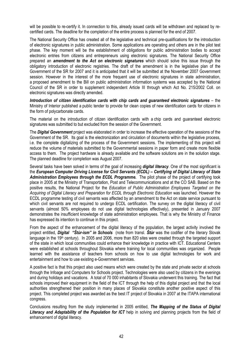will be possible to re-certify it. In connection to this, already issued cards will be withdrawn and replaced by recertified cards. The deadline for the completion of the entire process is planned for the end of 2007.

The National Security Office has created all of the legislative and technical pre-qualifications for the introduction of electronic signatures in public administration. Some applications are operating and others are in the pilot test phase. The key moment will be the establishment of obligations for public administration bodies to accept electronic entries from citizens and entrepreneurs using electronic signatures. The National Security Office prepared an *amendment to the Act on electronic signatures* which should solve this issue through the obligatory introduction of electronic registries. The draft of the amendment is in the legislative plan of the Government of the SR for 2007 and it is anticipated that it will be submitted at the November 2007 Government session. However in the interest of the more frequent use of electronic signatures in state administration, a proposed amendment to the Bill on public administration information systems was accepted by the National Council of the SR in order to supplement independent Article III through which Act No. 215/2002 Coll. on electronic signatures was directly amended.

Introduction of citizen identification cards with chip cards and guaranteed electronic signatures – the Ministry of Interior published a public tender to provide for clean copies of new identification cards for citizens in the form of polycarbonate cards.

The material on the introduction of citizen identification cards with a chip cards and guaranteed electronic signatures was submitted to but excluded from the session of the Government.

The **Digital Government** project was elaborated in order to increase the effective operation of the sessions of the Government of the SR. Its goal is the electronization and circulation of documents within the legislative process, i.e. the complete digitalizing of the process of the Government sessions. The implementing of this project will reduce the volume of materials submitted to the Governmental sessions in paper form and create more flexible access to them. The project hardware is already available and the software solutions are in the solution stage. The planned deadline for completion was August 2007.

Several tasks have been solved in terms of the goal of increasing *digital literacy*. One of the most significant is the European Computer Driving License for Civil Servants (ECDL) – Certifying of Digital Literacy of State Administration Employees through the ECDL Programme. The pilot phase of the project of certifying took place in 2005 at the Ministry of Transportation, Post and Telecommunications and at the CO SAB. Based on the positive results, the National Project for the Education of Public Administration Employees Targeted on the Acquiring of Digital Literacy and Preparation for ECDL through Electronic Education was launched. However the ECDL programme testing of civil servants was affected by an amendment to the Act on state service pursuant to which civil servants are not required to undergo ECDL certification. The survey on the digital literacy of civil servants (almost 50% employees do not use digital technologies effectively), presented in January 2007 demonstrates the insufficient knowledge of state administration employees. That is why the Ministry of Finance has expressed its intention to continue in this project.

From the aspect of the enhancement of the digital literacy of the population, the largest activity involved the project entitled. **Digital "Štúr-ism" in Schools** (note from transl. **Štúr** was the codifier of the literary Slovak language in the 19<sup>th</sup> century). In 2005 and 2006, more than 820 sites were created through the targeted support of the state in which local communities could enhance their knowledge in practice with ICT. Educational Centers were established at schools throughout Slovakia where training for local communities was organized. People learned with the assistance of teachers from schools on how to use digital technologies for work and entertainment and how to use existing e-Government services.

A positive fact is that this project also used means which were created by the state and private sector at schools through the Infoage and Computers for Schools project. Technologies were also used by citizens in the evenings and during holidays and vacations. A total of 70 000 inhabitants of Slovakia underwent this training. The fact that schools improved their equipment in the field of the ICT through the help of this digital project and that the local authorities strengthened their position in many places of Slovakia constitute another positive aspect of this project. This completed project was awarded as the best IT project of Slovakia in 2007 at the ITAPA international congress.

Conclusions resulting from the study implemented in 2005 entitled. The Mapping of the Status of Digital Literacy and Adaptability of the Population for ICT help in solving and planning projects from the field of enhancement of digital literacy.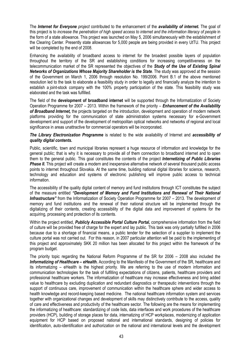The Internet for Everyone project contributed to the enhancement of the availability of internet. The goal of this project is to increase the penetration of high speed access to internet and the information literacy of people in the form of a state allowance. This project was launched on May 5, 2006 simultaneously with the establishment of the Clearing Center. Presently state allowances for 5,000 people are being provided in every UtTU. This project will be completed by the end of 2008.

Enhancing the availability of broadband access to internet for the broadest possible layers of population throughout the territory of the SR and establishing conditions for increasing competitiveness on the telecommunication market of the SR represented the objectives of the **Study of the Use of Existing Spinal** Networks of Organizations Whose Majority Shareholder is the State. The study was approved at the session of the Government on March 1, 2006 through resolution No. 199/2006. Point B.1 of the above mentioned resolution led to the task to elaborate a feasibility study in order to legally and financially analyze the intention to establish a joint-stock company with the 100% property participation of the state. This feasibility study was elaborated and the task was fulfilled.

The field of the **development of broadband internet** will be supported through the Informatization of Society Operation Programme for 2007 – 2013. Within the framework of the priority – Enhancement of the Availability of Broadband Internet, the projects targeted on the introduction, development and operation of modern network platforms providing for the communication of state administration systems necessary for e-Government development and support of the development of metropolitan optical networks and networks of regional and local significance in areas unattractive for commercial operators will be incorporated.

The Library Electronization Programme is related to the wide availability of Internet and accessibility of quality digital contents.

Public, scientific, town and municipal libraries represent a huge resource of information and knowledge for the general public; that is why it is necessary to provide all of them connection to broadband internet and to open them to the general public. This goal constitutes the contents of the project *Internetizing of Public Libraries* **Phase II.** This project will create a modern and inexpensive alternative network of several thousand public access points to internet throughout Slovakia. At the same time, building national digital libraries for science, research, technology and education and systems of electronic publishing will improve public access to technical information.

The accessibility of the quality digital content of memory and fund institutions through ICT constitutes the subject of the measure entitled "Development of Memory and Fund Institutions and Renewal of Their National Infrastructure" from the Informatization of Society Operation Programme for 2007 – 2013. The development of memory and fund institutions and the renewal of their national structure will be implemented through the digitalizing of their contents, creating accessibility of the digital data and improvement of systems for the acquiring, processing and protection of its contents.

Within the project entitled, Publicly Accessible Portal Culture Portal, comprehensive information from the field of culture will be provided free of charge for the expert and lay public. This task was only partially fulfilled in 2006 because due to a shortage of financial means, a public tender for the selection of a supplier to implement the culture portal was not carried out. For this reason, in 2007 particular attention will be paid to the implementing of this project and approximately SKK 20 million has been allocated for this project within the framework of the program budget.

The priority topic regarding the National Reform Programme of the SR for 2006 – 2008 also included the Informatizing of Healthcare – eHealth. According to the Manifesto of the Government of the SR, healthcare and its informatizing – eHealth is the highest priority. We are referring to the use of modern information and communication technologies for the task of fulfilling expectations of citizens, patients, healthcare providers and professional healthcare workers. The informatization of healthcare may increase effectiveness and bring added value to healthcare by excluding duplication and redundant diagnostics or therapeutic interventions through the support of continuous care, improvement of communication within the healthcare sphere and wider access to health knowledge and record-keeping based medicine. The national healthcare information system and services together with organizational changes and development of skills may distinctively contribute to the access, quality of care and effectiveness and productivity of the healthcare sector. The following are the means for implementing the informatizing of healthcare: standardizing of code lists, data interfaces and work procedures of the healthcare providers (HCP), building of storage places for data, internatizing of HCP workplaces, modernizing of application equipment for HCP based on proposed national and international standards, designing of policies for identification, auto-identification and authorization on the national and international levels and the development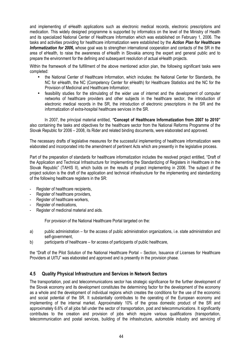and implementing of eHealth applications such as electronic medical records, electronic prescriptions and medication. This widely designed programme is supported by informatics on the level of the Ministry of Health and its specialized National Center of Healthcare Information which was established on February 1, 2006. The tasks and activities providing for healthcare informatization were established by the Action Plan for Healthcare Informatization for 2006, whose goal was to strengthen international cooperation and contacts of the SR in the area of eHealth, to raise the awareness of eHealth in Slovakia among the expert and general public and to prepare the environment for the defining and subsequent resolution of actual eHealth projects.

Within the framework of the fulfillment of the above mentioned action plan, the following significant tasks were completed:

- the National Center of Healthcare Information, which includes: the National Center for Standards, the NC for eHealth, the NC (Competency Center for eHealth) for Healthcare Statistics and the NC for the Provision of Medicinal and Healthcare Information;
- feasibility studies for the stimulating of the wider use of internet and the development of computer networks of healthcare providers and other subjects in the healthcare sector, the introduction of electronic medical records in the SR, the introduction of electronic prescriptions in the SR and the informatization of extra-hospital healthcare services in the SR.

In 2007, the principal material entitled, "Concept of Healthcare Informatization from 2007 to 2010" also containing the tasks and objectives for the healthcare sector from the National Reforms Programme of the Slovak Republic for 2006 – 2008, its Rider and related binding documents, were elaborated and approved.

The necessary drafts of legislative measures for the successful implementing of healthcare informatization were elaborated and incorporated into the amendment of pertinent Acts which are presently in the legislative process.

Part of the preparation of standards for healthcare informatization includes the resolved project entitled, "Draft of the Application and Technical Infrastructure for Implementing the Standardizing of Registers in Healthcare in the Slovak Republic" (TAHIS II), which builds on the results of project implementing in 2006. The subject of the project solution is the draft of the application and technical infrastructure for the implementing and standardizing of the following healthcare registers in the SR:

- Register of healthcare recipients,
- Register of healthcare providers,
- Register of healthcare workers,
- Register of medications,
- Register of medicinal material and aids.

For provision of the National Healthcare Portal targeted on the:

- a) public administration for the access of public administration organizations, i.e. state administration and self-government,
- b) participants of healthcare for access of participants of public healthcare,

the "Draft of the Pilot Solution of the National Healthcare Portal – Section, Issuance of Licenses for Healthcare Providers at UtTU" was elaborated and approved and is presently in the provision phase.

# 4.5 Quality Physical Infrastructure and Services in Network Sectors

The transportation, post and telecommunications sector has strategic significance for the further development of the Slovak economy and its development constitutes the determining factor for the development of the economy as a whole and the development of individual regions which creates the conditions for the use of the economic and social potential of the SR. It substantially contributes to the operating of the European economy and implementing of the internal market. Approximately 10% of the gross domestic product of the SR and approximately 6.6% of all jobs fall under the sector of transportation, post and telecommunications. It significantly contributes to the creation and provision of jobs which require various qualifications (transportation, telecommunication and postal services, building of the infrastructure, automobile industry and servicing of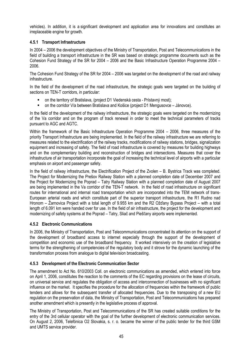vehicles). In addition, it is a significant development and application area for innovations and constitutes an irreplaceable engine for growth.

# 4.5.1 Transport Infrastructure

In 2004 – 2006 the development objectives of the Ministry of Transportation, Post and Telecommunications in the field of building a transport infrastructure in the SR was based on strategic programme documents such as the Cohesion Fund Strategy of the SR for 2004 – 2006 and the Basic Infrastructure Operation Programme 2004 – 2006.

The Cohesion Fund Strategy of the SR for 2004 – 2006 was targeted on the development of the road and railway infrastructure.

In the field of the development of the road infrastructure, the strategic goals were targeted on the building of sections on TEN-T corridors, in particular:

- on the territory of Bratislava, (project D1 Viedenská cesta Prístavný most);
- on the corridor V/a between Bratislava and Košice (project D1 Mengusovce Jánovce).

In the field of the development of the railway infrastructure, the strategic goals were targeted on the modernizing of the Va corridor and on the program of track renewal in order to meet the technical parameters of tracks pursuant to AGC and AGTC.

Within the framework of the Basic Infrastructure Operation Programme 2004 – 2006, three measures of the priority Transport Infrastructure are being implemented. In the field of the railway infrastructure we are referring to measures related to the electrification of the railway tracks, modifications of railway stations, bridges, signalization equipment and increasing of safety. The field of road infrastructure is covered by measures for building highways and on the complementary building and reconstruction of bridges and intersections. Measures that cover the infrastructure of air transportation incorporate the goal of increasing the technical level of airports with a particular emphasis on airport and passenger safety.

In the field of railway infrastructure, the Electrification Project of the Zvolen – B. Bystrica Track was completed. The Project for Modernizing the Prešov Railway Station with a planned completion date of December 2007 and the Project for Modernizing the Poprad – Tatry Railway Station with a planned completion date of August 2007 are being implemented in the Va corridor of the TEN-T network. In the field of road infrastructure on significant routes for international and internal road transportation which are incorporated into the TEM network of trans-European arterial roads and which constitute part of the superior transport infrastructure, the R1 Rudno nad Hronom – Žarnovica Project with a total length of 9.955 km and the R2 Ožďany Bypass Project – with a total length of 6.091 km were handed over for use. In the field of air infrastructure, the project for the development and modernizing of safety systems at the Poprad – Tatry, Sliač and Piešťany airports were implemented.

# 4.5.2 Electronic Communications

In 2006, the Ministry of Transportation, Post and Telecommunications concentrated its attention on the support of the development of broadband access to internet especially through the support of the development of competition and economic use of the broadband frequency. It worked intensively on the creation of legislative terms for the strengthening of competencies of the regulatory body and it strove for the dynamic launching of the transformation process from analogue to digital television broadcasting.

#### 4.5.3 Development of the Electronic Communication Sector

The amendment to Act No. 610/2003 Coll. on electronic communications as amended, which entered into force on April 1, 2006, constitutes the reaction to the comments of the EC regarding provisions on the lease of circuits, on universal service and regulates the obligation of access and interconnection of businesses with no significant influence on the market. It specifies the procedure for the allocation of frequencies within the framework of public tenders and allows for the subsequent transfer of allocated frequencies. Due to the transposing of a new EU regulation on the preservation of data, the Ministry of Transportation, Post and Telecommunications has prepared another amendment which is presently in the legislative process of approval.

The Ministry of Transportation, Post and Telecommunications of the SR has created suitable conditions for the entry of the 3rd cellular operator with the goal of the further development of electronic communication services. On August 2, 2006, Telefónica O2 Slovakia, s. r. o. became the winner of the public tender for the third GSM and UMTS service provider.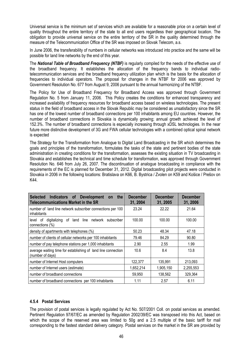Universal service is the minimum set of services which are available for a reasonable price on a certain level of quality throughout the entire territory of the state to all end users regardless their geographical location. The obligation to provide universal service on the entire territory of the SR in the quality determined through the measure of the Telecommunication Office of the SR was imposed on Slovak Telecom, a.s.

In June 2006, the transferability of numbers in cellular networks was introduced into practice and the same will be possible for land line networks by the end of this year.

The National Table of Broadband Frequency (NTBF) is regularly compiled for the needs of the effective use of the broadband frequency. It establishes the allocation of the frequency bands to individual radiotelecommunication services and the broadband frequency utilization plan which is the basis for the allocation of frequencies to individual operators. The proposal for changes in the NTBF for 2006 was approved by Government Resolution No. 677 from August 9, 2006 pursuant to the annual harmonizing of the NTBF.

The Policy for Use of Broadband Frequency for Broadband Access was approved through Government Regulation No. 5 from January 11, 2006. This Policy creates the conditions for enhanced transparency and increased availability of frequency resources for broadband access based on wireless technologies. The present status in the field of broadband access in the Slovak Republic may be considered as unsatisfactory since the SR has one of the lowest number of broadband connections per 100 inhabitants among EU countries. However, the number of broadband connections in Slovakia is dynamically growing; annual growth achieved the level of 152.3%. The number of broadband connections is especially increasing through xDSL technologies. In the near future more distinctive development of 3G and FWA cellular technologies with a combined optical spinal network is expected

The Strategy for the Transformation from Analogue to Digital Land Broadcasting in the SR which determines the goals and principles of the transformation, formulates the tasks of the state and pertinent bodies of the state administration in creating conditions for the transformation, assesses the existing situation in TV broadcasting in Slovakia and establishes the technical and time schedule for transformation, was approved through Government Resolution No. 646 from July 26, 2007. The discontinuation of analogue broadcasting in compliance with the requirements of the EC is planned for December 31, 2012. Digital broadcasting pilot projects were conducted in Slovakia in 2006 in the following locations: Bratislava on K66, B. Bystrica / Zvolen on K59 and Košice / Prešov on K44.

| Indicators of Development on<br><b>Selected</b><br>the<br><b>Telecommunications Market in the SR</b> | <b>December</b><br>31, 2004 | <b>December</b><br>31, 2005 | <b>December</b><br>31, 2006 |
|------------------------------------------------------------------------------------------------------|-----------------------------|-----------------------------|-----------------------------|
| number of land line network subscriber connections per 100<br>inhabitants                            | 23.24                       | 22.22                       | 21.64                       |
| digitalizing of land line network<br>of<br>level<br>subscriber<br>connections (%)                    | 100.00                      | 100.00                      | 100.00                      |
| density of apartments with telephones (%)                                                            | 50.23                       | 48.34                       | 47.18                       |
| number of clients of cellular networks per 100 inhabitants                                           | 79.46                       | 84.29                       | 90.80                       |
| number of pay telephone stations per 1,000 inhabitants                                               | 2.90                        | 2.55                        | 1.99                        |
| average waiting time for establishing of land line connection<br>(number of days)                    | 10.6                        | 8.4                         | 13.8                        |
| number of Internet Host computers                                                                    | 122,377                     | 135,991                     | 213,093                     |
| number of Internet users (estimate)                                                                  | 1,652,214                   | 1,905,150                   | 2,255,553                   |
| number of broadband connections                                                                      | 59,950                      | 138,562                     | 329,364                     |
| number of broadband connections per 100 inhabitants                                                  | 1.11                        | 2.57                        | 6.11                        |

#### 4.5.4 Postal Services

The provision of postal services is legally regulated by Act No. 507/2001 Coll. on postal services as amended. Pertinent Regulation 97/67/EC as amended by Regulation 2002/39/EC was transposed into this Act, based on which the scope of the reserved area was limited to 50g and a 2.5 multiple of the basic tariff for mail corresponding to the fastest standard delivery category. Postal services on the market in the SR are provided by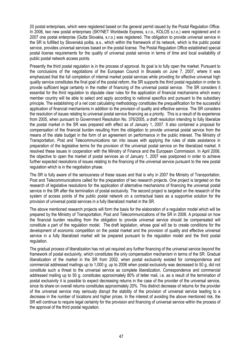20 postal enterprises, which were registered based on the general permit issued by the Postal Regulation Office. In 2006, two new postal enterprises (SKYNET Worldwide Express, s.r.o., KOLOS s.r.o.) were registered and in 2007 one postal enterprise (Gutta Slovakia, s.r.o.) was registered. The obligation to provide universal service in the SR is fulfilled by Slovenská pošta, a.s., which within the framework of its network, which is the public postal service, provides universal services based on the postal license. The Postal Regulation Office established special postal license requirements for the quality of universal postal service in terms of time and local availability of public postal network access points.

Presently the third postal regulation is in the process of approval. Its goal is to fully open the market. Pursuant to the conclusions of the negotiations of the European Council in Brussels on June 7, 2007, where it was emphasized that the full completion of internal market postal services while providing for effective universal high quality service constitutes the final goal of the postal reform, the SR supports the third postal regulation in order to provide sufficient legal certainty in the matter of financing of the universal postal service. The SR considers it essential for the third regulation to stipulate clear rules for the application of financial mechanisms which every member country will be able to select and apply according to national specifics and pursuant to the subsidiary principle. The establishing of a net cost calculating methodology constitutes the prequalification for the successful application of financial mechanisms in addition to the provision of quality and effective service. The SR considers the resolution of issues relating to universal postal service financing as a priority. This is a result of its experience from 2005, when pursuant to Government Resolution No. 376/2005, a draft resolution intending to fully liberalize the postal market in the SR was prepared with effect as of January 1, 2007. It also contained a proposal for compensation of the financial burden resulting from the obligation to provide universal postal service from the means of the state budget in the form of an agreement on performance in the public interest. The Ministry of Transportation, Post and Telecommunications ran into issues with applying the rules of state assistance in preparation of the legislative terms for the provision of the universal postal service on the liberalized market. It resolved these issues in cooperation with the Ministry of Finance and the European Commission. In April 2006, the objective to open the market of postal services as of January 1, 2007 was postponed in order to achieve further expected resolutions of issues relating to the financing of the universal service pursuant to the new postal regulation which is in the negotiation phase.

The SR is fully aware of the seriousness of these issues and that is why in 2007 the Ministry of Transportation, Post and Telecommunications called for the preparation of two research projects. One project is targeted on the research of legislative resolutions for the application of alternative mechanisms of financing the universal postal service in the SR after the termination of postal exclusivity. The second project is targeted on the research of the system of access points of the public postal network on a contractual basis as a supportive solution for the provision of universal postal services in a fully liberalized market in the SR.

The above mentioned research projects will form the basis for the elaboration of a regulation model which will be prepared by the Ministry of Transportation, Post and Telecommunications of the SR in 2008. A proposal on how the financial burden resulting from the obligation to provide universal service should be compensated will constitute a part of the regulation model. The draft legislation, whose goal will be to create conditions for the development of economic competition on the postal market and the provision of quality and effective universal service in a fully liberalized market will be prepared pursuant to the regulation model and the third postal regulation.

The gradual process of liberalization has not yet required any further financing of the universal service beyond the framework of postal exclusivity, which constitutes the only compensation mechanism in terms of the SR. Gradual liberalization of the market in the SR from 2002, when postal exclusivity existed for correspondence and commercial addressed mailings up to 1,000 g. up to 2006 when postal exclusivity was decreased to 50 g, did not constitute such a threat to the universal service as complete liberalization. Correspondence and commercial addressed mailing up to 50 g. constitutes approximately 80% of letter mail, i.e. as a result of the termination of postal exclusivity it is possible to expect decreasing returns in the case of the provider of the universal service, since its share on overall returns constitutes approximately 20%. This distinct decrease of returns for the provider of the universal service may seriously disrupt the stability of the provision of universal service leading to a decrease in the number of locations and higher prices. In the interest of avoiding the above mentioned risk, the SR will continue to require legal certainty for the provision and financing of universal service within the process of the approval of the third postal regulation.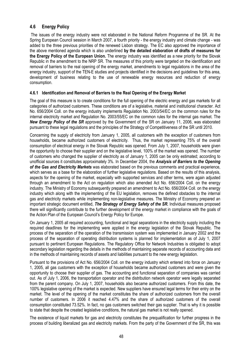# 4.6 Energy Policy

 The issues of the energy industry were not elaborated in the National Reform Programme of the SR. At the Spring European Council session in March 2007, a fourth priority - the energy industry and climate change - was added to the three previous priorities of the renewed Lisbon strategy. The EC also approved the importance of the above mentioned agenda which is also underlined by the detailed elaboration of drafts of measures for the Energy Policy of the European Union. The energy industry was identified as a new priority for the Slovak Republic in the amendment to the NRP SR. The measures of this priority were targeted on the identification and removal of barriers to the real opening of the energy market, amendments to legal regulations in the area of the energy industry, support of the TEN-E studies and projects identified in the decisions and guidelines for this area, development of business relating to the use of renewable energy resources and reduction of energy consumption.

#### 4.6.1 Identification and Removal of Barriers to the Real Opening of the Energy Market

The goal of this measure is to create conditions for the full opening of the electric energy and gas markets for all categories of authorized customers. These conditions are of a legislative, material and institutional character. Act No. 656/2004 Coll. on the energy industry implements Regulation No. 2003/54/EC on the common rules for the internal electricity market and Regulation No. 2003/55/EC on the common rules for the internal gas market. The New Energy Policy of the SR approved by the Government of the SR on January 11, 2006, was elaborated pursuant to these legal regulations and the principles of the Strategy of Competitiveness of the SR until 2010.

Concerning the supply of electricity from January 1, 2005, all customers with the exception of customers from households, became authorized customers of electricity. Thus, the market representing 75% of the overall consumption of electrical energy in the Slovak Republic was opened. From July 1, 2007, households were given the opportunity to choose their supplier and on the legislative level, 100% of the market was opened. The number of customers who changed the supplier of electricity as of January 1, 2005 can be only estimated; according to unofficial sources it constitutes approximately 3%. In December 2004, the **Analysis of Barriers to the Opening** of the Gas and Electricity Markets was elaborated based on the previous comments and practical experience, which serves as a base for the elaboration of further legislative regulations. Based on the results of this analysis, aspects for the opening of the market, especially with supported services and other terms, were again adjusted through an amendment to the Act on regulation which also amended Act No. 656/2004 Coll. on the energy industry. The Ministry of Economy subsequently prepared an amendment to Act No. 656/2004 Coll. on the energy industry which along with the implementing of the EU legislation, removes the defined obstacles to the internal gas and electricity markets while implementing non-legislative measures. The Ministry of Economy prepared an important strategic document entitled, The Strategy of Energy Safety of the SR. Individual measures proposed there will significantly contribute to the further development of the energy market in compliance with the goals of the Action Plan of the European Council's Energy Policy for Europe.

On January 1, 2005 all required accounting, functional and legal separations in the electricity supply including the required deadlines for the implementing were applied in the energy legislation of the Slovak Republic. The process of the separation of the operation of the transmission system was implemented in January 2002 and the process of the separation of operating distribution systems is planned for implementation as of July 1, 2007 pursuant to pertinent European Regulations. The Regulatory Office for Network Industries is obligated to adopt secondary legislation regarding the details in the methods of maintaining separate records of accounting data and in the methods of maintaining records of assets and liabilities pursuant to the new energy legislation.

Pursuant to the provisions of Act No. 656/2004 Coll. on the energy industry which entered into force on January 1, 2005, all gas customers with the exception of households became authorized customers and were given the opportunity to choose their supplier of gas. The accounting and functional separation of companies was carried out. As of July 1, 2006, the transportation operator and the distribution network operator were legally separated from the parent company. On July 1, 2007, households also became authorized customers. From this date, the 100% legislative opening of the market is expected. New suppliers have ensured legal terms for their entry on the market. The level of the opening of the market constitutes the share of authorized customers from the overall number of customers. In 2006 it reached 4.47% and the share of authorized customers of the overall consumption constituted 73.52%. In fact, no gas customers switched their gas supplier. That is why it is possible to state that despite the created legislative conditions, the natural gas market is not really opened.

The existence of liquid markets for gas and electricity constitutes the prequalification for further progress in the process of building liberalized gas and electricity markets. From the party of the Government of the SR, this was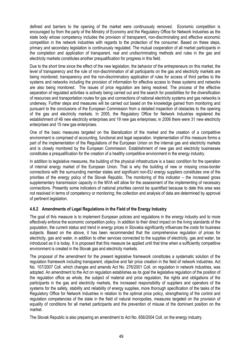defined and barriers to the opening of the market were continuously removed. Economic competition is encouraged by from the party of the Ministry of Economy and the Regulatory Office for Network Industries as the state body whose competency includes the provision of transparent, non-discriminating and effective economic competition in the network industries with regards to the protection of the consumer. Based on these steps, primary and secondary legislation is continuously regulated. The mutual cooperation of all market participants in the completion and application of transparent, real and undiscriminating methods and rules in the gas and electricity markets constitutes another prequalification for progress in this field.

Due to the short time since the effect of the new legislation, the behavior of the entrepreneurs on this market, the level of transparency and the rule of non-discrimination of all participants on the gas and electricity markets are being monitored; transparency and the non-discriminatory application of rules for access of third parties to the systems and networks including the provision of information for effective access to these systems and networks are also being monitored. The issues of price regulation are being resolved. The process of the effective separation of regulated activities is actively being carried out and the search for possibilities for the diversification of resources and transportation routes for gas and connections of national electricity systems and gas networks is underway. Further steps and measures will be carried out based on the knowledge gained from monitoring and pursuant to the conclusions of the European Commission from a detailed inspection of obstacles to the opening of the gas and electricity markets. In 2005, the Regulatory Office for Network Industries registered the establishment of 46 new electricity enterprises and 19 new gas enterprises; in 2006 there were 31 new electricity enterprises and 15 new gas enterprises.

One of the basic measures targeted on the liberalization of the market and the creation of a competitive environment is comprised of accounting, functional and legal separation. Implementation of this measure forms a part of the implementation of the Regulations of the European Union on the internal gas and electricity markets and is closely monitored by the European Commission. Establishment of new gas and electricity businesses constitutes a prequalification for the creation of a healthy competitive environment in the energy industry.

In addition to legislative measures, the building of the physical infrastructure is a basic condition for the operation of internal energy market of the European Union. That is why the building of new or missing cross-border connections with the surrounding member states and significant non-EU energy suppliers constitutes one of the priorities of the energy policy of the Slovak Republic. The monitoring of this indicator – the increased gross supplementary transmission capacity in the MVA will allow for the assessment of the implementing of necessary connections. Presently some indicators of national priorities cannot be quantified because to date this area was not resolved in terms of competency or monitoring; the collection and analysis of data are determined by approval of pertinent legislation.

#### 4.6.2 Amendments of Legal Regulations in the Field of the Energy Industry

The goal of this measure is to implement European policies and regulations in the energy industry and to more effectively enforce the economic competition policy. In addition to their direct impact on the living standards of the population, the current status and trend in energy prices in Slovakia significantly influences the costs for business subjects. Based on the above, it has been recommended that the comprehensive regulation of prices for electricity, gas and water, in addition to other services connected to the supplies of electricity, gas and water, be introduced as it is today. It is proposed that this measure be applied until that time when a sufficiently competitive environment is created in the Slovak gas and electricity markets.

The proposal of the amendment for the present legislative framework constitutes a systematic solution of the regulation framework including transparent, objective and fair price creation in the field of network industries. Act No. 107/2007 Coll. which changes and amends Act No. 276/2001 Coll. on regulation in network industries, was adopted. An amendment to the Act on regulation establishes as its goal the legislative regulation of the position of the regulation office as whole, the subject of material and price regulation, the rights and obligations of the participants in the gas and electricity markets, the increased responsibility of suppliers and operators of the systems for the safety, stability and reliability of energy supplies, more thorough specification of the tasks of the Regulatory Office for Network Industries in relation to the optimal price policy, strengthening of the control and regulation competencies of the state in the field of natural monopolies, measures targeted on the provision of equality of conditions for all market participants and the prevention of misuse of the dominant position on the market.

The Slovak Republic is also preparing an amendment to Act No. 656/2004 Coll. on the energy industry.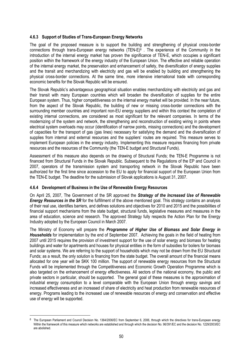#### 4.6.3 Support of Studies of Trans-European Energy Networks

The goal of the proposed measure is to support the building and strengthening of physical cross-border connections through trans-European energy networks (TEN-E)<sup>6</sup> . The experience of the Community in the introduction of the internal energy market has proven the significance of TEN-E, which occupies a significant position within the framework of the energy industry of the European Union. The effective and reliable operation of the internal energy market, the preservation and enhancement of safety, the diversification of energy supplies and the transit and merchandizing with electricity and gas will be enabled by building and strengthening the physical cross-border connections. At the same time, more intensive international trade with corresponding economic benefits for the Slovak Republic will be ensured.

The Slovak Republic's advantageous geographical situation enables merchandizing with electricity and gas and their transit with many European countries which will broaden the diversification of supplies for the entire European system. Thus, higher competitiveness on the internal energy market will be provided. In the near future, from the aspect of the Slovak Republic, the building of new or missing cross-border connections with the surrounding member countries and important non-EU energy suppliers and within this context the completion of existing internal connections, are considered as most significant for the relevant companies. In terms of the modernizing of the system and network, the strengthening and reconstruction of existing wiring in points where electrical system overloads may occur (identification of narrow points, missing connections) and the development of capacities for the transport of gas (gas lines) necessary for satisfying the demand and the diversification of supplies from internal and external resources and the suppliers' routes are required. This measure serves to implement European policies in the energy industry. Implementing this measure requires financing from private resources and the resources of the Community (the TEN-E budget and Structural Funds).

Assessment of this measure also depends on the drawing of Structural Funds; the TEN-E Programme is not financed from Structural Funds in the Slovak Republic. Subsequent to the Regulations of the EP and Council in 2007, operators of the transmission system and transporting network in the Slovak Republic have been authorized for the first time since accession to the EU to apply for financial support of the European Union from the TEN-E budget. The deadline for the submission of Slovak applications is August 31, 2007.

#### 4.6.4 Development of Business in the Use of Renewable Energy Resources

l

On April 25, 2007, The Government of the SR approved the **Strategy of the Increased Use of Renewable Energy Resources in the SR** for the fulfillment of the above mentioned goal. This strategy contains an analysis of their real use, identifies barriers, and defines solutions and objectives for 2010 and 2015 and the possibilities of financial support mechanisms from the state budget, structural funds, legislative measures and measures in the area of education, science and research. The approved Strategy fully respects the Action Plan for the Energy Industry adopted by the European Council in March 2007.

The Ministry of Economy will prepare the Programme of Higher Use of Biomass and Solar Energy in **Households** for implementation by the end of September 2007. Achieving the goals in the field of heating from 2007 until 2015 requires the provision of investment support for the use of solar energy and biomass for heating buildings and water for apartments and houses for physical entities in the form of subsidies for boilers for biomass and solar systems. We are referring to the support of households which may not be drawn from the EU Structural Funds; as a result, the only solution is financing from the state budget. The overall amount of the financial means allocated for one year will be SKK 100 million. The support of renewable energy resources from the Structural Funds will be implemented through the Competitiveness and Economic Growth Operation Programme which is also targeted on the enhancement of energy effectiveness. All sectors of the national economy, the public and private sectors in particular, should be supported. The general goal of these measures is the approximation of industrial energy consumption to a level comparable with the European Union through energy savings and increased effectiveness and an increased of share of electricity and heat production from renewable resources of energy. Programs leading to the increased use of renewable resources of energy and conservation and effective use of energy will be supported.

<sup>6</sup> The European Parliament and Council Decision No. 1364/2006/EC from September 6, 2006, through which the directives for trans-European energy Within the framework of this measure which networks are established and through which the decision No. 96/391/EC and the decision No. 1229/2003/EC are abolished.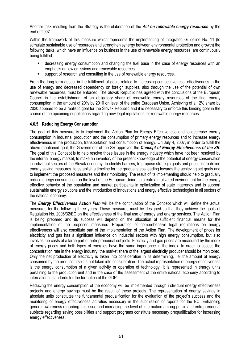Another task resulting from the Strategy is the elaboration of the Act on renewable energy resources by the end of 2007.

Within the framework of this measure which represents the implementing of Integrated Guideline No. 11 (to stimulate sustainable use of resources and strengthen synergy between environmental protection and growth) the following tasks, which have an influence on business in the use of renewable energy resources, are continuously being fulfilled:

- decreasing energy consumption and changing the fuel base in the case of energy resources with an emphasis on low emissions and renewable resources,
- support of research and consulting in the use of renewable energy resources.

From the long-term aspect in the fulfillment of goals related to increasing competitiveness, effectiveness in the use of energy and decreased dependency on foreign supplies, also through the use of the potential of own renewable resources, must be enforced. The Slovak Republic has agreed with the conclusions of the European Council in the establishment of an obligatory share of renewable energy resources of the final energy consumption in the amount of 20% by 2010 on level of the entire European Union. Achieving of a 12% share by 2020 appears to be a realistic goal for the Slovak Republic and it is necessary to enforce this binding goal in the course of the upcoming negotiations regarding new legal regulations for renewable energy resources.

## 4.6.5 Reducing Energy Consumption

The goal of this measure is to implement the Action Plan for Energy Effectiveness and to decrease energy consumption in industrial production and the consumption of primary energy resources and to increase energy effectiveness in the production, transportation and consumption of energy. On July 4, 2007, in order to fulfill the above mentioned goal, the Government of the SR approved the Concept of Energy Effectiveness of the SR. The goal of this Concept is to help resolve those issues in the energy industry which have not been resolved by the internal energy market, to make an inventory of the present knowledge of the potential of energy conservation in individual sectors of the Slovak economy, to identify barriers, to propose strategic goals and priorities, to define energy saving measures, to establish a timeline for the gradual steps leading towards the achieving set goals and to implement the proposed measures and their monitoring. The result of its implementing should help to gradually reduce energy consumption on the level of the European Union, to create a motivated environment for the energy effective behavior of the population and market participants in optimization of state ingerency and to support sustainable energy solutions and the introduction of innovations and energy effective technologies in all sectors of the national economy.

The Energy Effectiveness Action Plan will be the continuation of the Concept which will define the actual measures for the following three years. These measures must be designed so that they achieve the goals of Regulation No. 2006/32/EC on the effectiveness of the final use of energy and energy services. The Action Plan is being prepared and its success will depend on the allocation of sufficient financial means for the implementation of the proposed measures. Preparation of comprehensive legal regulations on energy effectiveness will also constitute part of the implementation of the Action Plan. The development of prices for electricity and gas has a significant influence on industrial sectors with high energy consumption, but also involves the costs of a large part of entrepreneurial subjects. Electricity and gas prices are measured by the index of energy prices and both types of energies have the same importance in the index. In order to assess the concentration rate in the energy industry, the market share of the largest electricity producer should be monitored. Only the net production of electricity is taken into consideration in its determining, i.e. the amount of energy consumed by the producer itself is not taken into consideration. The actual representation of energy effectiveness is the energy consumption of a given activity or operation of technology. It is represented in energy units pertaining to the production unit and in the case of the assessment of the entire national economy according to international standards for the formation of the GDP.

Reducing the energy consumption of the economy will be implemented through individual energy effectiveness projects and energy savings must be the result of these projects. The representation of energy savings in absolute units constitutes the fundamental prequalification for the evaluation of the project's success and the monitoring of energy effectiveness activities necessary in the submission of reports for the EC. Enhancing general awareness regarding this issue and increasing the level of information among public and entrepreneurial subjects regarding saving possibilities and support programs constitute necessary prequalification for increasing energy effectiveness.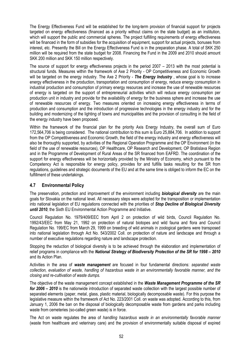The Energy Effectiveness Fund will be established for the long-term provision of financial support for projects targeted on energy effectiveness (financed as a priority without claims on the state budget) as an institution, which will support the public and commercial spheres. The project fulfilling requirements of energy effectiveness will be financed in the form of subsidies for the acquisition of equipment, support for actual projects, bonuses from interest, etc. Presently the Bill on the Energy Effectiveness Fund is in the preparation phase. A total of SKK 250 million will be required from the state budget for 2008. Financing the Fund in the 2009 and 2010 should amount SKK 200 million and SKK 150 million respectively.

The source of support for energy effectiveness projects in the period 2007 – 2013 with the most potential is structural funds. Measures within the framework of Axe 2 Priority - OP Competitiveness and Economic Growth will be targeted on the energy industry. The Axe 2 Priority - **The Energy Industry**, whose goal is to increase energy effectiveness in the production, transportation and consumption of energy, reduce energy consumption in industrial production and consumption of primary energy resources and increase the use of renewable resources of energy is targeted on the support of entrepreneurial activities which will reduce energy consumption per production unit in industry and provide for the availability of energy for the business sphere and increase the use of renewable resources of energy. Two measures oriented on increasing energy effectiveness in terms of production and consumption and the introduction of progressive technologies in the energy industry and for the building and modernizing of the lighting of towns and municipalities and the provision of consulting in the field of the energy industry have been proposed.

Within the framework of the financial plan for the priority Axis Energy Industry, the overall sum of Euro 172,564,706 is being considered. The national contribution to this sum is Euro 25,884,706. In addition to support from the OP Competitiveness and Economic Growth, the field of the energy industry and energy effectiveness will also be thoroughly supported, by activities of the Regional Operation Programme and the OP Environment (in the field of the use of renewable resources), OP Healthcare, OP Research and Development, OP Bratislava Region and in the Programme of Development of Rural Areas of the SR financed from EAFRD. The coordination of the support for energy effectiveness will be horizontally provided by the Ministry of Economy, which pursuant to the Competency Act is responsible for energy policy, provides for and fulfills tasks resulting for the SR from regulations, guidelines and strategic documents of the EU and at the same time is obliged to inform the EC on the fulfillment of these undertakings.

# 4.7 Environmental Policy

The preservation, protection and improvement of the environment including **biological diversity** are the main goals for Slovakia on the national level. All necessary steps were adopted for the transposition or implementation into national legislation of EU regulations connected with the priorities of Stop Decline of Biological Diversity until 2010, the Sixth EU Environmental Action Programme and Initiative.

Council Regulation No. 1979/409/EEC from April 2 on protection of wild birds, Council Regulation No. 1992/43/EEC from May 21, 1992 on protection of natural biotopes and wild fauna and flora and Council Regulation No. 199/EC from March 29, 1999 on breeding of wild animals in zoological gardens were transposed into national legislation through Act No. 543/2002 Coll. on protection of nature and landscape and through a number of executive regulations regarding nature and landscape protection.

Stopping the reduction of biological diversity is to be achieved through the elaboration and implementation of relief programs in compliance with the National Strategy of Biodiversity Protection of the SR for 1998 – 2010 and its Action Plan.

Activities in the area of waste management are focused in four fundamental directions: separated waste collection, evaluation of waste, handling of hazardous waste in an environmentally favorable manner, and the closing and re-cultivation of waste dumps.

The objective of the waste management concept established in the Waste Management Programme of the SR for 2006 – 2010 is the nationwide introduction of separated waste collection with the largest possible number of separated elements (paper, metal, glass, plastic material, biologically decomposable waste). For this purpose the legislative measure within the framework of Act No. 223/2001 Coll. on waste was adopted. According to this, from January 1, 2006 the ban on the disposal of biologically decomposable waste from gardens and parks including waste from cemeteries (so-called green waste) is in force.

The Act on waste regulates the area of handling hazardous waste in an environmentally favorable manner (waste from healthcare and veterinary care) and the provision of environmentally suitable disposal of expired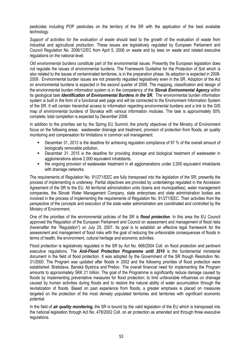pesticides including POP pesticides on the territory of the SR with the application of the best available technology.

Support of activities for the evaluation of waste should lead to the growth of the evaluation of waste from industrial and agricultural production. These issues are legislatively regulated by European Parliament and Council Regulation No. 2006/12/EC from April 5, 2006 on waste and by laws on waste and related executive regulations on the national level.

Old environmental burdens constitute part of the environmental issues. Presently the European legislation does not regulate the issues of environmental burdens. The Framework Guideline for the Protection of Soil which is also related to the issues of contaminated territories, is in the preparation phase. Its adoption is expected in 2008- 2009. Environmental burden issues are not presently regulated legislatively even in the SR. Adoption of the Act on environmental burdens is expected in the second quarter of 2008. The mapping, classification and design of the environmental burden information system is in the competency of the **Slovak Environmental Agency** within its geological task *Identification of Environmental Burdens in the SR*. The environmental burden information system is built in the form of a functional web page and will be connected to the Environment Information System of the SR. It will contain hierarchal access to information regarding environmental burdens and a link to the GIS map of environmental burdens of Slovakia with various information modules. The task is approximately 50% complete; total completion is expected by December 2008.

In addition to the priorities set by the Spring EU Summit, the priority objectives of the Ministry of Environment focus on the following areas: wastewater drainage and treatment, provision of protection from floods, air quality monitoring and compensation for limitations in common soil management.

- December 31, 2012 is the deadline for achieving regulation compliance of 97 % of the overall amount of biologically removable pollution,
- December 31, 2015 is the deadline for providing drainage and biological treatment of wastewater in agglomerations above 2,000 equivalent inhabitants,
- the ongoing provision of wastewater treatment in all agglomerations under 2,000 equivalent inhabitants with drainage networks.

The requirements of Regulation No. 91/271/EEC are fully transposed into the legislation of the SR; presently the process of implementing is underway. Partial objectives are provided by undertakings regulated in the Accession Agreement of the SR to the EU. All territorial administration units (towns and municipalities), water management companies, the Slovak Water Management Company, state enterprises and state administration bodies are involved in the process of implementing the requirements of Regulation No. 91/271/EEC. Their activities from the perspective of the concepts and execution of the state water administration are coordinated and controlled by the Ministry of Environment.

One of the priorities of the environmental policies of the SR is *flood protection*. In this area the EU Council approved the Regulation of the European Parliament and Council on assessment and management of flood risks (hereinafter the "Regulation") on July 25, 2007. Its goal is to establish an effective legal framework for the assessment and management of flood risks with the goal of reducing the unfavorable consequences of floods in terms of health, the environment, cultural heritage and economic activities.

Flood protection is legislatively regulated in the SR by Act No. 666/2004 Coll. on flood protection and pertinent executive regulations. The **Anti-Flood Protection Programme until 2010** is the fundamental ministerial document in the field of flood protection. It was adopted by the Government of the SR though Resolution No. 31/2000. The Program was updated after floods in 2002 and the following priorities of flood protection were established: Bratislava, Banská Bystrica and Prešov. The overall financial need for implementing the Program amounts to approximately SKK 21 billion. The goal of the Programme is significantly reduce damage caused by floods by implementing preventative measures for flood protection; to limit unfavorable influences on drainage caused by human activities during floods and to restore the natural ability of water accumulation through the revitalization of floods. Based on past experience from floods, a greater emphasis is placed on measures targeted on the protection of the most densely populated territories and territories with significant economic potential.

In the field of *air quality monitoring*, the SR is bound by the valid legislation of the EU which is transposed into the national legislation through Act No. 478/2002 Coll. on air protection as amended and through three executive regulations.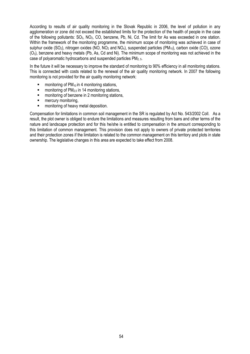According to results of air quality monitoring in the Slovak Republic in 2006, the level of pollution in any agglomeration or zone did not exceed the established limits for the protection of the health of people in the case of the following pollutants: SO2, NO2, CO, benzene, Pb, Ni, Cd. The limit for As was exceeded in one station. Within the framework of the monitoring programme, the minimum scope of monitoring was achieved in case of sulphur oxide (SO<sub>2</sub>), nitrogen oxides (NO, NO<sub>2</sub> and NO<sub>x</sub>), suspended particles (PM<sub>10</sub>), carbon oxide (CO), ozone (O3), benzene and heavy metals (Pb, As, Cd and Ni). The minimum scope of monitoring was not achieved in the case of polyaromatic hydrocarbons and suspended particles PM<sub>2-5</sub>.

In the future it will be necessary to improve the standard of monitoring to 90% efficiency in all monitoring stations. This is connected with costs related to the renewal of the air quality monitoring network. In 2007 the following monitoring is not provided for the air quality monitoring network:

- monitoring of  $PM_{10}$  in 4 monitoring stations,
- monitoring of PM<sub>2.5</sub> in 14 monitoring stations.
- **EXECUTE:** monitoring of benzene in 2 monitoring stations.
- **mercury monitoring.**
- **EXECUTE:** monitoring of heavy metal deposition.

Compensation for limitations in common soil management in the SR is regulated by Act No. 543/2002 Coll. As a result, the plot owner is obliged to endure the limitations and measures resulting from bans and other terms of the nature and landscape protection and for this he/she is entitled to compensation in the amount corresponding to this limitation of common management. This provision does not apply to owners of private protected territories and their protection zones if the limitation is related to the common management on this territory and plots in state ownership. The legislative changes in this area are expected to take effect from 2008.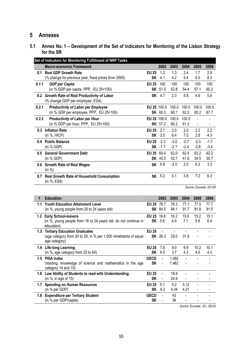# 5 Annexes

# 5.1 Annex No. 1 – Development of the Set of Indicators for Monitoring of the Lisbon Strategy for the SR

|       | Set of Indicators for Monitoring Fulfillment of NRP Tasks                     |              |                |        |        |                          |                          |
|-------|-------------------------------------------------------------------------------|--------------|----------------|--------|--------|--------------------------|--------------------------|
|       | <b>Macro-economic Framework</b>                                               |              | 2002           | 2003   | 2004   | 2005                     | 2006                     |
| 0.1   | <b>Real GDP Growth Rate</b>                                                   | <b>EU 25</b> | 1.2            | 1.3    | 2.4    | 1.7                      | 2.9                      |
|       | (% change for previous year, fixed prices from 2000)                          | SK           | 4.1            | 4.2    | 5.4    | 6.0                      | 8.3                      |
| 0.1.1 | <b>GDP</b> per Capita                                                         | <b>EU 25</b> | 100            | 100    | 100    | 100                      | 100                      |
|       | (in % GDP per capita, PPP, EU 25=100)                                         |              | <b>SK</b> 51.0 | 52.8   | 54.4   | 57.1                     | 60.2                     |
| 0.2   | Growth Rate of Real Productivity of Labor<br>(% change GDP per employee, ESA) |              | <b>SK</b> 4.7  | 2.3    | 5.8    | 4.6                      | 5.8                      |
| 0.2.1 | <b>Productivity of Labor per Employee</b>                                     | EU 25 100.0  |                | 100.0  | 100.0  | 100.0                    | 100.0                    |
|       | (in % GDP per employee, PPP, EU 25=100)                                       |              | <b>SK</b> 60.3 | 60.1   | 62.2   | 65.2                     | 67.7                     |
| 0.2.2 | <b>Productivity of Labor per Hour</b>                                         | EU 25 100.0  |                | 100.0  | 100.0  | $\blacksquare$           |                          |
|       | (in % GDP per hour, PPP, EU 25=100)                                           |              | <b>SK</b> 57.2 | 60.2   | 61.2   | $\overline{\phantom{a}}$ | $\overline{\phantom{a}}$ |
| 0.3   | <b>Inflation Rate</b>                                                         | <b>EU 25</b> | 2.1            | 2.0    | 2.0    | 2.2                      | 2.2                      |
|       | (in %, HICP)                                                                  | SK           | 3.5            | 8.4    | 7.5    | 2.8                      | 4.3                      |
|       | 0.4 Public Balance                                                            | <b>EU 25</b> | $-2.3$         | $-3.0$ | $-2.7$ | $-2.3$                   | $-1.7$                   |
|       | (in % GDP)                                                                    |              | <b>SK</b> -7.7 | $-2.7$ | $-2.4$ | $-2.8$                   | $-3.4$                   |
| 0.5   | <b>General Government Debt</b>                                                | EU 25 60.4   |                | 62.0   | 62.4   | 63.2                     | 62.2                     |
|       | (in % GDP)                                                                    |              | <b>SK</b> 43.3 | 42.7   | 41.6   | 34.5                     | 30.7                     |
| 0.6   | <b>Growth Rate of Real Wages</b><br>(in %)                                    |              | <b>SK</b> 5.8  | $-2.0$ | 2.5    | 6.3                      | 3.3                      |
| 0.7   | Real Growth Rate of Household Consumption<br>(in %, ESA)                      |              | SK 5.2         | 0.1    | 3.8    | 7.2                      | 6.3                      |

Source: Eurostat, SO SR

| 1             | <b>Education</b>                                                                                                         |                           | 2002                     | 2003           | 2004         | 2005         | 2006         |
|---------------|--------------------------------------------------------------------------------------------------------------------------|---------------------------|--------------------------|----------------|--------------|--------------|--------------|
| 1.1           | <b>Youth Education Attainment Level</b><br>(in %, young people from 20 to 24 years old)                                  | EU 25 76.7                | <b>SK</b> 94.5           | 76.3<br>94.1   | 77.1<br>91.7 | 77.5<br>91.8 | 77.7<br>91.5 |
|               | 1.2 Early School-leavers<br>(in %, young people from 18 to 24 years old, do not continue in<br>education)                | <b>EU 25</b><br>SK        | 16.6<br>-5.6             | 16.2<br>4.9    | 15.6<br>7.1  | 15.2<br>5.8  | 15.1<br>6.4  |
| 1.3           | <b>Tertiary Education Graduates</b><br>(age category from 20 to 29, in % per 1,000 inhabitants of equal<br>age category) | <b>EU 25</b>              | <b>SK</b> 26.3           | 29.0           | 31.8         |              |              |
| $1.4^{\circ}$ | Life-long Learning<br>(in %, age category from 25 to 64)                                                                 | <b>EU 25</b><br>SK        | 7.6<br>8.5               | 9.0<br>3.7     | 9.9<br>4.3   | 10.2<br>4.6  | 10.1<br>4.3  |
| 1.5           | <b>PISA Index</b><br>(reading, knowledge of science and mathematics in the age<br>category 14 and 15)                    | <b>OECD</b><br><b>SK</b>  |                          | 1,492<br>1,462 |              |              |              |
|               | 1.6 Low Ability of Students to read with Understanding<br>(in $\%$ , in age of 15)                                       | <b>EU 25</b><br><b>SK</b> | $\blacksquare$           | 19.8<br>24.9   |              |              |              |
| 1.7           | <b>Spending on Human Resources</b><br>(in % per GDP)                                                                     | <b>EU 25</b><br><b>SK</b> | 5.1<br>4.3               | 5.2<br>4.34    | 5.12<br>4.21 |              |              |
| 1.8           | <b>Expenditure per Tertiary Student</b><br>(in % per GDP/capita)                                                         | OFCD<br><b>SK</b>         | $\overline{\phantom{a}}$ | 43<br>36       |              |              |              |

Source: Eurostat, EC, OECD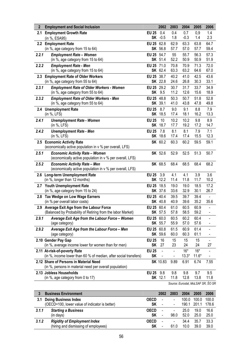| $\mathbf{2}$ | <b>Employment and Social Inclusion</b>                                                                    |              | 2002            | 2003                     | 2004         | 2005                               | 2006                     |
|--------------|-----------------------------------------------------------------------------------------------------------|--------------|-----------------|--------------------------|--------------|------------------------------------|--------------------------|
| 2.1          | <b>Employment Growth Rate</b>                                                                             | <b>EU 25</b> | 0.4             | 0.4                      | 0.7          | 0,9                                | 1.4                      |
|              | (in %, ESA95)                                                                                             |              | SK -0.5         | 1.8                      | $-0.3$       | 1.4                                | 2.3                      |
|              | 2.2 Employment Rate                                                                                       | EU 25 62.8   |                 | 62.9                     | 63.3         | 63.8                               | 64.7                     |
|              | (in %, age category from 15 to 64)                                                                        |              | SK 56.8         | 57.7                     | 57.0         | 57.7                               | 59.4                     |
| 2.2.1        | <b>Employment Rate - Women</b><br>(in %, age category from 15 to 64)                                      | EU 25 54.7   | SK 51.4         | 55<br>52.2               | 55.7<br>50.9 | 56.3<br>50.9                       | 57.3<br>51.9             |
| 2.2.2        | <b>Employment Rate - Men</b>                                                                              | EU 25 71.0   |                 | 70.8                     | 70.9         | 71.3                               | 72.0                     |
|              | (in %, age category from 15 to 64)                                                                        |              | SK 62.4         | 63.3                     | 63.2         | 64.6                               | 67.0                     |
| 2.3          | <b>Employment Rate of Older Workers</b>                                                                   | EU 25 38.7   |                 | 40.2                     | 41.0         | 42.5                               | 43.6                     |
|              | (in %, age category from 55 to 64)                                                                        |              | <b>SK</b> 22.8  | 24.6                     | 26.8         | 30.3                               | 33.1                     |
| 2.3.1        | <b>Employment Rate of Older Workers - Women</b>                                                           | <b>EU 25</b> | 29.2            | 30.7                     | 31.7         | 33.7                               | 34.9                     |
|              | (in %, age category from 55 to 64)                                                                        |              | SK 9.5          | 11.2                     | 12.6         | 15.6                               | 18.9                     |
| 2.3.2        | <b>Employment Rate of Older Workers - Men</b>                                                             | <b>EU 25</b> | 48.8            | 50.3                     | 50.7         | 51.8                               | 52.8                     |
|              | (in %, age category from 55 to 64)                                                                        |              | <b>SK</b> 39.1  | 41.0                     | 43.8         | 47.8                               | 49.8                     |
|              | 2.4 Unemployment Rate<br>(in %, LFS)                                                                      | <b>EU 25</b> | 8.7<br>SK 18.5  | 9.0<br>17.4              | 9.1<br>18.1  | 8.8<br>16.2                        | 7.9<br>13.3              |
| 2.4.1        | <b>Unemployment Rate - Women</b>                                                                          | <b>EU 25</b> | 10              | 10.2                     | 10.2         | 9.8                                | 8.9                      |
|              | (in %, LFS)                                                                                               |              | <b>SK</b> 18.7  | 17.7                     | 19.2         | 17.2                               | 14.7                     |
| 2.4.2        | <b>Unemployment Rate - Men</b>                                                                            | <b>EU 25</b> | 7.8             | 8.1                      | 8.1          | 7.9                                | 7.1                      |
|              | (in %, LFS)                                                                                               | SK           | 18.6            | 17.4                     | 17.4         | 15.5                               | 12.3                     |
|              | 2.5 Economic Activity Rate                                                                                |              | SK 60.2         | 60.3                     | 60.2         | 59.5                               | 59.1                     |
|              | (economically active population in v % per overall, LFS)                                                  |              |                 |                          |              |                                    |                          |
| 2.5.1        | <b>Economic Activity Rate - Women</b>                                                                     |              | <b>SK</b> 52.6  | 52.9                     | 52.5         | 51.3                               | 50.7                     |
|              | (economically active population in v % per overall, LFS)                                                  |              |                 |                          |              |                                    |                          |
| 2.5.2        | <b>Economic Activity Rate - Men</b><br>(economically active population in v % per overall, LFS)           |              | SK 68.5         | 68.4                     | 68.5         | 68.4                               | 68.2                     |
|              | 2.6 Long-term Unemployment Rate                                                                           | <b>EU 25</b> | 3.9             | 4.1                      | 4.1          | 3.9                                | 3.6                      |
|              | (in %, longer than 12 months)                                                                             |              | <b>SK</b> 12.2  | 11.4                     | 11.8         | 11.7                               | 10.2                     |
|              | 2.7 Youth Unemployment Rate                                                                               | <b>EU 25</b> | 18.5            | 19.0                     | 19.0         | 18.5                               | 17.2                     |
|              | (in %, age category from 15 to 24)                                                                        |              | SK 37.6         | 33.6                     | 32.9         | 30.1                               | 26.7                     |
| 2.8          | Tax Wedge on Low Wage Earners                                                                             | <b>EU 25</b> | 40.4            | 39.5                     | 39.7         | 39.4                               | $\blacksquare$           |
|              | (in % per overall labor costs)                                                                            |              | <b>SK 40.8</b>  | 40.9                     | 39.6         | 35.2                               | 35.6                     |
|              | 2.9 Average Exit Age from the Labour Force<br>(Balanced by Probability of Retiring from the labor Market) | EU 25 60.4   | SK 57.5         | 61.0<br>57.8             | 60.5<br>58.5 | 60.9<br>59.2                       | $\overline{\phantom{a}}$ |
| 2.9.1        | Average Exit Age from the Labour Force - Women                                                            | EU 25 60.0   |                 | 60.5                     | 60.2         | 60.4                               |                          |
|              | (age category)                                                                                            |              | SK 55.7         | 55.9                     | 57.0         | 57.6                               |                          |
| 2.9.2        | Average Exit Age from the Labour Force - Men                                                              | <b>EU 25</b> | 60.8            | 61.5                     | 60.9         | 61.4                               |                          |
|              | (age category)                                                                                            |              | SK 59.6         | 60.0                     | 60.3         | 61.1                               |                          |
|              | 2.10 Gender Pay Gap                                                                                       | <b>EU 25</b> | 16              | 15                       | 15           | 15                                 |                          |
|              | (in %, average income lower for women than for men)                                                       | <b>SK</b>    | 27              | 23                       | 24           | 24                                 | 27                       |
|              | 2.11 At-risk-of-poverty Rate                                                                              | <b>EU 25</b> |                 | $\overline{\phantom{0}}$ | $16*$        | $16*$                              |                          |
|              | (in %, income lower than 60 % of median, after social transfers)                                          | <b>SK</b>    |                 |                          | $13.3*$      | $11.6*$                            |                          |
|              | 2.12 Share of Persons in Material Need<br>(in %, persons in material need per overall population)         |              | <b>SK</b> 10.83 | 9.89                     | 6.91         | 6.74                               | 7.55                     |
|              | 2.13 Jobless Households                                                                                   | <b>EU 25</b> | 9.8             | 9.8                      | 9.8          | 9.7                                | 9.5                      |
|              | (in %, age category from 0 to 17)                                                                         |              | <b>SK</b> 12.1  | 11.8                     | 12.8         | 13.8                               | 11.8                     |
|              |                                                                                                           |              |                 |                          |              | Source: Eurostat, MoLSAF SR, ŠO SR |                          |

|       | <b>Business Environment</b>                    |             | 2002                     |                          | 2004  | 2005  | 2006  |
|-------|------------------------------------------------|-------------|--------------------------|--------------------------|-------|-------|-------|
| 3.1   | <b>Doing Business Index</b>                    | <b>OECD</b> | $\overline{\phantom{a}}$ | $\overline{\phantom{a}}$ | 100.0 | 100.0 | 100.0 |
|       | (OECD=100, lower value of indicator is better) | <b>SK</b>   | $\overline{\phantom{a}}$ | $\overline{\phantom{a}}$ | 190.1 | 201.1 | 178.6 |
| 3.1.1 | <b>Starting a Business</b>                     | <b>OECD</b> | $\overline{\phantom{a}}$ | $\overline{\phantom{a}}$ | 25.0  | 19.0  | 16.6  |
|       | (in days)                                      | SΚ          | $\overline{\phantom{a}}$ | 98.0                     | 52.0  | 25.0  | 25.0  |
| 3.1.2 | <b>Rigidity of Employment Index</b>            | <b>OECD</b> | $\overline{\phantom{a}}$ | $\overline{\phantom{a}}$ | 34.4  | 35.7  | 33.3  |
|       | (hiring and dismissing of employees)           | SΚ          |                          | 61.0                     | 10.0  | 39.0  | 39.0  |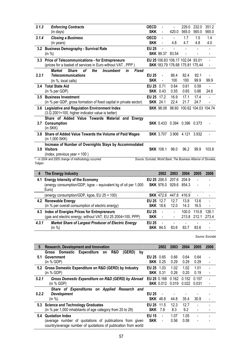| 3.1.3            | <b>Enforcing Contracts</b>                                                           | <b>OECD</b>  |                  |                | 229.0                              | 232.0                | 351.2                                                            |
|------------------|--------------------------------------------------------------------------------------|--------------|------------------|----------------|------------------------------------|----------------------|------------------------------------------------------------------|
|                  | (in days)                                                                            | <b>SKK</b>   | $\blacksquare$   | 420.0          | 565.0                              | 565.0                | 565.0                                                            |
| 3.1.4            | <b>Closing a Business</b>                                                            | <b>OECD</b>  |                  | $\blacksquare$ | 1.7                                | 1.5                  | 1.4                                                              |
|                  | (in years)                                                                           | <b>SKK</b>   | $\blacksquare$   | 4.8            | 4.7                                | 4.8                  | 4.0                                                              |
| 3.2              | <b>Business Demography - Survival Rate</b>                                           | <b>EU 25</b> |                  |                |                                    |                      |                                                                  |
|                  | (in %)                                                                               |              | SKK 89.37 83.54  |                |                                    |                      |                                                                  |
| 3.3 <sub>2</sub> | <b>Price of Telecommunications - for Entrepreneurs</b>                               |              |                  |                | EU 25 106.83 106.17 102.04 93.01   |                      |                                                                  |
|                  | (prices for a basket of services in Euro without VAT, PPP)                           |              |                  |                | SKK 183.79 176.68 175.81 175.44    |                      |                                                                  |
|                  | of<br><b>Market</b><br><b>Share</b><br>the<br><b>Fixed</b><br><b>Incumbent</b><br>in |              |                  |                |                                    |                      |                                                                  |
| 3,3,1            | <b>Telecommunications</b>                                                            | <b>EU 25</b> | $\blacksquare$   | 86.4           | 82.4                               | 82.1                 |                                                                  |
|                  | (in %, local calls)                                                                  | <b>SKK</b>   | $\blacksquare$   | 100            | 100                                | 99.9                 | 99.9                                                             |
| 3.4              | <b>Total State Aid</b>                                                               | EU 25 0.71   |                  | 0.64           | 0.61                               | 0.59                 |                                                                  |
|                  | (in % per GDP)                                                                       |              | <b>SKK</b> 0.43  | 0.55           | 0.65                               | 0.66                 | 24.6                                                             |
| 3.5              | <b>Business Investment</b>                                                           | EU 25 17.2   |                  | 16.9           | 17.1                               | 17.4                 |                                                                  |
|                  | (in % per GDP, gross formation of fixed capital in private sector)                   |              | <b>SKK</b> 24.1  | 22.4           | 21.7                               | 24.7                 | $\blacksquare$                                                   |
| 3.6              | <b>Legislative and Regulation Environment Index</b>                                  |              | <b>SKK 98.08</b> | 98.60          |                                    | 100.62 104.03 104.74 |                                                                  |
|                  | (3.Q 2001=100, higher indicator value is better)                                     |              |                  |                |                                    |                      |                                                                  |
|                  | Share of Added Value Towards Material and<br>Energy                                  |              |                  |                |                                    |                      |                                                                  |
| 3.7              | <b>Consumption</b>                                                                   |              |                  |                | <b>SKK</b> 0.433 0.394 0.396 0.373 |                      |                                                                  |
|                  | (in SKK)                                                                             |              |                  |                |                                    |                      |                                                                  |
| 3.8              | Share of Added Value Towards the Volume of Paid Wages                                |              |                  |                | <b>SKK</b> 3.707 3.906 4.121 3.932 |                      |                                                                  |
|                  | (in 1,000 SKK)                                                                       |              |                  |                |                                    |                      |                                                                  |
|                  | Increase of Number of Overnights Stays by Accommodated                               |              |                  |                |                                    |                      |                                                                  |
| 3.9              | <b>Visitors</b>                                                                      |              | <b>SKK</b> 108.1 | 98.0           | 96.2                               | 99.9                 | 103.8                                                            |
|                  | (index, previous year = $100$ )                                                      |              |                  |                |                                    |                      |                                                                  |
|                  | * - in 2004 and 2005 change of methodology occurred                                  |              |                  |                |                                    |                      | Source: Eurostat, World Bank, The Business Alliance of Slovakia, |
| Teligen          |                                                                                      |              |                  |                |                                    |                      |                                                                  |

| 4     | The Energy Industry                                                     |              | 2002             | 2003                    | 2004        | 2005  | 2006 |
|-------|-------------------------------------------------------------------------|--------------|------------------|-------------------------|-------------|-------|------|
| 4.1   | <b>Energy Intensity of the Economy</b>                                  |              |                  | EU 25 206.5 207.6 204.9 |             |       |      |
|       | (energy consumption/GDP, kgoe - equivalent kg of oil per 1,000<br>Euro) |              | <b>SKK</b> 976.0 | 929.6 854.3             |             |       |      |
|       | (energy consumption/GDP, kgoe, EU 25 = 100)                             |              |                  | <b>SKK</b> 472.6 447.8  | 416.9       |       |      |
|       | 4.2 Renewable Energy                                                    | EU 25 12.7   |                  | 12.7                    | 13.8        | 13.6  |      |
|       | (in % per overall consumption of electric energy)                       |              | <b>SKK</b> 18.6  | 12.0                    | 14.3        | 16.5  |      |
|       | 4.3 Index of Energies Prices for Entrepreneurs                          | <b>FU 25</b> |                  | $\blacksquare$          | 100.0       | 110.8 | 1261 |
|       | (gas and electric energy, without VAT, EU 25 2004=100, PPP)             | <b>SKK</b>   | $\sim$           | $\blacksquare$          | 213.8 212.1 |       | 2734 |
| 4.3.1 | Market Share of Largest Producer of Electric Energy                     | <b>EU 25</b> |                  |                         |             |       |      |
|       | (in %)                                                                  |              | <b>SKK</b> 84.5  | 83.6                    | -83.7       | 83.6  |      |

Source: Eurostat

| 5     | Research, Development and Innovation                                                                                       |                 | 2002                     | 2003        | 2004  | 2005           | 2006 |
|-------|----------------------------------------------------------------------------------------------------------------------------|-----------------|--------------------------|-------------|-------|----------------|------|
|       | R&D<br>Gross Domestic Expenditure<br>(GERD)<br>by<br>on                                                                    |                 |                          |             |       |                |      |
| 5.1   | Government                                                                                                                 | EU 25 0.65      |                          | 0.66        | 0.64  | 0.64           |      |
|       | (in % GDP)                                                                                                                 |                 | <b>SKK 0.25</b>          | 0.29        | 0.29  | 0.29           |      |
| 5.2   | Gross Domestic Expenditure on R&D (GERD) by Industry                                                                       | EU 25 $1.03$    |                          | 1.02        | 1.02  | 1.01           |      |
|       | (in % GDP)                                                                                                                 | <b>SKK 0.31</b> |                          | 0.26        | 0.20  | 0.19           |      |
| 5.2.1 | Gross Domestic Expenditure on R&D (GERD) by Abroad                                                                         | EU 25 0.168     |                          | 0.162       | 0.152 | 0.157          |      |
|       | (in % GDP)                                                                                                                 |                 | <b>SKK 0.012</b>         | 0.019 0.022 |       | 0.031          |      |
|       | Share of Expenditures on Applied<br>Research and                                                                           |                 |                          |             |       |                |      |
| 5.2.2 | <b>Development</b>                                                                                                         | <b>EU 25</b>    | $\overline{\phantom{a}}$ |             |       |                |      |
|       | (in %)                                                                                                                     |                 | <b>SKK</b> 46.8          | 44.8        | 35.4  | 30.9           |      |
|       | 5.3 Science and Technology Graduates                                                                                       | EU 25           | 11.5                     | 12.3        | 12.7  |                |      |
|       | (in % per 1,000 inhabitants of age category from 20 to 29)                                                                 | <b>SKK</b>      | 7.8                      | 8.3         | 9.2   | -              |      |
| 5.4   | <b>Quotation Index</b>                                                                                                     | <b>EU 15</b>    | $\blacksquare$           | 1.07        | 1.05  |                |      |
|       | (average number of quotations of publications from given<br>country/average number of quotations of publication from world | <b>SKK</b>      | $\blacksquare$           | 0.56        | 0.58  | $\blacksquare$ |      |